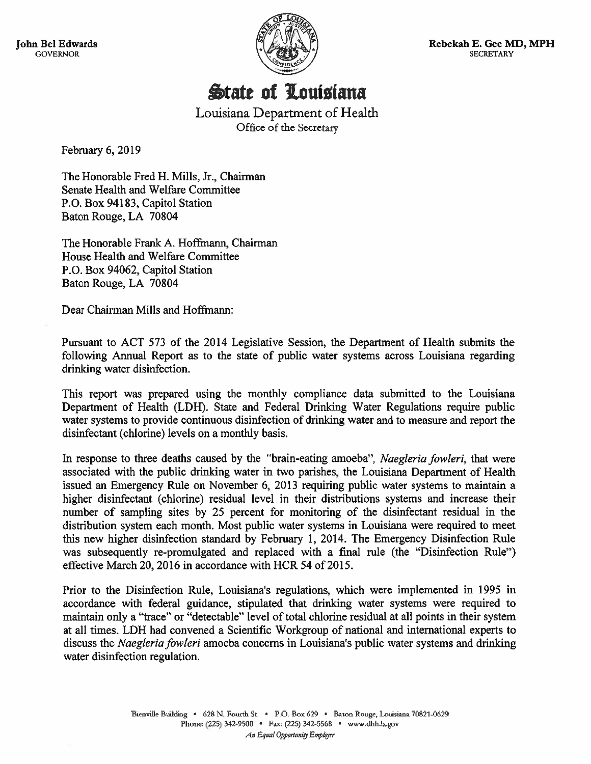**John Bel Edwards GOVERNOR** 



Rebekah E. Gee MD, MPH **SECRETARY** 

**State of Louisiana** 

Louisiana Department of Health Office of the Secretary

February 6, 2019

The Honorable Fred H. Mills, Jr., Chairman Senate Health and Welfare Committee P.O. Box 94183, Capitol Station Baton Rouge, LA 70804

The Honorable Frank A. Hoffmann, Chairman House Health and Welfare Committee P.O. Box 94062, Capitol Station Baton Rouge, LA 70804

Dear Chairman Mills and Hoffmann:

Pursuant to ACT 573 of the 2014 Legislative Session, the Department of Health submits the following Annual Report as to the state of public water systems across Louisiana regarding drinking water disinfection.

This report was prepared using the monthly compliance data submitted to the Louisiana Department of Health (LDH). State and Federal Drinking Water Regulations require public water systems to provide continuous disinfection of drinking water and to measure and report the disinfectant (chlorine) levels on a monthly basis.

In response to three deaths caused by the "brain-eating amoeba", Naegleria fowleri, that were associated with the public drinking water in two parishes, the Louisiana Department of Health issued an Emergency Rule on November 6, 2013 requiring public water systems to maintain a higher disinfectant (chlorine) residual level in their distributions systems and increase their number of sampling sites by 25 percent for monitoring of the disinfectant residual in the distribution system each month. Most public water systems in Louisiana were required to meet this new higher disinfection standard by February 1, 2014. The Emergency Disinfection Rule was subsequently re-promulgated and replaced with a final rule (the "Disinfection Rule") effective March 20, 2016 in accordance with HCR 54 of 2015.

Prior to the Disinfection Rule, Louisiana's regulations, which were implemented in 1995 in accordance with federal guidance, stipulated that drinking water systems were required to maintain only a "trace" or "detectable" level of total chlorine residual at all points in their system at all times. LDH had convened a Scientific Workgroup of national and international experts to discuss the *Naegleria fowleri* amoeba concerns in Louisiana's public water systems and drinking water disinfection regulation.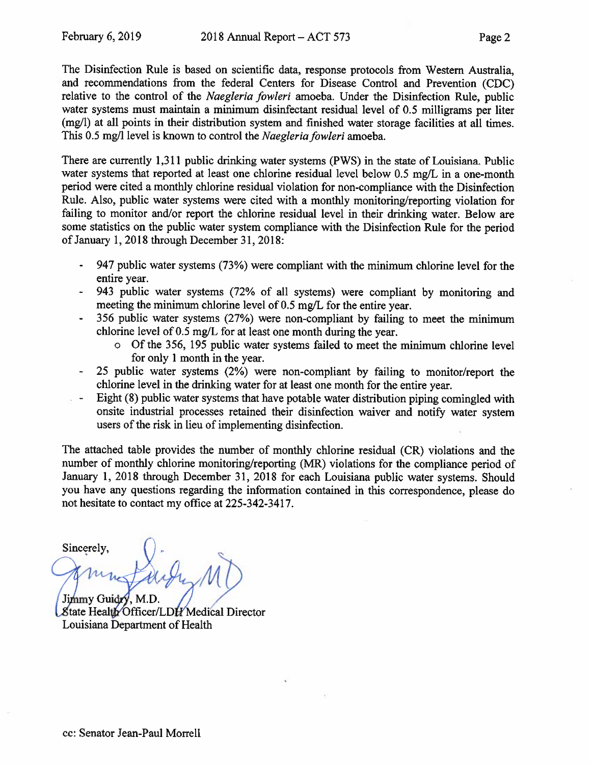The Disinfection Rule is based on scientific data, response protocols from Western Australia, and recommendations from the federal Centers for Disease Control and Prevention (CDC) relative to the control of the Naegleria fowleri amoeba. Under the Disinfection Rule, public water systems must maintain a minimum disinfectant residual level of 0.5 milligrams per liter (mg/l) at all points in their distribution system and finished water storage facilities at all times. This 0.5 mg/l level is known to control the *Naegleria fowleri* amoeba.

There are currently 1,311 public drinking water systems (PWS) in the state of Louisiana. Public water systems that reported at least one chlorine residual level below 0.5 mg/L in a one-month period were cited a monthly chlorine residual violation for non-compliance with the Disinfection Rule. Also, public water systems were cited with a monthly monitoring/reporting violation for failing to monitor and/or report the chlorine residual level in their drinking water. Below are some statistics on the public water system compliance with the Disinfection Rule for the period of January 1, 2018 through December 31, 2018:

- 947 public water systems (73%) were compliant with the minimum chlorine level for the entire year.
- 943 public water systems (72% of all systems) were compliant by monitoring and meeting the minimum chlorine level of 0.5 mg/L for the entire year.
- 356 public water systems (27%) were non-compliant by failing to meet the minimum chlorine level of 0.5 mg/L for at least one month during the year.
	- o Of the 356, 195 public water systems failed to meet the minimum chlorine level for only 1 month in the year.
- 25 public water systems (2%) were non-compliant by failing to monitor/report the chlorine level in the drinking water for at least one month for the entire year.
- Eight (8) public water systems that have potable water distribution piping comingled with onsite industrial processes retained their disinfection waiver and notify water system users of the risk in lieu of implementing disinfection.

The attached table provides the number of monthly chlorine residual (CR) violations and the number of monthly chlorine monitoring/reporting (MR) violations for the compliance period of January 1, 2018 through December 31, 2018 for each Louisiana public water systems. Should you have any questions regarding the information contained in this correspondence, please do not hesitate to contact my office at 225-342-3417.

Sincerely, Jimmy Guidry, M.D. State Health Officer/LDH Medical Director

Louisiana Department of Health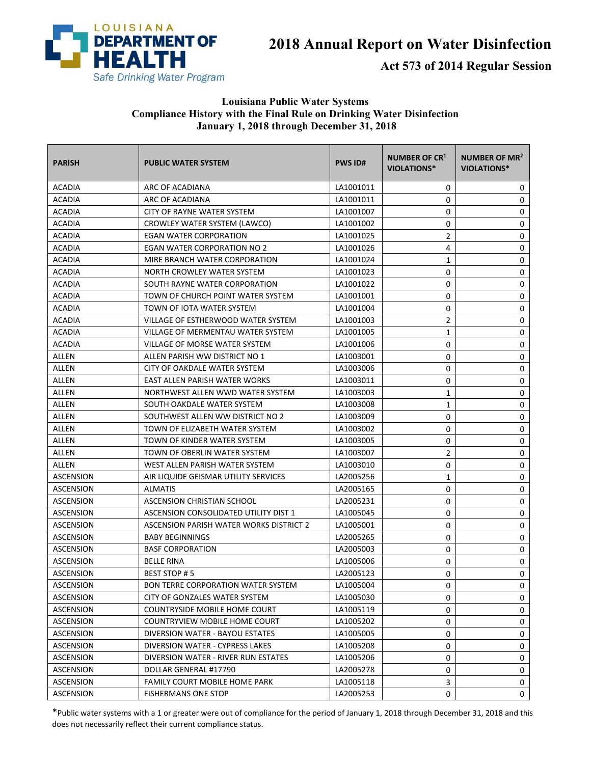

## **2018 Annual Report on Water Disinfection**

**Act 573 of 2014 Regular Session** 

## **Louisiana Public Water Systems Compliance History with the Final Rule on Drinking Water Disinfection January 1, 2018 through December 31, 2018**

| <b>PARISH</b>    | <b>PUBLIC WATER SYSTEM</b>                | <b>PWS ID#</b> | <b>NUMBER OF CR1</b><br><b>VIOLATIONS*</b> | NUMBER OF MR <sup>2</sup><br>VIOLATIONS* |
|------------------|-------------------------------------------|----------------|--------------------------------------------|------------------------------------------|
| ACADIA           | ARC OF ACADIANA                           | LA1001011      | 0                                          | 0                                        |
| <b>ACADIA</b>    | ARC OF ACADIANA                           | LA1001011      | 0                                          | 0                                        |
| <b>ACADIA</b>    | <b>CITY OF RAYNE WATER SYSTEM</b>         | LA1001007      | 0                                          | 0                                        |
| <b>ACADIA</b>    | CROWLEY WATER SYSTEM (LAWCO)              | LA1001002      | 0                                          | 0                                        |
| <b>ACADIA</b>    | EGAN WATER CORPORATION                    | LA1001025      | $\overline{2}$                             | 0                                        |
| <b>ACADIA</b>    | EGAN WATER CORPORATION NO 2               | LA1001026      | 4                                          | 0                                        |
| <b>ACADIA</b>    | MIRE BRANCH WATER CORPORATION             | LA1001024      | 1                                          | 0                                        |
| <b>ACADIA</b>    | NORTH CROWLEY WATER SYSTEM                | LA1001023      | 0                                          | $\mathbf 0$                              |
| <b>ACADIA</b>    | SOUTH RAYNE WATER CORPORATION             | LA1001022      | 0                                          | 0                                        |
| <b>ACADIA</b>    | TOWN OF CHURCH POINT WATER SYSTEM         | LA1001001      | 0                                          | 0                                        |
| <b>ACADIA</b>    | TOWN OF IOTA WATER SYSTEM                 | LA1001004      | 0                                          | 0                                        |
| <b>ACADIA</b>    | VILLAGE OF ESTHERWOOD WATER SYSTEM        | LA1001003      | $\overline{2}$                             | 0                                        |
| <b>ACADIA</b>    | VILLAGE OF MERMENTAU WATER SYSTEM         | LA1001005      | 1                                          | 0                                        |
| <b>ACADIA</b>    | VILLAGE OF MORSE WATER SYSTEM             | LA1001006      | 0                                          | 0                                        |
| ALLEN            | ALLEN PARISH WW DISTRICT NO 1             | LA1003001      | 0                                          | 0                                        |
| ALLEN            | CITY OF OAKDALE WATER SYSTEM              | LA1003006      | 0                                          | 0                                        |
| ALLEN            | EAST ALLEN PARISH WATER WORKS             | LA1003011      | 0                                          | 0                                        |
| ALLEN            | NORTHWEST ALLEN WWD WATER SYSTEM          | LA1003003      | $\mathbf{1}$                               | 0                                        |
| ALLEN            | SOUTH OAKDALE WATER SYSTEM                | LA1003008      | 1                                          | 0                                        |
| <b>ALLEN</b>     | SOUTHWEST ALLEN WW DISTRICT NO 2          | LA1003009      | 0                                          | 0                                        |
| ALLEN            | TOWN OF ELIZABETH WATER SYSTEM            | LA1003002      | 0                                          | 0                                        |
| ALLEN            | TOWN OF KINDER WATER SYSTEM               | LA1003005      | 0                                          | 0                                        |
| ALLEN            | TOWN OF OBERLIN WATER SYSTEM              | LA1003007      | $\overline{2}$                             | 0                                        |
| ALLEN            | WEST ALLEN PARISH WATER SYSTEM            | LA1003010      | 0                                          | 0                                        |
| ASCENSION        | AIR LIQUIDE GEISMAR UTILITY SERVICES      | LA2005256      | 1                                          | 0                                        |
| ASCENSION        | <b>ALMATIS</b>                            | LA2005165      | 0                                          | $\mathbf 0$                              |
| ASCENSION        | ASCENSION CHRISTIAN SCHOOL                | LA2005231      | 0                                          | 0                                        |
| ASCENSION        | ASCENSION CONSOLIDATED UTILITY DIST 1     | LA1005045      | 0                                          | 0                                        |
| ASCENSION        | ASCENSION PARISH WATER WORKS DISTRICT 2   | LA1005001      | 0                                          | 0                                        |
| <b>ASCENSION</b> | <b>BABY BEGINNINGS</b>                    | LA2005265      | 0                                          | 0                                        |
| ASCENSION        | <b>BASF CORPORATION</b>                   | LA2005003      | 0                                          | 0                                        |
| <b>ASCENSION</b> | <b>BELLE RINA</b>                         | LA1005006      | 0                                          | 0                                        |
| <b>ASCENSION</b> | <b>BEST STOP #5</b>                       | LA2005123      | 0                                          | 0                                        |
| ASCENSION        | <b>BON TERRE CORPORATION WATER SYSTEM</b> | LA1005004      | 0                                          | 0                                        |
| ASCENSION        | CITY OF GONZALES WATER SYSTEM             | LA1005030      | 0                                          | 0                                        |
| <b>ASCENSION</b> | <b>COUNTRYSIDE MOBILE HOME COURT</b>      | LA1005119      | 0                                          | 0                                        |
| ASCENSION        | COUNTRYVIEW MOBILE HOME COURT             | LA1005202      | 0                                          | 0                                        |
| <b>ASCENSION</b> | DIVERSION WATER - BAYOU ESTATES           | LA1005005      | 0                                          | 0                                        |
| <b>ASCENSION</b> | DIVERSION WATER - CYPRESS LAKES           | LA1005208      | 0                                          | 0                                        |
| <b>ASCENSION</b> | DIVERSION WATER - RIVER RUN ESTATES       | LA1005206      | 0                                          | 0                                        |
| <b>ASCENSION</b> | DOLLAR GENERAL #17790                     | LA2005278      | 0                                          | 0                                        |
| ASCENSION        | FAMILY COURT MOBILE HOME PARK             | LA1005118      | 3                                          | 0                                        |
| <b>ASCENSION</b> | <b>FISHERMANS ONE STOP</b>                | LA2005253      | 0                                          | 0                                        |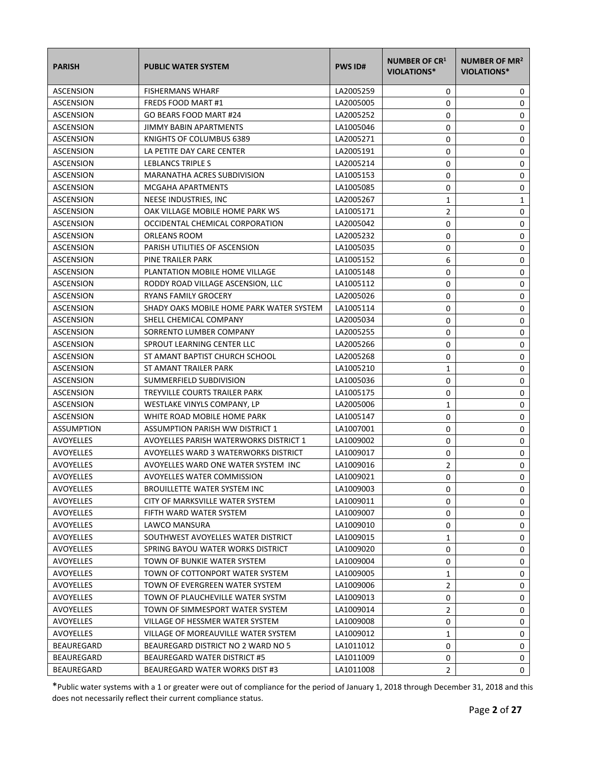| <b>PARISH</b>     | <b>PUBLIC WATER SYSTEM</b>               | <b>PWS ID#</b> | <b>NUMBER OF CR1</b><br><b>VIOLATIONS*</b> | NUMBER OF MR <sup>2</sup><br><b>VIOLATIONS*</b> |
|-------------------|------------------------------------------|----------------|--------------------------------------------|-------------------------------------------------|
| <b>ASCENSION</b>  | <b>FISHERMANS WHARF</b>                  | LA2005259      | 0                                          | 0                                               |
| <b>ASCENSION</b>  | <b>FREDS FOOD MART #1</b>                | LA2005005      | 0                                          | 0                                               |
| <b>ASCENSION</b>  | GO BEARS FOOD MART #24                   | LA2005252      | 0                                          | 0                                               |
| <b>ASCENSION</b>  | <b>JIMMY BABIN APARTMENTS</b>            | LA1005046      | 0                                          | 0                                               |
| ASCENSION         | KNIGHTS OF COLUMBUS 6389                 | LA2005271      | 0                                          | 0                                               |
| ASCENSION         | LA PETITE DAY CARE CENTER                | LA2005191      | 0                                          | 0                                               |
| <b>ASCENSION</b>  | LEBLANCS TRIPLE S                        | LA2005214      | 0                                          | $\pmb{0}$                                       |
| ASCENSION         | MARANATHA ACRES SUBDIVISION              | LA1005153      | 0                                          | $\mathbf 0$                                     |
| <b>ASCENSION</b>  | MCGAHA APARTMENTS                        | LA1005085      | 0                                          | 0                                               |
| ASCENSION         | NEESE INDUSTRIES, INC                    | LA2005267      | $\mathbf{1}$                               | 1                                               |
| ASCENSION         | OAK VILLAGE MOBILE HOME PARK WS          | LA1005171      | $\overline{2}$                             | 0                                               |
| <b>ASCENSION</b>  | OCCIDENTAL CHEMICAL CORPORATION          | LA2005042      | 0                                          | 0                                               |
| <b>ASCENSION</b>  | ORLEANS ROOM                             | LA2005232      | 0                                          | 0                                               |
| <b>ASCENSION</b>  | PARISH UTILITIES OF ASCENSION            | LA1005035      | 0                                          | 0                                               |
| <b>ASCENSION</b>  | PINE TRAILER PARK                        | LA1005152      | 6                                          | 0                                               |
| <b>ASCENSION</b>  | PLANTATION MOBILE HOME VILLAGE           | LA1005148      | 0                                          | 0                                               |
| ASCENSION         | RODDY ROAD VILLAGE ASCENSION, LLC        | LA1005112      | 0                                          | 0                                               |
| ASCENSION         | RYANS FAMILY GROCERY                     | LA2005026      | 0                                          | 0                                               |
| ASCENSION         | SHADY OAKS MOBILE HOME PARK WATER SYSTEM | LA1005114      | 0                                          | $\pmb{0}$                                       |
| <b>ASCENSION</b>  | SHELL CHEMICAL COMPANY                   | LA2005034      | 0                                          | 0                                               |
| <b>ASCENSION</b>  | SORRENTO LUMBER COMPANY                  | LA2005255      | 0                                          | 0                                               |
| <b>ASCENSION</b>  | SPROUT LEARNING CENTER LLC               | LA2005266      | 0                                          | 0                                               |
| ASCENSION         | ST AMANT BAPTIST CHURCH SCHOOL           | LA2005268      | 0                                          | 0                                               |
| <b>ASCENSION</b>  | ST AMANT TRAILER PARK                    | LA1005210      | $\mathbf{1}$                               | 0                                               |
| <b>ASCENSION</b>  | SUMMERFIELD SUBDIVISION                  | LA1005036      | 0                                          | $\pmb{0}$                                       |
| <b>ASCENSION</b>  | TREYVILLE COURTS TRAILER PARK            | LA1005175      | 0                                          | 0                                               |
| <b>ASCENSION</b>  | WESTLAKE VINYLS COMPANY, LP              | LA2005006      | 1                                          | 0                                               |
| <b>ASCENSION</b>  | WHITE ROAD MOBILE HOME PARK              | LA1005147      | 0                                          | 0                                               |
| <b>ASSUMPTION</b> | <b>ASSUMPTION PARISH WW DISTRICT 1</b>   | LA1007001      | 0                                          | 0                                               |
| AVOYELLES         | AVOYELLES PARISH WATERWORKS DISTRICT 1   | LA1009002      | 0                                          | 0                                               |
| <b>AVOYELLES</b>  | AVOYELLES WARD 3 WATERWORKS DISTRICT     | LA1009017      | 0                                          | $\pmb{0}$                                       |
| AVOYELLES         | AVOYELLES WARD ONE WATER SYSTEM INC      | LA1009016      | 2                                          | 0                                               |
| <b>AVOYELLES</b>  | AVOYELLES WATER COMMISSION               | LA1009021      | $\Omega$                                   | 0                                               |
| AVOYELLES         | <b>BROUILLETTE WATER SYSTEM INC</b>      | LA1009003      | 0                                          | 0                                               |
| <b>AVOYELLES</b>  | CITY OF MARKSVILLE WATER SYSTEM          | LA1009011      | 0                                          | 0                                               |
| AVOYELLES         | FIFTH WARD WATER SYSTEM                  | LA1009007      | 0                                          | 0                                               |
| AVOYELLES         | LAWCO MANSURA                            | LA1009010      | 0                                          | 0                                               |
| AVOYELLES         | SOUTHWEST AVOYELLES WATER DISTRICT       | LA1009015      | 1                                          | 0                                               |
| <b>AVOYELLES</b>  | SPRING BAYOU WATER WORKS DISTRICT        | LA1009020      | 0                                          | 0                                               |
| <b>AVOYELLES</b>  | TOWN OF BUNKIE WATER SYSTEM              | LA1009004      | 0                                          | 0                                               |
| AVOYELLES         | TOWN OF COTTONPORT WATER SYSTEM          | LA1009005      | 1                                          | 0                                               |
| AVOYELLES         | TOWN OF EVERGREEN WATER SYSTEM           | LA1009006      | 2                                          | 0                                               |
| AVOYELLES         | TOWN OF PLAUCHEVILLE WATER SYSTM         | LA1009013      | 0                                          | 0                                               |
| AVOYELLES         | TOWN OF SIMMESPORT WATER SYSTEM          | LA1009014      | 2                                          | 0                                               |
| AVOYELLES         | VILLAGE OF HESSMER WATER SYSTEM          | LA1009008      | 0                                          | 0                                               |
| AVOYELLES         | VILLAGE OF MOREAUVILLE WATER SYSTEM      | LA1009012      | 1                                          | 0                                               |
| BEAUREGARD        | BEAUREGARD DISTRICT NO 2 WARD NO 5       | LA1011012      | 0                                          | 0                                               |
| BEAUREGARD        | BEAUREGARD WATER DISTRICT #5             | LA1011009      | 0                                          | 0                                               |
| BEAUREGARD        | BEAUREGARD WATER WORKS DIST #3           | LA1011008      | 2                                          | 0                                               |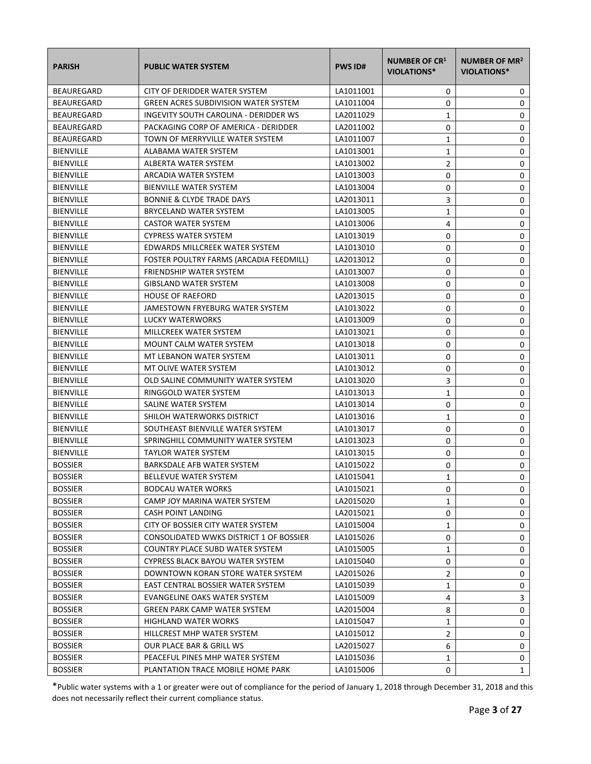| <b>PARISH</b>     | <b>PUBLIC WATER SYSTEM</b>                  | <b>PWS ID#</b> | <b>NUMBER OF CR1</b><br><b>VIOLATIONS*</b> | NUMBER OF MR <sup>2</sup><br>VIOLATIONS* |
|-------------------|---------------------------------------------|----------------|--------------------------------------------|------------------------------------------|
| BEAUREGARD        | CITY OF DERIDDER WATER SYSTEM               | LA1011001      | 0                                          | 0                                        |
| <b>BEAUREGARD</b> | <b>GREEN ACRES SUBDIVISION WATER SYSTEM</b> | LA1011004      | 0                                          | 0                                        |
| <b>BEAUREGARD</b> | INGEVITY SOUTH CAROLINA - DERIDDER WS       | LA2011029      | 1                                          | 0                                        |
| BEAUREGARD        | PACKAGING CORP OF AMERICA - DERIDDER        | LA2011002      | 0                                          | 0                                        |
| BEAUREGARD        | TOWN OF MERRYVILLE WATER SYSTEM             | LA1011007      | $\mathbf{1}$                               | 0                                        |
| <b>BIENVILLE</b>  | ALABAMA WATER SYSTEM                        | LA1013001      | 1                                          | 0                                        |
| <b>BIENVILLE</b>  | ALBERTA WATER SYSTEM                        | LA1013002      | 2                                          | 0                                        |
| <b>BIENVILLE</b>  | ARCADIA WATER SYSTEM                        | LA1013003      | 0                                          | 0                                        |
| <b>BIENVILLE</b>  | <b>BIENVILLE WATER SYSTEM</b>               | LA1013004      | 0                                          | 0                                        |
| <b>BIENVILLE</b>  | <b>BONNIE &amp; CLYDE TRADE DAYS</b>        | LA2013011      | 3                                          | 0                                        |
| <b>BIENVILLE</b>  | BRYCELAND WATER SYSTEM                      | LA1013005      | $\mathbf{1}$                               | 0                                        |
| <b>BIENVILLE</b>  | <b>CASTOR WATER SYSTEM</b>                  | LA1013006      | 4                                          | 0                                        |
| <b>BIENVILLE</b>  | <b>CYPRESS WATER SYSTEM</b>                 | LA1013019      | 0                                          | 0                                        |
| <b>BIENVILLE</b>  | EDWARDS MILLCREEK WATER SYSTEM              | LA1013010      | 0                                          | 0                                        |
| <b>BIENVILLE</b>  | FOSTER POULTRY FARMS (ARCADIA FEEDMILL)     | LA2013012      | 0                                          | 0                                        |
| <b>BIENVILLE</b>  | FRIENDSHIP WATER SYSTEM                     | LA1013007      | 0                                          | 0                                        |
| <b>BIENVILLE</b>  | <b>GIBSLAND WATER SYSTEM</b>                | LA1013008      | 0                                          | 0                                        |
| <b>BIENVILLE</b>  | <b>HOUSE OF RAEFORD</b>                     | LA2013015      | 0                                          | 0                                        |
| <b>BIENVILLE</b>  | JAMESTOWN FRYEBURG WATER SYSTEM             | LA1013022      | 0                                          | 0                                        |
| <b>BIENVILLE</b>  | LUCKY WATERWORKS                            | LA1013009      | 0                                          | 0                                        |
| <b>BIENVILLE</b>  | MILLCREEK WATER SYSTEM                      | LA1013021      | 0                                          | 0                                        |
| <b>BIENVILLE</b>  | <b>MOUNT CALM WATER SYSTEM</b>              | LA1013018      | 0                                          | 0                                        |
| <b>BIENVILLE</b>  | MT LEBANON WATER SYSTEM                     | LA1013011      | 0                                          | 0                                        |
| <b>BIENVILLE</b>  | MT OLIVE WATER SYSTEM                       | LA1013012      | 0                                          | 0                                        |
| <b>BIENVILLE</b>  | OLD SALINE COMMUNITY WATER SYSTEM           | LA1013020      | 3                                          | 0                                        |
| <b>BIENVILLE</b>  | RINGGOLD WATER SYSTEM                       | LA1013013      | 1                                          | 0                                        |
| <b>BIENVILLE</b>  | SALINE WATER SYSTEM                         | LA1013014      | 0                                          | 0                                        |
| <b>BIENVILLE</b>  | SHILOH WATERWORKS DISTRICT                  | LA1013016      | 1                                          | 0                                        |
| <b>BIENVILLE</b>  | SOUTHEAST BIENVILLE WATER SYSTEM            | LA1013017      | 0                                          | 0                                        |
| <b>BIENVILLE</b>  | SPRINGHILL COMMUNITY WATER SYSTEM           | LA1013023      | 0                                          | 0                                        |
| <b>BIENVILLE</b>  | <b>TAYLOR WATER SYSTEM</b>                  | LA1013015      | 0                                          | 0                                        |
| <b>BOSSIER</b>    | BARKSDALE AFB WATER SYSTEM                  | LA1015022      | 0                                          | 0                                        |
| <b>BOSSIER</b>    | <b>BELLEVUE WATER SYSTEM</b>                | LA1015041      | $\mathbf{1}$                               | 0                                        |
| <b>BOSSIER</b>    | <b>BODCAU WATER WORKS</b>                   | LA1015021      | 0                                          | 0                                        |
| <b>BOSSIER</b>    | CAMP JOY MARINA WATER SYSTEM                | LA2015020      | 1                                          | 0                                        |
| <b>BOSSIER</b>    | <b>CASH POINT LANDING</b>                   | LA2015021      | 0                                          | 0                                        |
| <b>BOSSIER</b>    | CITY OF BOSSIER CITY WATER SYSTEM           | LA1015004      | 1                                          | 0                                        |
| <b>BOSSIER</b>    | CONSOLIDATED WWKS DISTRICT 1 OF BOSSIER     | LA1015026      | 0                                          | 0                                        |
| <b>BOSSIER</b>    | <b>COUNTRY PLACE SUBD WATER SYSTEM</b>      | LA1015005      | 1                                          | 0                                        |
| <b>BOSSIER</b>    | CYPRESS BLACK BAYOU WATER SYSTEM            | LA1015040      | 0                                          | 0                                        |
| <b>BOSSIER</b>    | DOWNTOWN KORAN STORE WATER SYSTEM           | LA2015026      | $\overline{2}$                             | 0                                        |
| <b>BOSSIER</b>    | EAST CENTRAL BOSSIER WATER SYSTEM           | LA1015039      | $\mathbf{1}$                               | 0                                        |
| <b>BOSSIER</b>    | EVANGELINE OAKS WATER SYSTEM                | LA1015009      | 4                                          | 3                                        |
| <b>BOSSIER</b>    | <b>GREEN PARK CAMP WATER SYSTEM</b>         | LA2015004      | 8                                          | 0                                        |
| <b>BOSSIER</b>    | HIGHLAND WATER WORKS                        | LA1015047      | 1                                          | 0                                        |
| <b>BOSSIER</b>    | HILLCREST MHP WATER SYSTEM                  | LA1015012      | 2                                          | 0                                        |
| <b>BOSSIER</b>    | OUR PLACE BAR & GRILL WS                    | LA2015027      | 6                                          | 0                                        |
| <b>BOSSIER</b>    | PEACEFUL PINES MHP WATER SYSTEM             | LA1015036      | 1                                          | 0                                        |
| <b>BOSSIER</b>    | PLANTATION TRACE MOBILE HOME PARK           | LA1015006      | 0                                          | $\mathbf{1}$                             |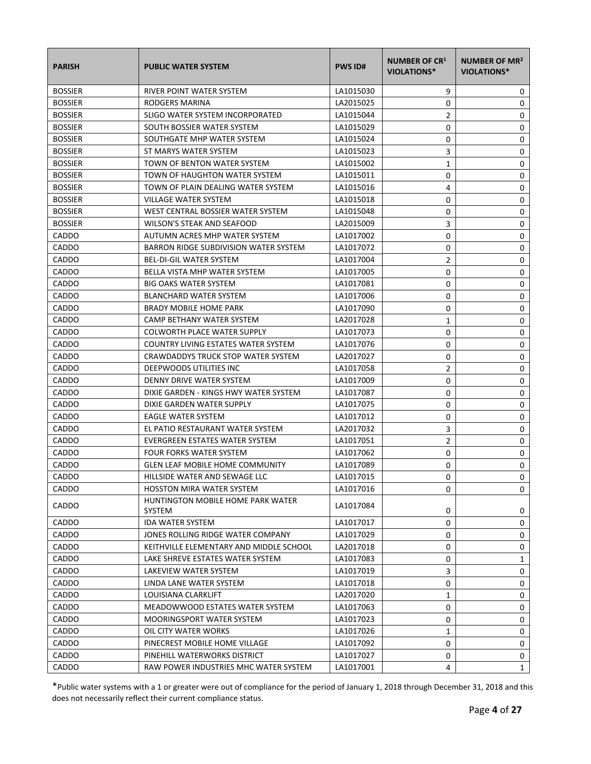| <b>PARISH</b>  | <b>PUBLIC WATER SYSTEM</b>                   | <b>PWS ID#</b> | <b>NUMBER OF CR1</b><br><b>VIOLATIONS*</b> | NUMBER OF MR <sup>2</sup><br>VIOLATIONS* |
|----------------|----------------------------------------------|----------------|--------------------------------------------|------------------------------------------|
| <b>BOSSIER</b> | RIVER POINT WATER SYSTEM                     | LA1015030      | 9                                          | 0                                        |
| <b>BOSSIER</b> | RODGERS MARINA                               | LA2015025      | 0                                          | 0                                        |
| <b>BOSSIER</b> | SLIGO WATER SYSTEM INCORPORATED              | LA1015044      | 2                                          | 0                                        |
| <b>BOSSIER</b> | SOUTH BOSSIER WATER SYSTEM                   | LA1015029      | 0                                          | 0                                        |
| <b>BOSSIER</b> | SOUTHGATE MHP WATER SYSTEM                   | LA1015024      | 0                                          | 0                                        |
| <b>BOSSIER</b> | ST MARYS WATER SYSTEM                        | LA1015023      | 3                                          | 0                                        |
| <b>BOSSIER</b> | TOWN OF BENTON WATER SYSTEM                  | LA1015002      | 1                                          | 0                                        |
| <b>BOSSIER</b> | TOWN OF HAUGHTON WATER SYSTEM                | LA1015011      | 0                                          | 0                                        |
| <b>BOSSIER</b> | TOWN OF PLAIN DEALING WATER SYSTEM           | LA1015016      | 4                                          | 0                                        |
| <b>BOSSIER</b> | VILLAGE WATER SYSTEM                         | LA1015018      | 0                                          | 0                                        |
| <b>BOSSIER</b> | WEST CENTRAL BOSSIER WATER SYSTEM            | LA1015048      | 0                                          | 0                                        |
| <b>BOSSIER</b> | WILSON'S STEAK AND SEAFOOD                   | LA2015009      | 3                                          | 0                                        |
| CADDO          | AUTUMN ACRES MHP WATER SYSTEM                | LA1017002      | 0                                          | 0                                        |
| CADDO          | <b>BARRON RIDGE SUBDIVISION WATER SYSTEM</b> | LA1017072      | 0                                          | 0                                        |
| CADDO          | <b>BEL-DI-GIL WATER SYSTEM</b>               | LA1017004      | 2                                          | 0                                        |
| CADDO          | <b>BELLA VISTA MHP WATER SYSTEM</b>          | LA1017005      | 0                                          | 0                                        |
| CADDO          | <b>BIG OAKS WATER SYSTEM</b>                 | LA1017081      | 0                                          | 0                                        |
| CADDO          | <b>BLANCHARD WATER SYSTEM</b>                | LA1017006      | 0                                          | 0                                        |
| CADDO          | <b>BRADY MOBILE HOME PARK</b>                | LA1017090      | 0                                          | 0                                        |
| CADDO          | CAMP BETHANY WATER SYSTEM                    | LA2017028      | 1                                          | 0                                        |
| CADDO          | <b>COLWORTH PLACE WATER SUPPLY</b>           | LA1017073      | 0                                          | 0                                        |
| CADDO          | COUNTRY LIVING ESTATES WATER SYSTEM          | LA1017076      | 0                                          | 0                                        |
| CADDO          | CRAWDADDYS TRUCK STOP WATER SYSTEM           | LA2017027      | 0                                          | 0                                        |
| CADDO          | DEEPWOODS UTILITIES INC                      | LA1017058      | 2                                          | 0                                        |
| CADDO          | DENNY DRIVE WATER SYSTEM                     | LA1017009      | 0                                          | 0                                        |
| CADDO          | DIXIE GARDEN - KINGS HWY WATER SYSTEM        | LA1017087      | 0                                          | 0                                        |
| CADDO          | DIXIE GARDEN WATER SUPPLY                    | LA1017075      | 0                                          | 0                                        |
| CADDO          | <b>EAGLE WATER SYSTEM</b>                    | LA1017012      | 0                                          | 0                                        |
| CADDO          | EL PATIO RESTAURANT WATER SYSTEM             | LA2017032      | 3                                          | 0                                        |
| CADDO          | EVERGREEN ESTATES WATER SYSTEM               | LA1017051      | $\overline{2}$                             | 0                                        |
| CADDO          | <b>FOUR FORKS WATER SYSTEM</b>               | LA1017062      | 0                                          | $\pmb{0}$                                |
| CADDO          | <b>GLEN LEAF MOBILE HOME COMMUNITY</b>       | LA1017089      | 0                                          | 0                                        |
| CADDO          | HILLSIDE WATER AND SEWAGE LLC                | LA1017015      | $\Omega$                                   | 0                                        |
| <b>CADDO</b>   | <b>HOSSTON MIRA WATER SYSTEM</b>             | LA1017016      | 0                                          | 0                                        |
| CADDO          | HUNTINGTON MOBILE HOME PARK WATER<br>SYSTEM  | LA1017084      | 0                                          | 0                                        |
| <b>CADDO</b>   | <b>IDA WATER SYSTEM</b>                      | LA1017017      | 0                                          | 0                                        |
| CADDO          | JONES ROLLING RIDGE WATER COMPANY            | LA1017029      | 0                                          | 0                                        |
| CADDO          | KEITHVILLE ELEMENTARY AND MIDDLE SCHOOL      | LA2017018      | 0                                          | 0                                        |
| CADDO          | LAKE SHREVE ESTATES WATER SYSTEM             | LA1017083      | 0                                          | 1                                        |
| CADDO          | LAKEVIEW WATER SYSTEM                        | LA1017019      | 3                                          | 0                                        |
| CADDO          | LINDA LANE WATER SYSTEM                      | LA1017018      | 0                                          | 0                                        |
| CADDO          | LOUISIANA CLARKLIFT                          | LA2017020      | 1                                          | 0                                        |
| CADDO          | MEADOWWOOD ESTATES WATER SYSTEM              | LA1017063      | 0                                          | 0                                        |
| CADDO          | MOORINGSPORT WATER SYSTEM                    | LA1017023      | 0                                          | 0                                        |
| CADDO          | OIL CITY WATER WORKS                         | LA1017026      | 1                                          | 0                                        |
| CADDO          | PINECREST MOBILE HOME VILLAGE                | LA1017092      | 0                                          | 0                                        |
| CADDO          | PINEHILL WATERWORKS DISTRICT                 | LA1017027      | 0                                          | 0                                        |
| CADDO          | RAW POWER INDUSTRIES MHC WATER SYSTEM        | LA1017001      | 4                                          | $\mathbf{1}$                             |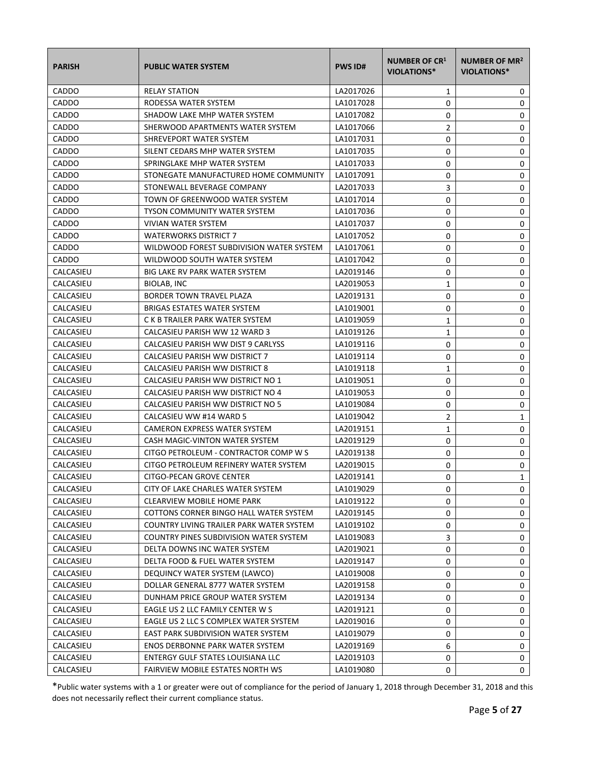| <b>PARISH</b> | <b>PUBLIC WATER SYSTEM</b>               | <b>PWS ID#</b> | <b>NUMBER OF CR1</b><br><b>VIOLATIONS*</b> | NUMBER OF MR <sup>2</sup><br>VIOLATIONS* |
|---------------|------------------------------------------|----------------|--------------------------------------------|------------------------------------------|
| CADDO         | <b>RELAY STATION</b>                     | LA2017026      | 1                                          | 0                                        |
| CADDO         | RODESSA WATER SYSTEM                     | LA1017028      | 0                                          | 0                                        |
| CADDO         | SHADOW LAKE MHP WATER SYSTEM             | LA1017082      | 0                                          | 0                                        |
| CADDO         | SHERWOOD APARTMENTS WATER SYSTEM         | LA1017066      | 2                                          | 0                                        |
| CADDO         | SHREVEPORT WATER SYSTEM                  | LA1017031      | 0                                          | 0                                        |
| CADDO         | SILENT CEDARS MHP WATER SYSTEM           | LA1017035      | 0                                          | 0                                        |
| CADDO         | SPRINGLAKE MHP WATER SYSTEM              | LA1017033      | 0                                          | 0                                        |
| CADDO         | STONEGATE MANUFACTURED HOME COMMUNITY    | LA1017091      | 0                                          | 0                                        |
| CADDO         | STONEWALL BEVERAGE COMPANY               | LA2017033      | 3                                          | 0                                        |
| CADDO         | TOWN OF GREENWOOD WATER SYSTEM           | LA1017014      | 0                                          | 0                                        |
| CADDO         | TYSON COMMUNITY WATER SYSTEM             | LA1017036      | 0                                          | 0                                        |
| CADDO         | VIVIAN WATER SYSTEM                      | LA1017037      | 0                                          | 0                                        |
| CADDO         | <b>WATERWORKS DISTRICT 7</b>             | LA1017052      | 0                                          | 0                                        |
| CADDO         | WILDWOOD FOREST SUBDIVISION WATER SYSTEM | LA1017061      | 0                                          | 0                                        |
| <b>CADDO</b>  | WILDWOOD SOUTH WATER SYSTEM              | LA1017042      | 0                                          | 0                                        |
| CALCASIEU     | <b>BIG LAKE RV PARK WATER SYSTEM</b>     | LA2019146      | 0                                          | 0                                        |
| CALCASIEU     | BIOLAB, INC                              | LA2019053      | 1                                          | 0                                        |
| CALCASIEU     | <b>BORDER TOWN TRAVEL PLAZA</b>          | LA2019131      | 0                                          | 0                                        |
| CALCASIEU     | <b>BRIGAS ESTATES WATER SYSTEM</b>       | LA1019001      | 0                                          | 0                                        |
| CALCASIEU     | C K B TRAILER PARK WATER SYSTEM          | LA1019059      | 1                                          | 0                                        |
| CALCASIEU     | CALCASIEU PARISH WW 12 WARD 3            | LA1019126      | $\mathbf{1}$                               | 0                                        |
| CALCASIEU     | CALCASIEU PARISH WW DIST 9 CARLYSS       | LA1019116      | 0                                          | 0                                        |
| CALCASIEU     | CALCASIEU PARISH WW DISTRICT 7           | LA1019114      | 0                                          | 0                                        |
| CALCASIEU     | CALCASIEU PARISH WW DISTRICT 8           | LA1019118      | 1                                          | 0                                        |
| CALCASIEU     | CALCASIEU PARISH WW DISTRICT NO 1        | LA1019051      | 0                                          | 0                                        |
| CALCASIEU     | CALCASIEU PARISH WW DISTRICT NO 4        | LA1019053      | 0                                          | 0                                        |
| CALCASIEU     | CALCASIEU PARISH WW DISTRICT NO 5        | LA1019084      | 0                                          | 0                                        |
| CALCASIEU     | CALCASIEU WW #14 WARD 5                  | LA1019042      | 2                                          | 1                                        |
| CALCASIEU     | <b>CAMERON EXPRESS WATER SYSTEM</b>      | LA2019151      | $\mathbf{1}$                               | 0                                        |
| CALCASIEU     | CASH MAGIC-VINTON WATER SYSTEM           | LA2019129      | 0                                          | 0                                        |
| CALCASIEU     | CITGO PETROLEUM - CONTRACTOR COMP W S    | LA2019138      | 0                                          | 0                                        |
| CALCASIEU     | CITGO PETROLEUM REFINERY WATER SYSTEM    | LA2019015      | 0                                          | 0                                        |
| CALCASIEU     | CITGO-PECAN GROVE CENTER                 | LA2019141      | 0                                          | 1                                        |
| CALCASIEU     | CITY OF LAKE CHARLES WATER SYSTEM        | LA1019029      | 0                                          | 0                                        |
| CALCASIEU     | <b>CLEARVIEW MOBILE HOME PARK</b>        | LA1019122      | 0                                          | 0                                        |
| CALCASIEU     | COTTONS CORNER BINGO HALL WATER SYSTEM   | LA2019145      | 0                                          | 0                                        |
| CALCASIEU     | COUNTRY LIVING TRAILER PARK WATER SYSTEM | LA1019102      | 0                                          | 0                                        |
| CALCASIEU     | COUNTRY PINES SUBDIVISION WATER SYSTEM   | LA1019083      | 3                                          | 0                                        |
| CALCASIEU     | DELTA DOWNS INC WATER SYSTEM             | LA2019021      | 0                                          | 0                                        |
| CALCASIEU     | DELTA FOOD & FUEL WATER SYSTEM           | LA2019147      | 0                                          | 0                                        |
| CALCASIEU     | DEQUINCY WATER SYSTEM (LAWCO)            | LA1019008      | 0                                          | 0                                        |
| CALCASIEU     | DOLLAR GENERAL 8777 WATER SYSTEM         | LA2019158      | 0                                          | 0                                        |
| CALCASIEU     | DUNHAM PRICE GROUP WATER SYSTEM          | LA2019134      | 0                                          | 0                                        |
| CALCASIEU     | EAGLE US 2 LLC FAMILY CENTER W S         | LA2019121      | 0                                          | 0                                        |
| CALCASIEU     | EAGLE US 2 LLC S COMPLEX WATER SYSTEM    | LA2019016      | 0                                          | 0                                        |
| CALCASIEU     | EAST PARK SUBDIVISION WATER SYSTEM       | LA1019079      | 0                                          | 0                                        |
| CALCASIEU     | <b>ENOS DERBONNE PARK WATER SYSTEM</b>   | LA2019169      | 6                                          | 0                                        |
| CALCASIEU     | ENTERGY GULF STATES LOUISIANA LLC        | LA2019103      | 0                                          | 0                                        |
| CALCASIEU     | FAIRVIEW MOBILE ESTATES NORTH WS         | LA1019080      | 0                                          | 0                                        |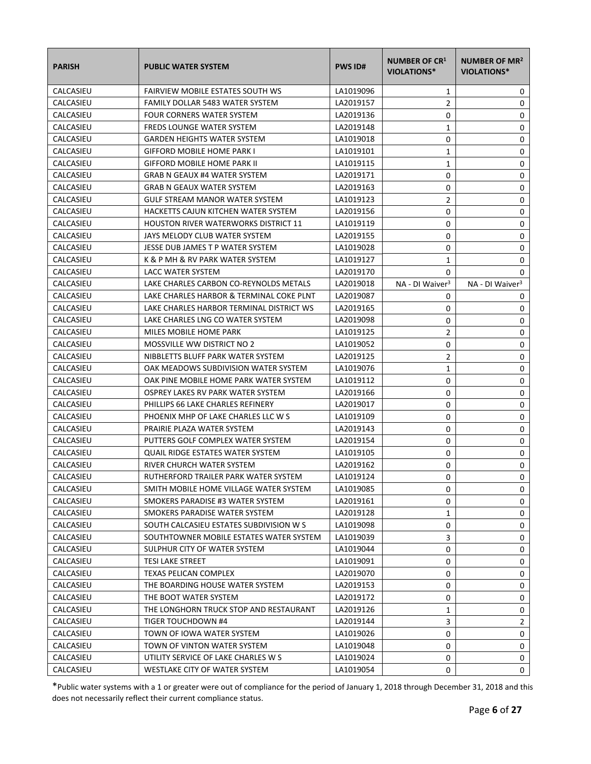| <b>PARISH</b> | <b>PUBLIC WATER SYSTEM</b>                  | <b>PWS ID#</b> | <b>NUMBER OF CR1</b><br><b>VIOLATIONS*</b> | NUMBER OF MR <sup>2</sup><br>VIOLATIONS* |
|---------------|---------------------------------------------|----------------|--------------------------------------------|------------------------------------------|
| CALCASIEU     | <b>FAIRVIEW MOBILE ESTATES SOUTH WS</b>     | LA1019096      | 1                                          | 0                                        |
| CALCASIEU     | FAMILY DOLLAR 5483 WATER SYSTEM             | LA2019157      | $\overline{2}$                             | 0                                        |
| CALCASIEU     | FOUR CORNERS WATER SYSTEM                   | LA2019136      | 0                                          | 0                                        |
| CALCASIEU     | <b>FREDS LOUNGE WATER SYSTEM</b>            | LA2019148      | 1                                          | 0                                        |
| CALCASIEU     | <b>GARDEN HEIGHTS WATER SYSTEM</b>          | LA1019018      | 0                                          | 0                                        |
| CALCASIEU     | <b>GIFFORD MOBILE HOME PARK I</b>           | LA1019101      | 1                                          | 0                                        |
| CALCASIEU     | <b>GIFFORD MOBILE HOME PARK II</b>          | LA1019115      | 1                                          | 0                                        |
| CALCASIEU     | <b>GRAB N GEAUX #4 WATER SYSTEM</b>         | LA2019171      | 0                                          | 0                                        |
| CALCASIEU     | <b>GRAB N GEAUX WATER SYSTEM</b>            | LA2019163      | 0                                          | 0                                        |
| CALCASIEU     | GULF STREAM MANOR WATER SYSTEM              | LA1019123      | 2                                          | 0                                        |
| CALCASIEU     | HACKETTS CAJUN KITCHEN WATER SYSTEM         | LA2019156      | 0                                          | 0                                        |
| CALCASIEU     | <b>HOUSTON RIVER WATERWORKS DISTRICT 11</b> | LA1019119      | 0                                          | 0                                        |
| CALCASIEU     | JAYS MELODY CLUB WATER SYSTEM               | LA2019155      | 0                                          | 0                                        |
| CALCASIEU     | JESSE DUB JAMES T P WATER SYSTEM            | LA1019028      | 0                                          | 0                                        |
| CALCASIEU     | K & P MH & RV PARK WATER SYSTEM             | LA1019127      | 1                                          | 0                                        |
| CALCASIEU     | <b>LACC WATER SYSTEM</b>                    | LA2019170      | 0                                          | 0                                        |
| CALCASIEU     | LAKE CHARLES CARBON CO-REYNOLDS METALS      | LA2019018      | NA - DI Waiver <sup>3</sup>                | NA - DI Waiver <sup>3</sup>              |
| CALCASIEU     | LAKE CHARLES HARBOR & TERMINAL COKE PLNT    | LA2019087      | 0                                          | 0                                        |
| CALCASIEU     | LAKE CHARLES HARBOR TERMINAL DISTRICT WS    | LA2019165      | 0                                          | 0                                        |
| CALCASIEU     | LAKE CHARLES LNG CO WATER SYSTEM            | LA2019098      | 0                                          | 0                                        |
| CALCASIEU     | MILES MOBILE HOME PARK                      | LA1019125      | $\overline{2}$                             | 0                                        |
| CALCASIEU     | <b>MOSSVILLE WW DISTRICT NO 2</b>           | LA1019052      | 0                                          | 0                                        |
| CALCASIEU     | NIBBLETTS BLUFF PARK WATER SYSTEM           | LA2019125      | 2                                          | 0                                        |
| CALCASIEU     | OAK MEADOWS SUBDIVISION WATER SYSTEM        | LA1019076      | $\mathbf{1}$                               | 0                                        |
| CALCASIEU     | OAK PINE MOBILE HOME PARK WATER SYSTEM      | LA1019112      | 0                                          | 0                                        |
| CALCASIEU     | OSPREY LAKES RV PARK WATER SYSTEM           | LA2019166      | 0                                          | 0                                        |
| CALCASIEU     | PHILLIPS 66 LAKE CHARLES REFINERY           | LA2019017      | 0                                          | 0                                        |
| CALCASIEU     | PHOENIX MHP OF LAKE CHARLES LLC W S         | LA1019109      | 0                                          | 0                                        |
| CALCASIEU     | PRAIRIE PLAZA WATER SYSTEM                  | LA2019143      | 0                                          | 0                                        |
| CALCASIEU     | PUTTERS GOLF COMPLEX WATER SYSTEM           | LA2019154      | 0                                          | 0                                        |
| CALCASIEU     | QUAIL RIDGE ESTATES WATER SYSTEM            | LA1019105      | 0                                          | $\mathbf 0$                              |
| CALCASIEU     | RIVER CHURCH WATER SYSTEM                   | LA2019162      | 0                                          | 0                                        |
| CALCASIEU     | RUTHERFORD TRAILER PARK WATER SYSTEM        | LA1019124      | 0                                          | 0                                        |
| CALCASIEU     | SMITH MOBILE HOME VILLAGE WATER SYSTEM      | LA1019085      | 0                                          | 0                                        |
| CALCASIEU     | SMOKERS PARADISE #3 WATER SYSTEM            | LA2019161      | 0                                          | 0                                        |
| CALCASIEU     | SMOKERS PARADISE WATER SYSTEM               | LA2019128      | 1                                          | 0                                        |
| CALCASIEU     | SOUTH CALCASIEU ESTATES SUBDIVISION W S     | LA1019098      | 0                                          | 0                                        |
| CALCASIEU     | SOUTHTOWNER MOBILE ESTATES WATER SYSTEM     | LA1019039      | 3                                          | 0                                        |
| CALCASIEU     | SULPHUR CITY OF WATER SYSTEM                | LA1019044      | 0                                          | 0                                        |
| CALCASIEU     | <b>TESI LAKE STREET</b>                     | LA1019091      | 0                                          | 0                                        |
| CALCASIEU     | TEXAS PELICAN COMPLEX                       | LA2019070      | 0                                          | 0                                        |
| CALCASIEU     | THE BOARDING HOUSE WATER SYSTEM             | LA2019153      | 0                                          | 0                                        |
| CALCASIEU     | THE BOOT WATER SYSTEM                       | LA2019172      | 0                                          | 0                                        |
| CALCASIEU     | THE LONGHORN TRUCK STOP AND RESTAURANT      | LA2019126      | 1                                          | 0                                        |
| CALCASIEU     | TIGER TOUCHDOWN #4                          | LA2019144      | 3                                          | 2                                        |
| CALCASIEU     | TOWN OF IOWA WATER SYSTEM                   | LA1019026      | 0                                          | 0                                        |
| CALCASIEU     | TOWN OF VINTON WATER SYSTEM                 | LA1019048      | 0                                          | 0                                        |
| CALCASIEU     | UTILITY SERVICE OF LAKE CHARLES W S         | LA1019024      | 0                                          | 0                                        |
| CALCASIEU     | WESTLAKE CITY OF WATER SYSTEM               | LA1019054      | 0                                          | 0                                        |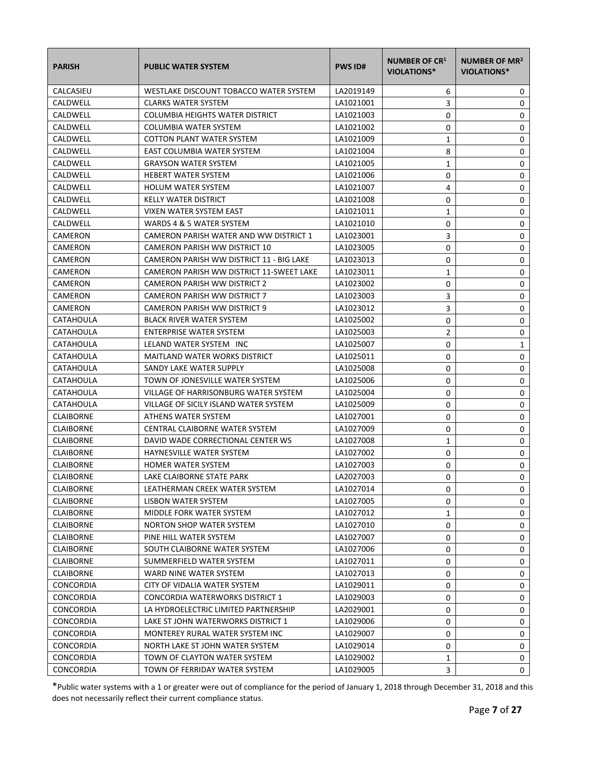| <b>PARISH</b>    | <b>PUBLIC WATER SYSTEM</b>               | <b>PWS ID#</b> | <b>NUMBER OF CR1</b><br><b>VIOLATIONS*</b> | NUMBER OF MR <sup>2</sup><br>VIOLATIONS* |
|------------------|------------------------------------------|----------------|--------------------------------------------|------------------------------------------|
| CALCASIEU        | WESTLAKE DISCOUNT TOBACCO WATER SYSTEM   | LA2019149      | 6                                          | 0                                        |
| CALDWELL         | <b>CLARKS WATER SYSTEM</b>               | LA1021001      | 3                                          | 0                                        |
| CALDWELL         | COLUMBIA HEIGHTS WATER DISTRICT          | LA1021003      | 0                                          | 0                                        |
| CALDWELL         | COLUMBIA WATER SYSTEM                    | LA1021002      | 0                                          | 0                                        |
| CALDWELL         | COTTON PLANT WATER SYSTEM                | LA1021009      | 1                                          | 0                                        |
| CALDWELL         | EAST COLUMBIA WATER SYSTEM               | LA1021004      | 8                                          | 0                                        |
| CALDWELL         | <b>GRAYSON WATER SYSTEM</b>              | LA1021005      | 1                                          | 0                                        |
| CALDWELL         | <b>HEBERT WATER SYSTEM</b>               | LA1021006      | 0                                          | 0                                        |
| CALDWELL         | <b>HOLUM WATER SYSTEM</b>                | LA1021007      | 4                                          | 0                                        |
| CALDWELL         | <b>KELLY WATER DISTRICT</b>              | LA1021008      | 0                                          | 0                                        |
| CALDWELL         | VIXEN WATER SYSTEM EAST                  | LA1021011      | $\mathbf{1}$                               | 0                                        |
| CALDWELL         | WARDS 4 & 5 WATER SYSTEM                 | LA1021010      | 0                                          | 0                                        |
| CAMERON          | CAMERON PARISH WATER AND WW DISTRICT 1   | LA1023001      | 3                                          | 0                                        |
| <b>CAMERON</b>   | CAMERON PARISH WW DISTRICT 10            | LA1023005      | 0                                          | 0                                        |
| CAMERON          | CAMERON PARISH WW DISTRICT 11 - BIG LAKE | LA1023013      | 0                                          | 0                                        |
| CAMERON          | CAMERON PARISH WW DISTRICT 11-SWEET LAKE | LA1023011      | 1                                          | 0                                        |
| CAMERON          | CAMERON PARISH WW DISTRICT 2             | LA1023002      | 0                                          | 0                                        |
| CAMERON          | CAMERON PARISH WW DISTRICT 7             | LA1023003      | 3                                          | 0                                        |
| CAMERON          | CAMERON PARISH WW DISTRICT 9             | LA1023012      | 3                                          | 0                                        |
| CATAHOULA        | <b>BLACK RIVER WATER SYSTEM</b>          | LA1025002      | 0                                          | 0                                        |
| CATAHOULA        | <b>ENTERPRISE WATER SYSTEM</b>           | LA1025003      | 2                                          | 0                                        |
| CATAHOULA        | LELAND WATER SYSTEM INC                  | LA1025007      | 0                                          | $\mathbf{1}$                             |
| CATAHOULA        | MAITLAND WATER WORKS DISTRICT            | LA1025011      | 0                                          | 0                                        |
| CATAHOULA        | SANDY LAKE WATER SUPPLY                  | LA1025008      | 0                                          | 0                                        |
| CATAHOULA        | TOWN OF JONESVILLE WATER SYSTEM          | LA1025006      | 0                                          | 0                                        |
| <b>CATAHOULA</b> | VILLAGE OF HARRISONBURG WATER SYSTEM     | LA1025004      | 0                                          | 0                                        |
| CATAHOULA        | VILLAGE OF SICILY ISLAND WATER SYSTEM    | LA1025009      | 0                                          | 0                                        |
| <b>CLAIBORNE</b> | ATHENS WATER SYSTEM                      | LA1027001      | 0                                          | 0                                        |
| <b>CLAIBORNE</b> | CENTRAL CLAIBORNE WATER SYSTEM           | LA1027009      | 0                                          | 0                                        |
| <b>CLAIBORNE</b> | DAVID WADE CORRECTIONAL CENTER WS        | LA1027008      | $\mathbf{1}$                               | 0                                        |
| <b>CLAIBORNE</b> | <b>HAYNESVILLE WATER SYSTEM</b>          | LA1027002      | 0                                          | 0                                        |
| <b>CLAIBORNE</b> | <b>HOMER WATER SYSTEM</b>                | LA1027003      | 0                                          | 0                                        |
| <b>CLAIBORNE</b> | LAKE CLAIBORNE STATE PARK                | LA2027003      | 0                                          | 0                                        |
| <b>CLAIBORNE</b> | LEATHERMAN CREEK WATER SYSTEM            | LA1027014      | 0                                          | 0                                        |
| <b>CLAIBORNE</b> | LISBON WATER SYSTEM                      | LA1027005      | 0                                          | 0                                        |
| <b>CLAIBORNE</b> | MIDDLE FORK WATER SYSTEM                 | LA1027012      | 1                                          | 0                                        |
| <b>CLAIBORNE</b> | NORTON SHOP WATER SYSTEM                 | LA1027010      | 0                                          | 0                                        |
| <b>CLAIBORNE</b> | PINE HILL WATER SYSTEM                   | LA1027007      | 0                                          | 0                                        |
| <b>CLAIBORNE</b> | SOUTH CLAIBORNE WATER SYSTEM             | LA1027006      | 0                                          | 0                                        |
| <b>CLAIBORNE</b> | SUMMERFIELD WATER SYSTEM                 | LA1027011      | 0                                          | 0                                        |
| <b>CLAIBORNE</b> | WARD NINE WATER SYSTEM                   | LA1027013      | 0                                          | 0                                        |
| <b>CONCORDIA</b> | CITY OF VIDALIA WATER SYSTEM             | LA1029011      | 0                                          | 0                                        |
| CONCORDIA        | CONCORDIA WATERWORKS DISTRICT 1          | LA1029003      | 0                                          | 0                                        |
| CONCORDIA        | LA HYDROELECTRIC LIMITED PARTNERSHIP     | LA2029001      | 0                                          | 0                                        |
| CONCORDIA        | LAKE ST JOHN WATERWORKS DISTRICT 1       | LA1029006      | 0                                          | 0                                        |
| CONCORDIA        | MONTEREY RURAL WATER SYSTEM INC          | LA1029007      | 0                                          | 0                                        |
| <b>CONCORDIA</b> | NORTH LAKE ST JOHN WATER SYSTEM          | LA1029014      | 0                                          | 0                                        |
| CONCORDIA        | TOWN OF CLAYTON WATER SYSTEM             | LA1029002      | 1                                          | 0                                        |
| <b>CONCORDIA</b> | TOWN OF FERRIDAY WATER SYSTEM            | LA1029005      | 3                                          | 0                                        |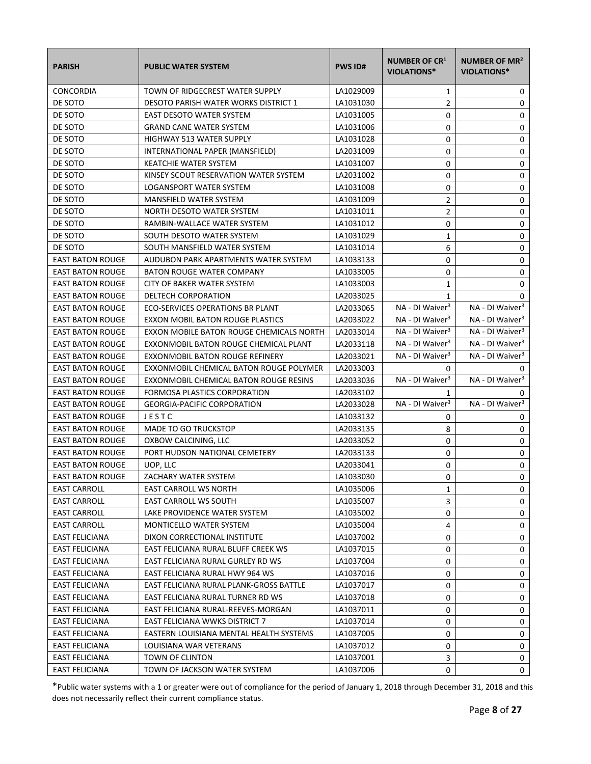| <b>PARISH</b>           | <b>PUBLIC WATER SYSTEM</b>               | <b>PWS ID#</b> | <b>NUMBER OF CR1</b><br><b>VIOLATIONS*</b> | NUMBER OF MR <sup>2</sup><br><b>VIOLATIONS*</b> |
|-------------------------|------------------------------------------|----------------|--------------------------------------------|-------------------------------------------------|
| <b>CONCORDIA</b>        | TOWN OF RIDGECREST WATER SUPPLY          | LA1029009      | 1                                          | 0                                               |
| DE SOTO                 | DESOTO PARISH WATER WORKS DISTRICT 1     | LA1031030      | $\overline{2}$                             | 0                                               |
| DE SOTO                 | <b>EAST DESOTO WATER SYSTEM</b>          | LA1031005      | 0                                          | 0                                               |
| DE SOTO                 | <b>GRAND CANE WATER SYSTEM</b>           | LA1031006      | 0                                          | 0                                               |
| DE SOTO                 | <b>HIGHWAY 513 WATER SUPPLY</b>          | LA1031028      | 0                                          | 0                                               |
| DE SOTO                 | INTERNATIONAL PAPER (MANSFIELD)          | LA2031009      | 0                                          | 0                                               |
| DE SOTO                 | <b>KEATCHIE WATER SYSTEM</b>             | LA1031007      | 0                                          | 0                                               |
| DE SOTO                 | KINSEY SCOUT RESERVATION WATER SYSTEM    | LA2031002      | 0                                          | 0                                               |
| DE SOTO                 | LOGANSPORT WATER SYSTEM                  | LA1031008      | 0                                          | 0                                               |
| DE SOTO                 | MANSFIELD WATER SYSTEM                   | LA1031009      | $\overline{2}$                             | 0                                               |
| DE SOTO                 | NORTH DESOTO WATER SYSTEM                | LA1031011      | $\overline{2}$                             | 0                                               |
| DE SOTO                 | RAMBIN-WALLACE WATER SYSTEM              | LA1031012      | 0                                          | 0                                               |
| DE SOTO                 | SOUTH DESOTO WATER SYSTEM                | LA1031029      | $\mathbf{1}$                               | 0                                               |
| DE SOTO                 | SOUTH MANSFIELD WATER SYSTEM             | LA1031014      | 6                                          | 0                                               |
| <b>EAST BATON ROUGE</b> | AUDUBON PARK APARTMENTS WATER SYSTEM     | LA1033133      | 0                                          | 0                                               |
| <b>EAST BATON ROUGE</b> | <b>BATON ROUGE WATER COMPANY</b>         | LA1033005      | 0                                          | 0                                               |
| <b>EAST BATON ROUGE</b> | CITY OF BAKER WATER SYSTEM               | LA1033003      | 1                                          | 0                                               |
| <b>EAST BATON ROUGE</b> | DELTECH CORPORATION                      | LA2033025      | 1                                          | 0                                               |
| <b>EAST BATON ROUGE</b> | ECO-SERVICES OPERATIONS BR PLANT         | LA2033065      | NA - DI Waiver <sup>3</sup>                | NA - DI Waiver <sup>3</sup>                     |
| <b>EAST BATON ROUGE</b> | <b>EXXON MOBIL BATON ROUGE PLASTICS</b>  | LA2033022      | NA - DI Waiver <sup>3</sup>                | NA - DI Waiver <sup>3</sup>                     |
| <b>EAST BATON ROUGE</b> | EXXON MOBILE BATON ROUGE CHEMICALS NORTH | LA2033014      | NA - DI Waiver <sup>3</sup>                | NA - DI Waiver <sup>3</sup>                     |
| <b>EAST BATON ROUGE</b> | EXXONMOBIL BATON ROUGE CHEMICAL PLANT    | LA2033118      | NA - DI Waiver <sup>3</sup>                | NA - DI Waiver <sup>3</sup>                     |
| <b>EAST BATON ROUGE</b> | EXXONMOBIL BATON ROUGE REFINERY          | LA2033021      | NA - DI Waiver <sup>3</sup>                | NA - DI Waiver <sup>3</sup>                     |
| <b>EAST BATON ROUGE</b> | EXXONMOBIL CHEMICAL BATON ROUGE POLYMER  | LA2033003      | 0                                          | 0                                               |
| <b>EAST BATON ROUGE</b> | EXXONMOBIL CHEMICAL BATON ROUGE RESINS   | LA2033036      | NA - DI Waiver <sup>3</sup>                | NA - DI Waiver <sup>3</sup>                     |
| <b>EAST BATON ROUGE</b> | FORMOSA PLASTICS CORPORATION             | LA2033102      | 1                                          | 0                                               |
| <b>EAST BATON ROUGE</b> | <b>GEORGIA-PACIFIC CORPORATION</b>       | LA2033028      | NA - DI Waiver <sup>3</sup>                | NA - DI Waiver <sup>3</sup>                     |
| <b>EAST BATON ROUGE</b> | JESTC                                    | LA1033132      | 0                                          | 0                                               |
| <b>EAST BATON ROUGE</b> | <b>MADE TO GO TRUCKSTOP</b>              | LA2033135      | 8                                          | 0                                               |
| <b>EAST BATON ROUGE</b> | OXBOW CALCINING, LLC                     | LA2033052      | 0                                          | 0                                               |
| <b>EAST BATON ROUGE</b> | PORT HUDSON NATIONAL CEMETERY            | LA2033133      | 0                                          | $\mathbf 0$                                     |
| <b>EAST BATON ROUGE</b> | UOP, LLC                                 | LA2033041      | 0                                          | 0                                               |
| <b>EAST BATON ROUGE</b> | ZACHARY WATER SYSTEM                     | LA1033030      | 0                                          | 0                                               |
| <b>EAST CARROLL</b>     | EAST CARROLL WS NORTH                    | LA1035006      | 1                                          | 0                                               |
| <b>EAST CARROLL</b>     | <b>EAST CARROLL WS SOUTH</b>             | LA1035007      | 3                                          | 0                                               |
| <b>EAST CARROLL</b>     | LAKE PROVIDENCE WATER SYSTEM             | LA1035002      | 0                                          | 0                                               |
| <b>EAST CARROLL</b>     | MONTICELLO WATER SYSTEM                  | LA1035004      | 4                                          | 0                                               |
| <b>EAST FELICIANA</b>   | DIXON CORRECTIONAL INSTITUTE             | LA1037002      | 0                                          | 0                                               |
| EAST FELICIANA          | EAST FELICIANA RURAL BLUFF CREEK WS      | LA1037015      | 0                                          | 0                                               |
| <b>EAST FELICIANA</b>   | EAST FELICIANA RURAL GURLEY RD WS        | LA1037004      | 0                                          | 0                                               |
| EAST FELICIANA          | EAST FELICIANA RURAL HWY 964 WS          | LA1037016      | 0                                          | 0                                               |
| EAST FELICIANA          | EAST FELICIANA RURAL PLANK-GROSS BATTLE  | LA1037017      | 0                                          | 0                                               |
| <b>EAST FELICIANA</b>   | EAST FELICIANA RURAL TURNER RD WS        | LA1037018      | 0                                          | 0                                               |
| <b>EAST FELICIANA</b>   | EAST FELICIANA RURAL-REEVES-MORGAN       | LA1037011      | 0                                          | 0                                               |
| EAST FELICIANA          | <b>EAST FELICIANA WWKS DISTRICT 7</b>    | LA1037014      | 0                                          | 0                                               |
| <b>EAST FELICIANA</b>   | EASTERN LOUISIANA MENTAL HEALTH SYSTEMS  | LA1037005      | 0                                          | 0                                               |
| EAST FELICIANA          | LOUISIANA WAR VETERANS                   | LA1037012      | 0                                          | 0                                               |
| EAST FELICIANA          | TOWN OF CLINTON                          | LA1037001      | 3                                          | 0                                               |
| <b>EAST FELICIANA</b>   | TOWN OF JACKSON WATER SYSTEM             | LA1037006      | 0                                          | 0                                               |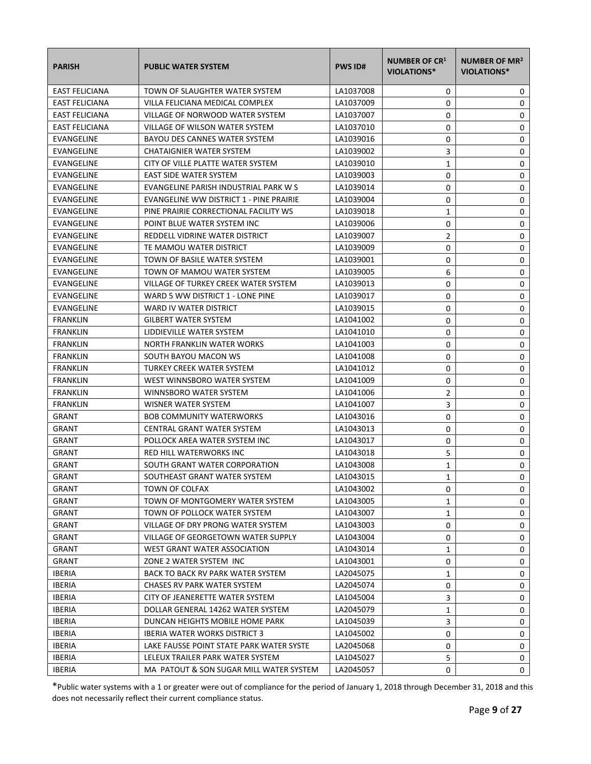| <b>PARISH</b>         | <b>PUBLIC WATER SYSTEM</b>                | <b>PWS ID#</b> | <b>NUMBER OF CR1</b><br><b>VIOLATIONS*</b> | NUMBER OF MR <sup>2</sup><br>VIOLATIONS* |
|-----------------------|-------------------------------------------|----------------|--------------------------------------------|------------------------------------------|
| <b>EAST FELICIANA</b> | TOWN OF SLAUGHTER WATER SYSTEM            | LA1037008      | 0                                          | 0                                        |
| <b>EAST FELICIANA</b> | VILLA FELICIANA MEDICAL COMPLEX           | LA1037009      | 0                                          | 0                                        |
| <b>EAST FELICIANA</b> | VILLAGE OF NORWOOD WATER SYSTEM           | LA1037007      | 0                                          | 0                                        |
| EAST FELICIANA        | VILLAGE OF WILSON WATER SYSTEM            | LA1037010      | 0                                          | 0                                        |
| EVANGELINE            | BAYOU DES CANNES WATER SYSTEM             | LA1039016      | 0                                          | 0                                        |
| EVANGELINE            | CHATAIGNIER WATER SYSTEM                  | LA1039002      | 3                                          | 0                                        |
| EVANGELINE            | CITY OF VILLE PLATTE WATER SYSTEM         | LA1039010      | 1                                          | 0                                        |
| EVANGELINE            | EAST SIDE WATER SYSTEM                    | LA1039003      | 0                                          | 0                                        |
| EVANGELINE            | EVANGELINE PARISH INDUSTRIAL PARK W S     | LA1039014      | 0                                          | 0                                        |
| EVANGELINE            | EVANGELINE WW DISTRICT 1 - PINE PRAIRIE   | LA1039004      | 0                                          | 0                                        |
| EVANGELINE            | PINE PRAIRIE CORRECTIONAL FACILITY WS     | LA1039018      | $\mathbf{1}$                               | 0                                        |
| EVANGELINE            | POINT BLUE WATER SYSTEM INC               | LA1039006      | 0                                          | 0                                        |
| <b>EVANGELINE</b>     | REDDELL VIDRINE WATER DISTRICT            | LA1039007      | $\overline{2}$                             | 0                                        |
| <b>EVANGELINE</b>     | TE MAMOU WATER DISTRICT                   | LA1039009      | 0                                          | 0                                        |
| <b>EVANGELINE</b>     | TOWN OF BASILE WATER SYSTEM               | LA1039001      | 0                                          | 0                                        |
| EVANGELINE            | TOWN OF MAMOU WATER SYSTEM                | LA1039005      | 6                                          | 0                                        |
| EVANGELINE            | VILLAGE OF TURKEY CREEK WATER SYSTEM      | LA1039013      | 0                                          | 0                                        |
| EVANGELINE            | WARD 5 WW DISTRICT 1 - LONE PINE          | LA1039017      | 0                                          | 0                                        |
| EVANGELINE            | WARD IV WATER DISTRICT                    | LA1039015      | 0                                          | 0                                        |
| <b>FRANKLIN</b>       | <b>GILBERT WATER SYSTEM</b>               | LA1041002      | 0                                          | 0                                        |
| <b>FRANKLIN</b>       | LIDDIEVILLE WATER SYSTEM                  | LA1041010      | 0                                          | 0                                        |
| <b>FRANKLIN</b>       | NORTH FRANKLIN WATER WORKS                | LA1041003      | 0                                          | 0                                        |
| <b>FRANKLIN</b>       | SOUTH BAYOU MACON WS                      | LA1041008      | 0                                          | 0                                        |
| <b>FRANKLIN</b>       | TURKEY CREEK WATER SYSTEM                 | LA1041012      | 0                                          | 0                                        |
| <b>FRANKLIN</b>       | WEST WINNSBORO WATER SYSTEM               | LA1041009      | 0                                          | 0                                        |
| <b>FRANKLIN</b>       | <b>WINNSBORO WATER SYSTEM</b>             | LA1041006      | 2                                          | 0                                        |
| <b>FRANKLIN</b>       | WISNER WATER SYSTEM                       | LA1041007      | 3                                          | 0                                        |
| GRANT                 | <b>BOB COMMUNITY WATERWORKS</b>           | LA1043016      | 0                                          | 0                                        |
| GRANT                 | CENTRAL GRANT WATER SYSTEM                | LA1043013      | 0                                          | 0                                        |
| GRANT                 | POLLOCK AREA WATER SYSTEM INC             | LA1043017      | 0                                          | 0                                        |
| <b>GRANT</b>          | RED HILL WATERWORKS INC                   | LA1043018      | 5                                          | 0                                        |
| <b>GRANT</b>          | SOUTH GRANT WATER CORPORATION             | LA1043008      | $\mathbf{1}$                               | 0                                        |
| <b>GRANT</b>          | SOUTHEAST GRANT WATER SYSTEM              | LA1043015      | $\mathbf{1}$                               | 0                                        |
| GRANT                 | <b>TOWN OF COLFAX</b>                     | LA1043002      | 0                                          | 0                                        |
| <b>GRANT</b>          | TOWN OF MONTGOMERY WATER SYSTEM           | LA1043005      | 1                                          | 0                                        |
| <b>GRANT</b>          | TOWN OF POLLOCK WATER SYSTEM              | LA1043007      | $\mathbf{1}$                               | 0                                        |
| GRANT                 | VILLAGE OF DRY PRONG WATER SYSTEM         | LA1043003      | 0                                          | 0                                        |
| <b>GRANT</b>          | <b>VILLAGE OF GEORGETOWN WATER SUPPLY</b> | LA1043004      | 0                                          | 0                                        |
| <b>GRANT</b>          | WEST GRANT WATER ASSOCIATION              | LA1043014      | 1                                          | 0                                        |
| GRANT                 | ZONE 2 WATER SYSTEM INC                   | LA1043001      | 0                                          | 0                                        |
| <b>IBERIA</b>         | BACK TO BACK RV PARK WATER SYSTEM         | LA2045075      | 1                                          | 0                                        |
| <b>IBERIA</b>         | CHASES RV PARK WATER SYSTEM               | LA2045074      | 0                                          | 0                                        |
| <b>IBERIA</b>         | CITY OF JEANERETTE WATER SYSTEM           | LA1045004      | 3                                          | 0                                        |
| <b>IBERIA</b>         | DOLLAR GENERAL 14262 WATER SYSTEM         | LA2045079      | $\mathbf{1}$                               | 0                                        |
| <b>IBERIA</b>         | DUNCAN HEIGHTS MOBILE HOME PARK           | LA1045039      | 3                                          | 0                                        |
| <b>IBERIA</b>         | <b>IBERIA WATER WORKS DISTRICT 3</b>      | LA1045002      | 0                                          | 0                                        |
| <b>IBERIA</b>         | LAKE FAUSSE POINT STATE PARK WATER SYSTE  | LA2045068      | 0                                          | 0                                        |
| <b>IBERIA</b>         | LELEUX TRAILER PARK WATER SYSTEM          | LA1045027      | 5                                          | 0                                        |
| <b>IBERIA</b>         | MA PATOUT & SON SUGAR MILL WATER SYSTEM   | LA2045057      | 0                                          | 0                                        |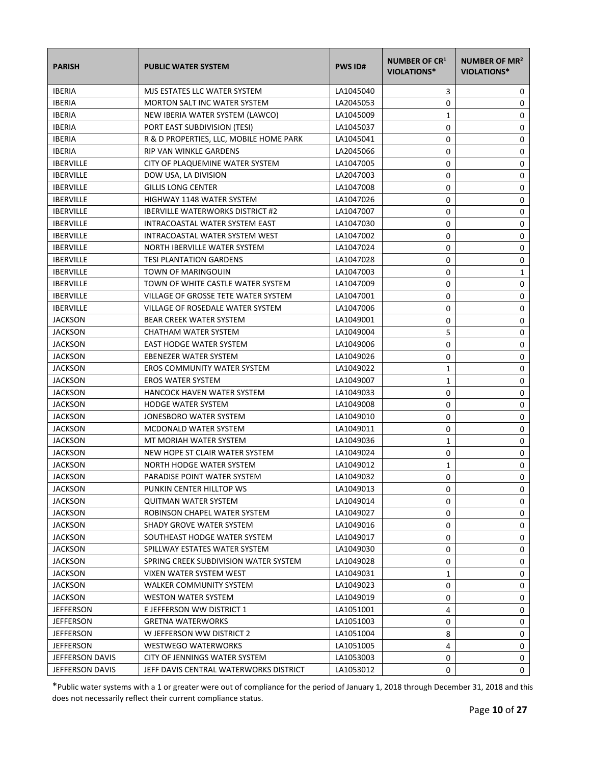| <b>PARISH</b>    | <b>PUBLIC WATER SYSTEM</b>              | <b>PWS ID#</b> | <b>NUMBER OF CR1</b><br><b>VIOLATIONS*</b> | NUMBER OF MR <sup>2</sup><br><b>VIOLATIONS*</b> |
|------------------|-----------------------------------------|----------------|--------------------------------------------|-------------------------------------------------|
| <b>IBERIA</b>    | MJS ESTATES LLC WATER SYSTEM            | LA1045040      | 3                                          | 0                                               |
| <b>IBERIA</b>    | <b>MORTON SALT INC WATER SYSTEM</b>     | LA2045053      | 0                                          | 0                                               |
| <b>IBERIA</b>    | NEW IBERIA WATER SYSTEM (LAWCO)         | LA1045009      | 1                                          | 0                                               |
| <b>IBERIA</b>    | PORT EAST SUBDIVISION (TESI)            | LA1045037      | 0                                          | 0                                               |
| <b>IBERIA</b>    | R & D PROPERTIES, LLC, MOBILE HOME PARK | LA1045041      | 0                                          | 0                                               |
| <b>IBERIA</b>    | RIP VAN WINKLE GARDENS                  | LA2045066      | 0                                          | 0                                               |
| <b>IBERVILLE</b> | CITY OF PLAQUEMINE WATER SYSTEM         | LA1047005      | 0                                          | 0                                               |
| <b>IBERVILLE</b> | DOW USA, LA DIVISION                    | LA2047003      | 0                                          | 0                                               |
| <b>IBERVILLE</b> | <b>GILLIS LONG CENTER</b>               | LA1047008      | 0                                          | 0                                               |
| <b>IBERVILLE</b> | <b>HIGHWAY 1148 WATER SYSTEM</b>        | LA1047026      | 0                                          | 0                                               |
| <b>IBERVILLE</b> | <b>IBERVILLE WATERWORKS DISTRICT #2</b> | LA1047007      | 0                                          | 0                                               |
| <b>IBERVILLE</b> | INTRACOASTAL WATER SYSTEM EAST          | LA1047030      | 0                                          | 0                                               |
| <b>IBERVILLE</b> | INTRACOASTAL WATER SYSTEM WEST          | LA1047002      | 0                                          | 0                                               |
| <b>IBERVILLE</b> | NORTH IBERVILLE WATER SYSTEM            | LA1047024      | 0                                          | 0                                               |
| <b>IBERVILLE</b> | <b>TESI PLANTATION GARDENS</b>          | LA1047028      | 0                                          | 0                                               |
| <b>IBERVILLE</b> | <b>TOWN OF MARINGOUIN</b>               | LA1047003      | 0                                          | 1                                               |
| <b>IBERVILLE</b> | TOWN OF WHITE CASTLE WATER SYSTEM       | LA1047009      | 0                                          | 0                                               |
| <b>IBERVILLE</b> | VILLAGE OF GROSSE TETE WATER SYSTEM     | LA1047001      | 0                                          | 0                                               |
| <b>IBERVILLE</b> | VILLAGE OF ROSEDALE WATER SYSTEM        | LA1047006      | 0                                          | 0                                               |
| <b>JACKSON</b>   | <b>BEAR CREEK WATER SYSTEM</b>          | LA1049001      | 0                                          | 0                                               |
| <b>JACKSON</b>   | CHATHAM WATER SYSTEM                    | LA1049004      | 5                                          | 0                                               |
| <b>JACKSON</b>   | EAST HODGE WATER SYSTEM                 | LA1049006      | 0                                          | 0                                               |
| <b>JACKSON</b>   | EBENEZER WATER SYSTEM                   | LA1049026      | 0                                          | 0                                               |
| <b>JACKSON</b>   | <b>EROS COMMUNITY WATER SYSTEM</b>      | LA1049022      | 1                                          | 0                                               |
| <b>JACKSON</b>   | <b>EROS WATER SYSTEM</b>                | LA1049007      | 1                                          | 0                                               |
| <b>JACKSON</b>   | HANCOCK HAVEN WATER SYSTEM              | LA1049033      | 0                                          | 0                                               |
| <b>JACKSON</b>   | <b>HODGE WATER SYSTEM</b>               | LA1049008      | 0                                          | 0                                               |
| <b>JACKSON</b>   | JONESBORO WATER SYSTEM                  | LA1049010      | 0                                          | 0                                               |
| <b>JACKSON</b>   | MCDONALD WATER SYSTEM                   | LA1049011      | 0                                          | 0                                               |
| <b>JACKSON</b>   | MT MORIAH WATER SYSTEM                  | LA1049036      | 1                                          | 0                                               |
| <b>JACKSON</b>   | NEW HOPE ST CLAIR WATER SYSTEM          | LA1049024      | 0                                          | 0                                               |
| <b>JACKSON</b>   | NORTH HODGE WATER SYSTEM                | LA1049012      | 1                                          | 0                                               |
| <b>JACKSON</b>   | PARADISE POINT WATER SYSTEM             | LA1049032      | 0                                          | 0                                               |
| <b>JACKSON</b>   | PUNKIN CENTER HILLTOP WS                | LA1049013      | 0                                          | 0                                               |
| <b>JACKSON</b>   | <b>QUITMAN WATER SYSTEM</b>             | LA1049014      | 0                                          | 0                                               |
| <b>JACKSON</b>   | ROBINSON CHAPEL WATER SYSTEM            | LA1049027      | 0                                          | 0                                               |
| <b>JACKSON</b>   | SHADY GROVE WATER SYSTEM                | LA1049016      | 0                                          | 0                                               |
| <b>JACKSON</b>   | SOUTHEAST HODGE WATER SYSTEM            | LA1049017      | 0                                          | 0                                               |
| <b>JACKSON</b>   | SPILLWAY ESTATES WATER SYSTEM           | LA1049030      | 0                                          | 0                                               |
| <b>JACKSON</b>   | SPRING CREEK SUBDIVISION WATER SYSTEM   | LA1049028      | 0                                          | 0                                               |
| <b>JACKSON</b>   | VIXEN WATER SYSTEM WEST                 | LA1049031      | 1                                          | 0                                               |
| <b>JACKSON</b>   | <b>WALKER COMMUNITY SYSTEM</b>          | LA1049023      | 0                                          | 0                                               |
| <b>JACKSON</b>   | <b>WESTON WATER SYSTEM</b>              | LA1049019      | 0                                          | 0                                               |
| <b>JEFFERSON</b> | E JEFFERSON WW DISTRICT 1               | LA1051001      | 4                                          | 0                                               |
| <b>JEFFERSON</b> | <b>GRETNA WATERWORKS</b>                | LA1051003      | 0                                          | 0                                               |
| <b>JEFFERSON</b> | W JEFFERSON WW DISTRICT 2               | LA1051004      | 8                                          | 0                                               |
| <b>JEFFERSON</b> | <b>WESTWEGO WATERWORKS</b>              | LA1051005      | 4                                          | 0                                               |
| JEFFERSON DAVIS  | CITY OF JENNINGS WATER SYSTEM           | LA1053003      | 0                                          | 0                                               |
| JEFFERSON DAVIS  | JEFF DAVIS CENTRAL WATERWORKS DISTRICT  | LA1053012      | 0                                          | 0                                               |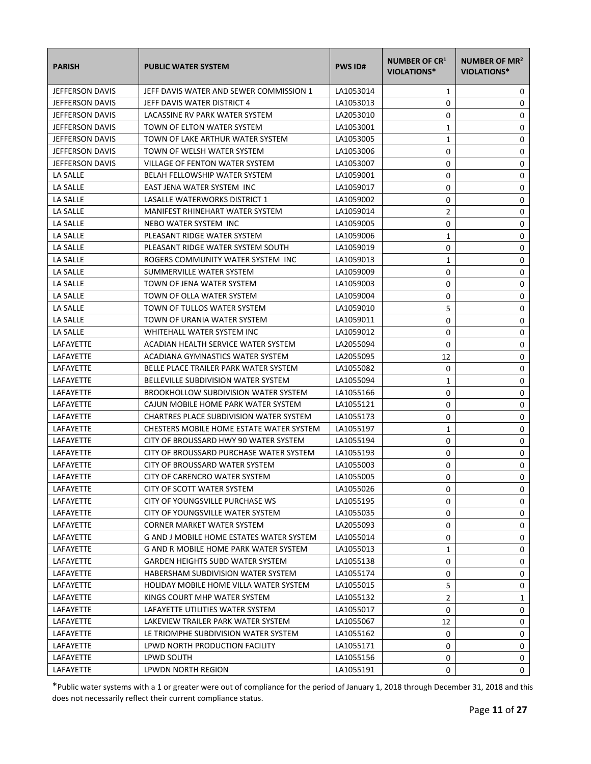| <b>PARISH</b>          | <b>PUBLIC WATER SYSTEM</b>                      | <b>PWS ID#</b> | <b>NUMBER OF CR1</b><br><b>VIOLATIONS*</b> | NUMBER OF MR <sup>2</sup><br>VIOLATIONS* |
|------------------------|-------------------------------------------------|----------------|--------------------------------------------|------------------------------------------|
| <b>JEFFERSON DAVIS</b> | JEFF DAVIS WATER AND SEWER COMMISSION 1         | LA1053014      | 1                                          | 0                                        |
| <b>JEFFERSON DAVIS</b> | JEFF DAVIS WATER DISTRICT 4                     | LA1053013      | 0                                          | 0                                        |
| <b>JEFFERSON DAVIS</b> | LACASSINE RV PARK WATER SYSTEM                  | LA2053010      | 0                                          | 0                                        |
| JEFFERSON DAVIS        | TOWN OF ELTON WATER SYSTEM                      | LA1053001      | 1                                          | 0                                        |
| <b>JEFFERSON DAVIS</b> | TOWN OF LAKE ARTHUR WATER SYSTEM                | LA1053005      | 1                                          | 0                                        |
| <b>JEFFERSON DAVIS</b> | TOWN OF WELSH WATER SYSTEM                      | LA1053006      | 0                                          | 0                                        |
| JEFFERSON DAVIS        | VILLAGE OF FENTON WATER SYSTEM                  | LA1053007      | 0                                          | 0                                        |
| LA SALLE               | BELAH FELLOWSHIP WATER SYSTEM                   | LA1059001      | 0                                          | 0                                        |
| LA SALLE               | EAST JENA WATER SYSTEM INC                      | LA1059017      | 0                                          | 0                                        |
| LA SALLE               | LASALLE WATERWORKS DISTRICT 1                   | LA1059002      | 0                                          | 0                                        |
| LA SALLE               | MANIFEST RHINEHART WATER SYSTEM                 | LA1059014      | 2                                          | 0                                        |
| LA SALLE               | NEBO WATER SYSTEM INC                           | LA1059005      | 0                                          | 0                                        |
| LA SALLE               | PLEASANT RIDGE WATER SYSTEM                     | LA1059006      | 1                                          | 0                                        |
| LA SALLE               | PLEASANT RIDGE WATER SYSTEM SOUTH               | LA1059019      | 0                                          | 0                                        |
| LA SALLE               | ROGERS COMMUNITY WATER SYSTEM INC               | LA1059013      | 1                                          | 0                                        |
| LA SALLE               | SUMMERVILLE WATER SYSTEM                        | LA1059009      | 0                                          | 0                                        |
| LA SALLE               | TOWN OF JENA WATER SYSTEM                       | LA1059003      | 0                                          | 0                                        |
| LA SALLE               | TOWN OF OLLA WATER SYSTEM                       | LA1059004      | 0                                          | 0                                        |
| LA SALLE               | TOWN OF TULLOS WATER SYSTEM                     | LA1059010      | 5                                          | 0                                        |
| LA SALLE               | TOWN OF URANIA WATER SYSTEM                     | LA1059011      | 0                                          | 0                                        |
| LA SALLE               | WHITEHALL WATER SYSTEM INC                      | LA1059012      | 0                                          | 0                                        |
| LAFAYETTE              | ACADIAN HEALTH SERVICE WATER SYSTEM             | LA2055094      | 0                                          | 0                                        |
| LAFAYETTE              | ACADIANA GYMNASTICS WATER SYSTEM                | LA2055095      | 12                                         | 0                                        |
| LAFAYETTE              | BELLE PLACE TRAILER PARK WATER SYSTEM           | LA1055082      | 0                                          | 0                                        |
| LAFAYETTE              | BELLEVILLE SUBDIVISION WATER SYSTEM             | LA1055094      | 1                                          | 0                                        |
| LAFAYETTE              | <b>BROOKHOLLOW SUBDIVISION WATER SYSTEM</b>     | LA1055166      | 0                                          | 0                                        |
| LAFAYETTE              | CAJUN MOBILE HOME PARK WATER SYSTEM             | LA1055121      | 0                                          | 0                                        |
| LAFAYETTE              | CHARTRES PLACE SUBDIVISION WATER SYSTEM         | LA1055173      | 0                                          | 0                                        |
| LAFAYETTE              | CHESTERS MOBILE HOME ESTATE WATER SYSTEM        | LA1055197      | 1                                          | 0                                        |
| LAFAYETTE              | CITY OF BROUSSARD HWY 90 WATER SYSTEM           | LA1055194      | 0                                          | 0                                        |
| LAFAYETTE              | CITY OF BROUSSARD PURCHASE WATER SYSTEM         | LA1055193      | 0                                          | 0                                        |
| <b>LAFAYETTE</b>       | CITY OF BROUSSARD WATER SYSTEM                  | LA1055003      | 0                                          | 0                                        |
| LAFAYETTE              | CITY OF CARENCRO WATER SYSTEM                   | LA1055005      | $\Omega$                                   | 0                                        |
| LAFAYETTE              | CITY OF SCOTT WATER SYSTEM                      | LA1055026      | 0                                          | 0                                        |
| LAFAYETTE              | CITY OF YOUNGSVILLE PURCHASE WS                 | LA1055195      | 0                                          | 0                                        |
| LAFAYETTE              | CITY OF YOUNGSVILLE WATER SYSTEM                | LA1055035      | 0                                          | 0                                        |
| LAFAYETTE              | CORNER MARKET WATER SYSTEM                      | LA2055093      | 0                                          | 0                                        |
| LAFAYETTE              | <b>G AND J MOBILE HOME ESTATES WATER SYSTEM</b> | LA1055014      | 0                                          | 0                                        |
| LAFAYETTE              | G AND R MOBILE HOME PARK WATER SYSTEM           | LA1055013      | 1                                          | 0                                        |
| LAFAYETTE              | <b>GARDEN HEIGHTS SUBD WATER SYSTEM</b>         | LA1055138      | 0                                          | 0                                        |
| LAFAYETTE              | HABERSHAM SUBDIVISION WATER SYSTEM              | LA1055174      | 0                                          | 0                                        |
| LAFAYETTE              | HOLIDAY MOBILE HOME VILLA WATER SYSTEM          | LA1055015      | 5                                          | 0                                        |
| LAFAYETTE              | KINGS COURT MHP WATER SYSTEM                    | LA1055132      | $\overline{2}$                             | 1                                        |
| LAFAYETTE              | LAFAYETTE UTILITIES WATER SYSTEM                | LA1055017      | 0                                          | 0                                        |
| LAFAYETTE              | LAKEVIEW TRAILER PARK WATER SYSTEM              | LA1055067      | 12                                         | 0                                        |
| LAFAYETTE              | LE TRIOMPHE SUBDIVISION WATER SYSTEM            | LA1055162      | 0                                          | 0                                        |
| LAFAYETTE              | LPWD NORTH PRODUCTION FACILITY                  | LA1055171      | 0                                          | 0                                        |
| LAFAYETTE              | LPWD SOUTH                                      | LA1055156      | 0                                          | 0                                        |
| LAFAYETTE              | LPWDN NORTH REGION                              | LA1055191      | 0                                          | 0                                        |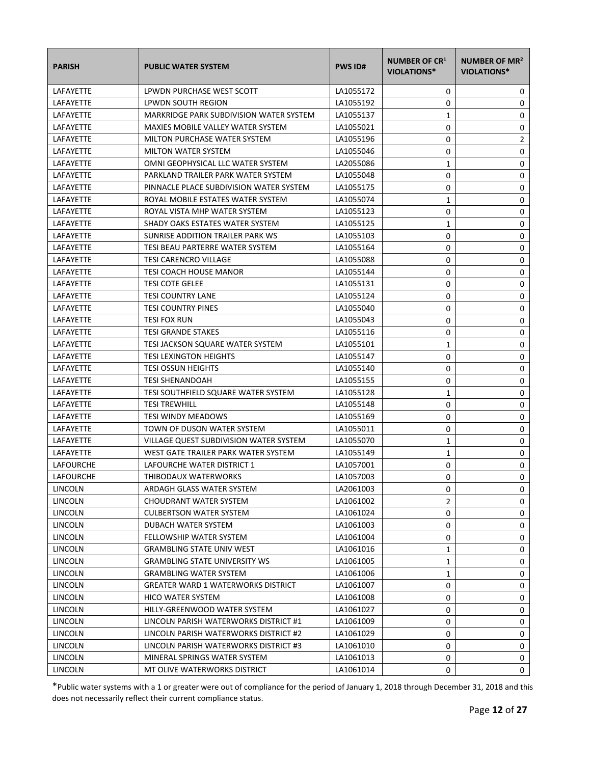| <b>PARISH</b>    | <b>PUBLIC WATER SYSTEM</b>                     | <b>PWS ID#</b> | NUMBER OF CR1<br><b>VIOLATIONS*</b> | NUMBER OF MR <sup>2</sup><br>VIOLATIONS* |
|------------------|------------------------------------------------|----------------|-------------------------------------|------------------------------------------|
| LAFAYETTE        | LPWDN PURCHASE WEST SCOTT                      | LA1055172      | 0                                   | 0                                        |
| <b>LAFAYETTE</b> | LPWDN SOUTH REGION                             | LA1055192      | 0                                   | 0                                        |
| LAFAYETTE        | <b>MARKRIDGE PARK SUBDIVISION WATER SYSTEM</b> | LA1055137      | 1                                   | 0                                        |
| <b>LAFAYETTE</b> | MAXIES MOBILE VALLEY WATER SYSTEM              | LA1055021      | 0                                   | 0                                        |
| LAFAYETTE        | MILTON PURCHASE WATER SYSTEM                   | LA1055196      | 0                                   | 2                                        |
| LAFAYETTE        | <b>MILTON WATER SYSTEM</b>                     | LA1055046      | 0                                   | 0                                        |
| LAFAYETTE        | OMNI GEOPHYSICAL LLC WATER SYSTEM              | LA2055086      | $\mathbf{1}$                        | $\pmb{0}$                                |
| LAFAYETTE        | PARKLAND TRAILER PARK WATER SYSTEM             | LA1055048      | 0                                   | $\mathbf 0$                              |
| LAFAYETTE        | PINNACLE PLACE SUBDIVISION WATER SYSTEM        | LA1055175      | 0                                   | 0                                        |
| LAFAYETTE        | ROYAL MOBILE ESTATES WATER SYSTEM              | LA1055074      | $\mathbf{1}$                        | 0                                        |
| LAFAYETTE        | ROYAL VISTA MHP WATER SYSTEM                   | LA1055123      | 0                                   | 0                                        |
| LAFAYETTE        | SHADY OAKS ESTATES WATER SYSTEM                | LA1055125      | $\mathbf{1}$                        | 0                                        |
| LAFAYETTE        | SUNRISE ADDITION TRAILER PARK WS               | LA1055103      | 0                                   | 0                                        |
| LAFAYETTE        | TESI BEAU PARTERRE WATER SYSTEM                | LA1055164      | 0                                   | 0                                        |
| LAFAYETTE        | <b>TESI CARENCRO VILLAGE</b>                   | LA1055088      | 0                                   | 0                                        |
| LAFAYETTE        | <b>TESI COACH HOUSE MANOR</b>                  | LA1055144      | 0                                   | 0                                        |
| LAFAYETTE        | <b>TESI COTE GELEE</b>                         | LA1055131      | 0                                   | 0                                        |
| LAFAYETTE        | <b>TESI COUNTRY LANE</b>                       | LA1055124      | 0                                   | 0                                        |
| LAFAYETTE        | <b>TESI COUNTRY PINES</b>                      | LA1055040      | 0                                   | 0                                        |
| LAFAYETTE        | <b>TESI FOX RUN</b>                            | LA1055043      | 0                                   | 0                                        |
| LAFAYETTE        | <b>TESI GRANDE STAKES</b>                      | LA1055116      | 0                                   | 0                                        |
| LAFAYETTE        | TESI JACKSON SQUARE WATER SYSTEM               | LA1055101      | 1                                   | 0                                        |
| LAFAYETTE        | <b>TESI LEXINGTON HEIGHTS</b>                  | LA1055147      | 0                                   | 0                                        |
| LAFAYETTE        | <b>TESI OSSUN HEIGHTS</b>                      | LA1055140      | 0                                   | 0                                        |
| LAFAYETTE        | <b>TESI SHENANDOAH</b>                         | LA1055155      | 0                                   | 0                                        |
| LAFAYETTE        | TESI SOUTHFIELD SQUARE WATER SYSTEM            | LA1055128      | 1                                   | 0                                        |
| LAFAYETTE        | <b>TESI TREWHILL</b>                           | LA1055148      | 0                                   | 0                                        |
| LAFAYETTE        | <b>TESI WINDY MEADOWS</b>                      | LA1055169      | 0                                   | 0                                        |
| <b>LAFAYETTE</b> | TOWN OF DUSON WATER SYSTEM                     | LA1055011      | 0                                   | 0                                        |
| <b>LAFAYETTE</b> | VILLAGE QUEST SUBDIVISION WATER SYSTEM         | LA1055070      | 1                                   | 0                                        |
| LAFAYETTE        | WEST GATE TRAILER PARK WATER SYSTEM            | LA1055149      | 1                                   | $\pmb{0}$                                |
| LAFOURCHE        | LAFOURCHE WATER DISTRICT 1                     | LA1057001      | 0                                   | 0                                        |
| <b>LAFOURCHE</b> | THIBODAUX WATERWORKS                           | LA1057003      | $\Omega$                            | 0                                        |
| LINCOLN          | ARDAGH GLASS WATER SYSTEM                      | LA2061003      | 0                                   | 0                                        |
| LINCOLN          | <b>CHOUDRANT WATER SYSTEM</b>                  | LA1061002      | 2                                   | 0                                        |
| LINCOLN          | <b>CULBERTSON WATER SYSTEM</b>                 | LA1061024      | 0                                   | 0                                        |
| LINCOLN          | DUBACH WATER SYSTEM                            | LA1061003      | 0                                   | 0                                        |
| LINCOLN          | FELLOWSHIP WATER SYSTEM                        | LA1061004      | 0                                   | 0                                        |
| LINCOLN          | <b>GRAMBLING STATE UNIV WEST</b>               | LA1061016      | 1                                   | 0                                        |
| <b>LINCOLN</b>   | <b>GRAMBLING STATE UNIVERSITY WS</b>           | LA1061005      | 1                                   | 0                                        |
| LINCOLN          | <b>GRAMBLING WATER SYSTEM</b>                  | LA1061006      | 1                                   | 0                                        |
| LINCOLN          | <b>GREATER WARD 1 WATERWORKS DISTRICT</b>      | LA1061007      | 0                                   | 0                                        |
| LINCOLN          | HICO WATER SYSTEM                              | LA1061008      | 0                                   | 0                                        |
| LINCOLN          | HILLY-GREENWOOD WATER SYSTEM                   | LA1061027      | 0                                   | 0                                        |
| LINCOLN          | LINCOLN PARISH WATERWORKS DISTRICT #1          | LA1061009      | 0                                   | 0                                        |
| <b>LINCOLN</b>   | LINCOLN PARISH WATERWORKS DISTRICT #2          | LA1061029      | 0                                   | 0                                        |
| LINCOLN          | LINCOLN PARISH WATERWORKS DISTRICT #3          | LA1061010      | 0                                   | 0                                        |
| LINCOLN          | MINERAL SPRINGS WATER SYSTEM                   | LA1061013      | 0                                   | 0                                        |
| <b>LINCOLN</b>   | MT OLIVE WATERWORKS DISTRICT                   | LA1061014      | 0                                   | 0                                        |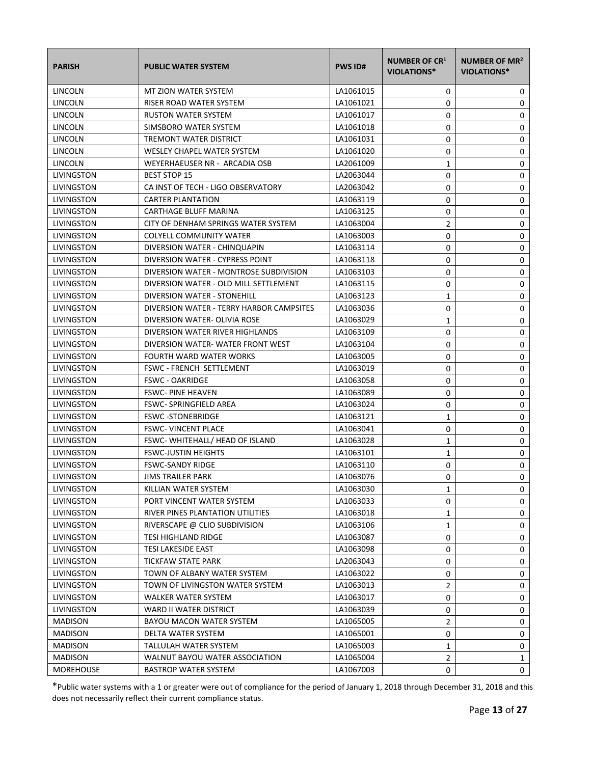| <b>PARISH</b>     | <b>PUBLIC WATER SYSTEM</b>               | <b>PWS ID#</b> | <b>NUMBER OF CR1</b><br><b>VIOLATIONS*</b> | NUMBER OF MR <sup>2</sup><br><b>VIOLATIONS*</b> |
|-------------------|------------------------------------------|----------------|--------------------------------------------|-------------------------------------------------|
| LINCOLN           | MT ZION WATER SYSTEM                     | LA1061015      | 0                                          | 0                                               |
| LINCOLN           | RISER ROAD WATER SYSTEM                  | LA1061021      | 0                                          | 0                                               |
| LINCOLN           | <b>RUSTON WATER SYSTEM</b>               | LA1061017      | 0                                          | 0                                               |
| LINCOLN           | SIMSBORO WATER SYSTEM                    | LA1061018      | 0                                          | 0                                               |
| LINCOLN           | TREMONT WATER DISTRICT                   | LA1061031      | 0                                          | 0                                               |
| <b>LINCOLN</b>    | WESLEY CHAPEL WATER SYSTEM               | LA1061020      | 0                                          | 0                                               |
| LINCOLN           | WEYERHAEUSER NR - ARCADIA OSB            | LA2061009      | 1                                          | 0                                               |
| <b>LIVINGSTON</b> | <b>BEST STOP 15</b>                      | LA2063044      | 0                                          | 0                                               |
| LIVINGSTON        | CA INST OF TECH - LIGO OBSERVATORY       | LA2063042      | 0                                          | 0                                               |
| LIVINGSTON        | <b>CARTER PLANTATION</b>                 | LA1063119      | 0                                          | 0                                               |
| LIVINGSTON        | CARTHAGE BLUFF MARINA                    | LA1063125      | 0                                          | 0                                               |
| LIVINGSTON        | CITY OF DENHAM SPRINGS WATER SYSTEM      | LA1063004      | $\overline{2}$                             | 0                                               |
| LIVINGSTON        | <b>COLYELL COMMUNITY WATER</b>           | LA1063003      | 0                                          | 0                                               |
| LIVINGSTON        | DIVERSION WATER - CHINQUAPIN             | LA1063114      | 0                                          | 0                                               |
| LIVINGSTON        | DIVERSION WATER - CYPRESS POINT          | LA1063118      | 0                                          | 0                                               |
| LIVINGSTON        | DIVERSION WATER - MONTROSE SUBDIVISION   | LA1063103      | 0                                          | 0                                               |
| LIVINGSTON        | DIVERSION WATER - OLD MILL SETTLEMENT    | LA1063115      | 0                                          | 0                                               |
| LIVINGSTON        | DIVERSION WATER - STONEHILL              | LA1063123      | 1                                          | 0                                               |
| LIVINGSTON        | DIVERSION WATER - TERRY HARBOR CAMPSITES | LA1063036      | 0                                          | 0                                               |
| LIVINGSTON        | DIVERSION WATER- OLIVIA ROSE             | LA1063029      | $\mathbf{1}$                               | 0                                               |
| LIVINGSTON        | DIVERSION WATER RIVER HIGHLANDS          | LA1063109      | 0                                          | 0                                               |
| LIVINGSTON        | DIVERSION WATER-WATER FRONT WEST         | LA1063104      | 0                                          | 0                                               |
| LIVINGSTON        | FOURTH WARD WATER WORKS                  | LA1063005      | 0                                          | 0                                               |
| LIVINGSTON        | FSWC - FRENCH SETTLEMENT                 | LA1063019      | 0                                          | 0                                               |
| LIVINGSTON        | <b>FSWC - OAKRIDGE</b>                   | LA1063058      | 0                                          | 0                                               |
| LIVINGSTON        | <b>FSWC-PINE HEAVEN</b>                  | LA1063089      | 0                                          | 0                                               |
| LIVINGSTON        | <b>FSWC-SPRINGFIELD AREA</b>             | LA1063024      | 0                                          | 0                                               |
| LIVINGSTON        | <b>FSWC-STONEBRIDGE</b>                  | LA1063121      | 1                                          | 0                                               |
| LIVINGSTON        | <b>FSWC- VINCENT PLACE</b>               | LA1063041      | 0                                          | 0                                               |
| LIVINGSTON        | FSWC-WHITEHALL/HEAD OF ISLAND            | LA1063028      | 1                                          | 0                                               |
| LIVINGSTON        | <b>FSWC-JUSTIN HEIGHTS</b>               | LA1063101      | 1                                          | $\mathbf 0$                                     |
| LIVINGSTON        | <b>FSWC-SANDY RIDGE</b>                  | LA1063110      | 0                                          | 0                                               |
| LIVINGSTON        | <b>JIMS TRAILER PARK</b>                 | LA1063076      | 0                                          | 0                                               |
| LIVINGSTON        | KILLIAN WATER SYSTEM                     | LA1063030      | 1                                          | 0                                               |
| LIVINGSTON        | PORT VINCENT WATER SYSTEM                | LA1063033      | 0                                          | 0                                               |
| LIVINGSTON        | RIVER PINES PLANTATION UTILITIES         | LA1063018      | 1                                          | 0                                               |
| LIVINGSTON        | RIVERSCAPE @ CLIO SUBDIVISION            | LA1063106      | 1                                          | 0                                               |
| LIVINGSTON        | <b>TESI HIGHLAND RIDGE</b>               | LA1063087      | 0                                          | 0                                               |
| LIVINGSTON        | TESI LAKESIDE EAST                       | LA1063098      | 0                                          | 0                                               |
| LIVINGSTON        | <b>TICKFAW STATE PARK</b>                | LA2063043      | 0                                          | 0                                               |
| LIVINGSTON        | TOWN OF ALBANY WATER SYSTEM              | LA1063022      | 0                                          | 0                                               |
| LIVINGSTON        | TOWN OF LIVINGSTON WATER SYSTEM          | LA1063013      | 2                                          | 0                                               |
| LIVINGSTON        | WALKER WATER SYSTEM                      | LA1063017      | 0                                          | 0                                               |
| LIVINGSTON        | WARD II WATER DISTRICT                   | LA1063039      | 0                                          | 0                                               |
| <b>MADISON</b>    | BAYOU MACON WATER SYSTEM                 | LA1065005      | 2                                          | 0                                               |
| <b>MADISON</b>    | DELTA WATER SYSTEM                       | LA1065001      | 0                                          | 0                                               |
| <b>MADISON</b>    | TALLULAH WATER SYSTEM                    | LA1065003      | 1                                          | 0                                               |
| <b>MADISON</b>    | WALNUT BAYOU WATER ASSOCIATION           | LA1065004      | $\overline{2}$                             | 1                                               |
| <b>MOREHOUSE</b>  | <b>BASTROP WATER SYSTEM</b>              | LA1067003      | 0                                          | 0                                               |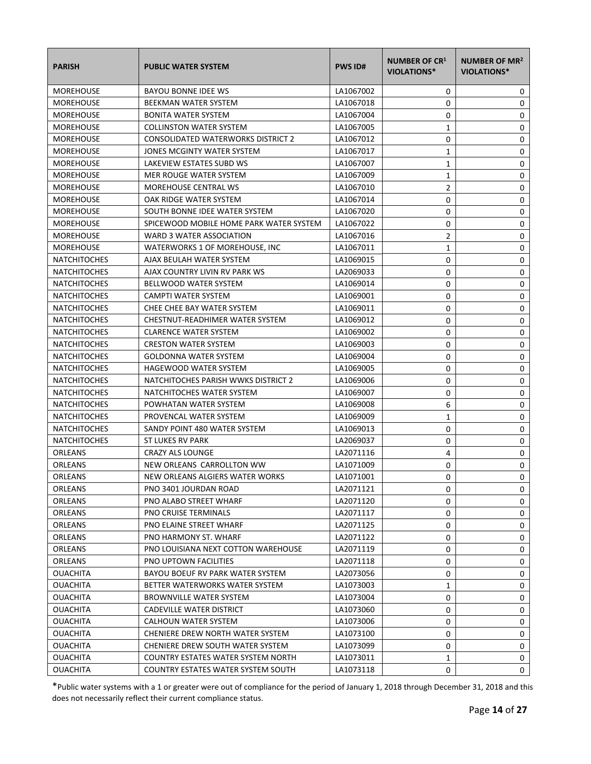| <b>PARISH</b>       | <b>PUBLIC WATER SYSTEM</b>              | <b>PWS ID#</b> | <b>NUMBER OF CR1</b><br><b>VIOLATIONS*</b> | NUMBER OF MR <sup>2</sup><br>VIOLATIONS* |
|---------------------|-----------------------------------------|----------------|--------------------------------------------|------------------------------------------|
| <b>MOREHOUSE</b>    | <b>BAYOU BONNE IDEE WS</b>              | LA1067002      | 0                                          | 0                                        |
| <b>MOREHOUSE</b>    | BEEKMAN WATER SYSTEM                    | LA1067018      | 0                                          | 0                                        |
| <b>MOREHOUSE</b>    | <b>BONITA WATER SYSTEM</b>              | LA1067004      | 0                                          | 0                                        |
| <b>MOREHOUSE</b>    | <b>COLLINSTON WATER SYSTEM</b>          | LA1067005      | 1                                          | 0                                        |
| <b>MOREHOUSE</b>    | CONSOLIDATED WATERWORKS DISTRICT 2      | LA1067012      | 0                                          | 0                                        |
| <b>MOREHOUSE</b>    | JONES MCGINTY WATER SYSTEM              | LA1067017      | 1                                          | 0                                        |
| <b>MOREHOUSE</b>    | LAKEVIEW ESTATES SUBD WS                | LA1067007      | 1                                          | 0                                        |
| <b>MOREHOUSE</b>    | MER ROUGE WATER SYSTEM                  | LA1067009      | $\mathbf{1}$                               | 0                                        |
| <b>MOREHOUSE</b>    | <b>MOREHOUSE CENTRAL WS</b>             | LA1067010      | $\overline{2}$                             | 0                                        |
| <b>MOREHOUSE</b>    | OAK RIDGE WATER SYSTEM                  | LA1067014      | 0                                          | 0                                        |
| <b>MOREHOUSE</b>    | SOUTH BONNE IDEE WATER SYSTEM           | LA1067020      | 0                                          | 0                                        |
| <b>MOREHOUSE</b>    | SPICEWOOD MOBILE HOME PARK WATER SYSTEM | LA1067022      | 0                                          | 0                                        |
| <b>MOREHOUSE</b>    | WARD 3 WATER ASSOCIATION                | LA1067016      | $\overline{2}$                             | 0                                        |
| <b>MOREHOUSE</b>    | WATERWORKS 1 OF MOREHOUSE, INC.         | LA1067011      | 1                                          | 0                                        |
| <b>NATCHITOCHES</b> | AJAX BEULAH WATER SYSTEM                | LA1069015      | 0                                          | 0                                        |
| <b>NATCHITOCHES</b> | AJAX COUNTRY LIVIN RV PARK WS           | LA2069033      | 0                                          | 0                                        |
| <b>NATCHITOCHES</b> | <b>BELLWOOD WATER SYSTEM</b>            | LA1069014      | 0                                          | 0                                        |
| <b>NATCHITOCHES</b> | CAMPTI WATER SYSTEM                     | LA1069001      | 0                                          | 0                                        |
| <b>NATCHITOCHES</b> | CHEE CHEE BAY WATER SYSTEM              | LA1069011      | 0                                          | $\pmb{0}$                                |
| <b>NATCHITOCHES</b> | CHESTNUT-READHIMER WATER SYSTEM         | LA1069012      | 0                                          | 0                                        |
| <b>NATCHITOCHES</b> | <b>CLARENCE WATER SYSTEM</b>            | LA1069002      | 0                                          | 0                                        |
| <b>NATCHITOCHES</b> | <b>CRESTON WATER SYSTEM</b>             | LA1069003      | 0                                          | 0                                        |
| <b>NATCHITOCHES</b> | <b>GOLDONNA WATER SYSTEM</b>            | LA1069004      | 0                                          | 0                                        |
| <b>NATCHITOCHES</b> | HAGEWOOD WATER SYSTEM                   | LA1069005      | 0                                          | 0                                        |
| <b>NATCHITOCHES</b> | NATCHITOCHES PARISH WWKS DISTRICT 2     | LA1069006      | 0                                          | 0                                        |
| <b>NATCHITOCHES</b> | NATCHITOCHES WATER SYSTEM               | LA1069007      | 0                                          | 0                                        |
| <b>NATCHITOCHES</b> | POWHATAN WATER SYSTEM                   | LA1069008      | 6                                          | 0                                        |
| <b>NATCHITOCHES</b> | PROVENCAL WATER SYSTEM                  | LA1069009      | 1                                          | 0                                        |
| <b>NATCHITOCHES</b> | SANDY POINT 480 WATER SYSTEM            | LA1069013      | 0                                          | 0                                        |
| <b>NATCHITOCHES</b> | ST LUKES RV PARK                        | LA2069037      | 0                                          | 0                                        |
| ORLEANS             | <b>CRAZY ALS LOUNGE</b>                 | LA2071116      | 4                                          | $\pmb{0}$                                |
| ORLEANS             | NEW ORLEANS CARROLLTON WW               | LA1071009      | 0                                          | 0                                        |
| <b>ORLEANS</b>      | NEW ORLEANS ALGIERS WATER WORKS         | LA1071001      | 0                                          | 0                                        |
| ORLEANS             | PNO 3401 JOURDAN ROAD                   | LA2071121      | 0                                          | 0                                        |
| <b>ORLEANS</b>      | PNO ALABO STREET WHARF                  | LA2071120      | 0                                          | 0                                        |
| <b>ORLEANS</b>      | <b>PNO CRUISE TERMINALS</b>             | LA2071117      | 0                                          | 0                                        |
| ORLEANS             | PNO ELAINE STREET WHARF                 | LA2071125      | 0                                          | 0                                        |
| <b>ORLEANS</b>      | PNO HARMONY ST. WHARF                   | LA2071122      | 0                                          | 0                                        |
| ORLEANS             | PNO LOUISIANA NEXT COTTON WAREHOUSE     | LA2071119      | 0                                          | 0                                        |
| ORLEANS             | <b>PNO UPTOWN FACILITIES</b>            | LA2071118      | 0                                          | 0                                        |
| <b>OUACHITA</b>     | BAYOU BOEUF RV PARK WATER SYSTEM        | LA2073056      | 0                                          | 0                                        |
| <b>OUACHITA</b>     | BETTER WATERWORKS WATER SYSTEM          | LA1073003      | 1                                          | 0                                        |
| <b>OUACHITA</b>     | <b>BROWNVILLE WATER SYSTEM</b>          | LA1073004      | 0                                          | 0                                        |
| <b>OUACHITA</b>     | CADEVILLE WATER DISTRICT                | LA1073060      | 0                                          | 0                                        |
| <b>OUACHITA</b>     | CALHOUN WATER SYSTEM                    | LA1073006      | 0                                          | 0                                        |
| <b>OUACHITA</b>     | CHENIERE DREW NORTH WATER SYSTEM        | LA1073100      | 0                                          | 0                                        |
| <b>OUACHITA</b>     | CHENIERE DREW SOUTH WATER SYSTEM        | LA1073099      | 0                                          | 0                                        |
| <b>OUACHITA</b>     | COUNTRY ESTATES WATER SYSTEM NORTH      | LA1073011      | 1                                          | 0                                        |
| <b>OUACHITA</b>     | COUNTRY ESTATES WATER SYSTEM SOUTH      | LA1073118      | 0                                          | 0                                        |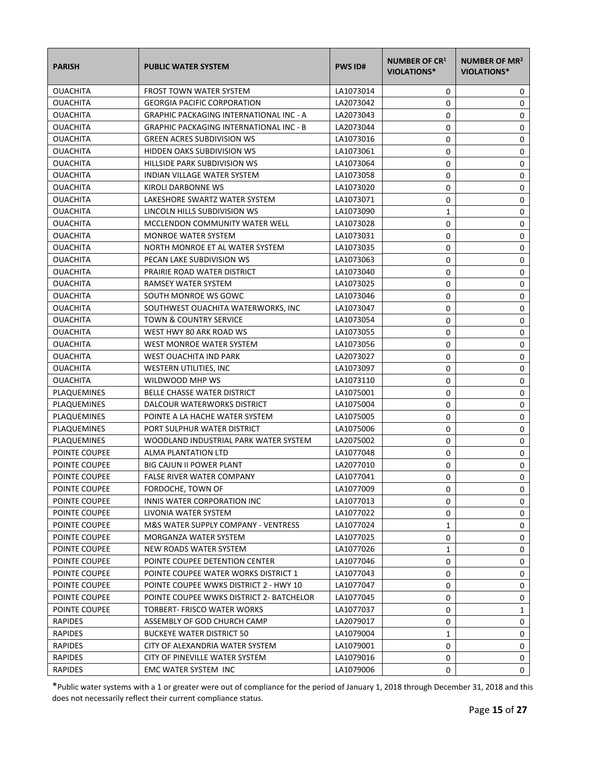| <b>PARISH</b>   | <b>PUBLIC WATER SYSTEM</b>                     | <b>PWS ID#</b> | <b>NUMBER OF CR1</b><br><b>VIOLATIONS*</b> | NUMBER OF MR <sup>2</sup><br>VIOLATIONS* |
|-----------------|------------------------------------------------|----------------|--------------------------------------------|------------------------------------------|
| <b>OUACHITA</b> | <b>FROST TOWN WATER SYSTEM</b>                 | LA1073014      | 0                                          | 0                                        |
| <b>OUACHITA</b> | <b>GEORGIA PACIFIC CORPORATION</b>             | LA2073042      | 0                                          | 0                                        |
| <b>OUACHITA</b> | <b>GRAPHIC PACKAGING INTERNATIONAL INC - A</b> | LA2073043      | 0                                          | 0                                        |
| <b>OUACHITA</b> | <b>GRAPHIC PACKAGING INTERNATIONAL INC - B</b> | LA2073044      | 0                                          | 0                                        |
| <b>OUACHITA</b> | <b>GREEN ACRES SUBDIVISION WS</b>              | LA1073016      | 0                                          | 0                                        |
| <b>OUACHITA</b> | HIDDEN OAKS SUBDIVISION WS                     | LA1073061      | 0                                          | 0                                        |
| <b>OUACHITA</b> | HILLSIDE PARK SUBDIVISION WS                   | LA1073064      | 0                                          | 0                                        |
| <b>OUACHITA</b> | INDIAN VILLAGE WATER SYSTEM                    | LA1073058      | 0                                          | 0                                        |
| <b>OUACHITA</b> | KIROLI DARBONNE WS                             | LA1073020      | 0                                          | 0                                        |
| <b>OUACHITA</b> | LAKESHORE SWARTZ WATER SYSTEM                  | LA1073071      | 0                                          | 0                                        |
| <b>OUACHITA</b> | LINCOLN HILLS SUBDIVISION WS                   | LA1073090      | 1                                          | 0                                        |
| OUACHITA        | MCCLENDON COMMUNITY WATER WELL                 | LA1073028      | 0                                          | 0                                        |
| <b>OUACHITA</b> | <b>MONROE WATER SYSTEM</b>                     | LA1073031      | 0                                          | 0                                        |
| <b>OUACHITA</b> | NORTH MONROE ET AL WATER SYSTEM                | LA1073035      | 0                                          | 0                                        |
| <b>OUACHITA</b> | PECAN LAKE SUBDIVISION WS                      | LA1073063      | 0                                          | 0                                        |
| <b>OUACHITA</b> | PRAIRIE ROAD WATER DISTRICT                    | LA1073040      | 0                                          | 0                                        |
| <b>OUACHITA</b> | RAMSEY WATER SYSTEM                            | LA1073025      | 0                                          | 0                                        |
| <b>OUACHITA</b> | SOUTH MONROE WS GOWC                           | LA1073046      | 0                                          | 0                                        |
| <b>OUACHITA</b> | SOUTHWEST OUACHITA WATERWORKS, INC             | LA1073047      | 0                                          | $\pmb{0}$                                |
| <b>OUACHITA</b> | <b>TOWN &amp; COUNTRY SERVICE</b>              | LA1073054      | 0                                          | 0                                        |
| <b>OUACHITA</b> | WEST HWY 80 ARK ROAD WS                        | LA1073055      | 0                                          | 0                                        |
| <b>OUACHITA</b> | WEST MONROE WATER SYSTEM                       | LA1073056      | 0                                          | 0                                        |
| OUACHITA        | WEST OUACHITA IND PARK                         | LA2073027      | 0                                          | 0                                        |
| OUACHITA        | WESTERN UTILITIES, INC                         | LA1073097      | 0                                          | 0                                        |
| OUACHITA        | WILDWOOD MHP WS                                | LA1073110      | 0                                          | 0                                        |
| PLAQUEMINES     | BELLE CHASSE WATER DISTRICT                    | LA1075001      | 0                                          | 0                                        |
| PLAQUEMINES     | DALCOUR WATERWORKS DISTRICT                    | LA1075004      | 0                                          | 0                                        |
| PLAQUEMINES     | POINTE A LA HACHE WATER SYSTEM                 | LA1075005      | 0                                          | 0                                        |
| PLAQUEMINES     | PORT SULPHUR WATER DISTRICT                    | LA1075006      | 0                                          | 0                                        |
| PLAQUEMINES     | WOODLAND INDUSTRIAL PARK WATER SYSTEM          | LA2075002      | 0                                          | 0                                        |
| POINTE COUPEE   | ALMA PLANTATION LTD                            | LA1077048      | 0                                          | $\pmb{0}$                                |
| POINTE COUPEE   | <b>BIG CAJUN II POWER PLANT</b>                | LA2077010      | 0                                          | 0                                        |
| POINTE COUPEE   | <b>FALSE RIVER WATER COMPANY</b>               | LA1077041      | 0                                          | 0                                        |
| POINTE COUPEE   | FORDOCHE, TOWN OF                              | LA1077009      | 0                                          | 0                                        |
| POINTE COUPEE   | INNIS WATER CORPORATION INC                    | LA1077013      | 0                                          | 0                                        |
| POINTE COUPEE   | LIVONIA WATER SYSTEM                           | LA1077022      | 0                                          | 0                                        |
| POINTE COUPEE   | M&S WATER SUPPLY COMPANY - VENTRESS            | LA1077024      | 1                                          | 0                                        |
| POINTE COUPEE   | MORGANZA WATER SYSTEM                          | LA1077025      | 0                                          | 0                                        |
| POINTE COUPEE   | NEW ROADS WATER SYSTEM                         | LA1077026      | 1                                          | 0                                        |
| POINTE COUPEE   | POINTE COUPEE DETENTION CENTER                 | LA1077046      | 0                                          | 0                                        |
| POINTE COUPEE   | POINTE COUPEE WATER WORKS DISTRICT 1           | LA1077043      | 0                                          | 0                                        |
| POINTE COUPEE   | POINTE COUPEE WWKS DISTRICT 2 - HWY 10         | LA1077047      | 0                                          | 0                                        |
| POINTE COUPEE   | POINTE COUPEE WWKS DISTRICT 2- BATCHELOR       | LA1077045      | 0                                          | 0                                        |
| POINTE COUPEE   | TORBERT- FRISCO WATER WORKS                    | LA1077037      | 0                                          | 1                                        |
| <b>RAPIDES</b>  | ASSEMBLY OF GOD CHURCH CAMP                    | LA2079017      | 0                                          | 0                                        |
| <b>RAPIDES</b>  | <b>BUCKEYE WATER DISTRICT 50</b>               | LA1079004      | 1                                          | 0                                        |
| RAPIDES         | CITY OF ALEXANDRIA WATER SYSTEM                | LA1079001      | 0                                          | 0                                        |
| RAPIDES         | CITY OF PINEVILLE WATER SYSTEM                 | LA1079016      | 0                                          | 0                                        |
| <b>RAPIDES</b>  | EMC WATER SYSTEM INC                           | LA1079006      | 0                                          | 0                                        |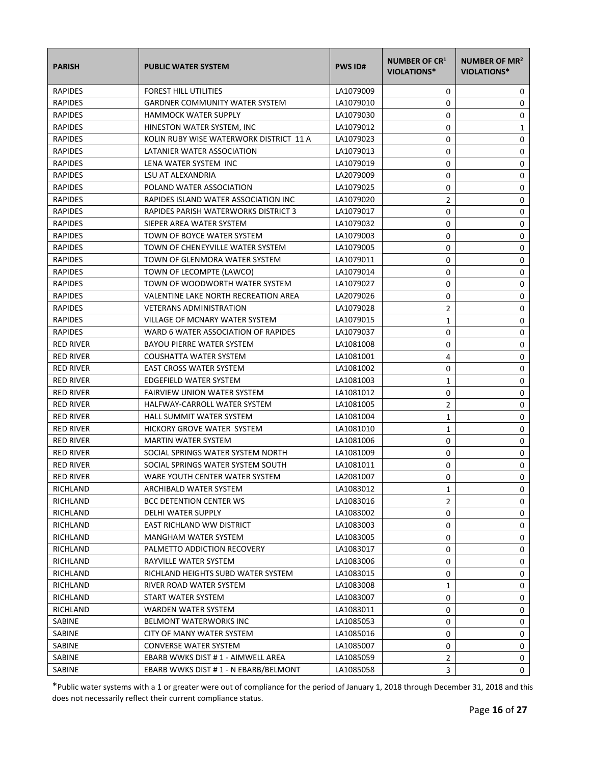| <b>PARISH</b>    | <b>PUBLIC WATER SYSTEM</b>              | <b>PWS ID#</b> | <b>NUMBER OF CR1</b><br><b>VIOLATIONS*</b> | NUMBER OF MR <sup>2</sup><br>VIOLATIONS* |
|------------------|-----------------------------------------|----------------|--------------------------------------------|------------------------------------------|
| <b>RAPIDES</b>   | <b>FOREST HILL UTILITIES</b>            | LA1079009      | 0                                          | 0                                        |
| <b>RAPIDES</b>   | <b>GARDNER COMMUNITY WATER SYSTEM</b>   | LA1079010      | 0                                          | 0                                        |
| <b>RAPIDES</b>   | <b>HAMMOCK WATER SUPPLY</b>             | LA1079030      | 0                                          | 0                                        |
| <b>RAPIDES</b>   | HINESTON WATER SYSTEM, INC              | LA1079012      | 0                                          | 1                                        |
| <b>RAPIDES</b>   | KOLIN RUBY WISE WATERWORK DISTRICT 11 A | LA1079023      | 0                                          | 0                                        |
| <b>RAPIDES</b>   | LATANIER WATER ASSOCIATION              | LA1079013      | 0                                          | 0                                        |
| <b>RAPIDES</b>   | LENA WATER SYSTEM INC                   | LA1079019      | 0                                          | 0                                        |
| <b>RAPIDES</b>   | LSU AT ALEXANDRIA                       | LA2079009      | 0                                          | 0                                        |
| <b>RAPIDES</b>   | POLAND WATER ASSOCIATION                | LA1079025      | 0                                          | 0                                        |
| <b>RAPIDES</b>   | RAPIDES ISLAND WATER ASSOCIATION INC    | LA1079020      | 2                                          | 0                                        |
| <b>RAPIDES</b>   | RAPIDES PARISH WATERWORKS DISTRICT 3    | LA1079017      | 0                                          | 0                                        |
| <b>RAPIDES</b>   | SIEPER AREA WATER SYSTEM                | LA1079032      | 0                                          | 0                                        |
| <b>RAPIDES</b>   | TOWN OF BOYCE WATER SYSTEM              | LA1079003      | 0                                          | 0                                        |
| <b>RAPIDES</b>   | TOWN OF CHENEYVILLE WATER SYSTEM        | LA1079005      | 0                                          | 0                                        |
| <b>RAPIDES</b>   | TOWN OF GLENMORA WATER SYSTEM           | LA1079011      | 0                                          | 0                                        |
| <b>RAPIDES</b>   | TOWN OF LECOMPTE (LAWCO)                | LA1079014      | 0                                          | 0                                        |
| <b>RAPIDES</b>   | TOWN OF WOODWORTH WATER SYSTEM          | LA1079027      | 0                                          | 0                                        |
| <b>RAPIDES</b>   | VALENTINE LAKE NORTH RECREATION AREA    | LA2079026      | 0                                          | 0                                        |
| <b>RAPIDES</b>   | <b>VETERANS ADMINISTRATION</b>          | LA1079028      | 2                                          | 0                                        |
| <b>RAPIDES</b>   | VILLAGE OF MCNARY WATER SYSTEM          | LA1079015      | $\mathbf{1}$                               | 0                                        |
| <b>RAPIDES</b>   | WARD 6 WATER ASSOCIATION OF RAPIDES     | LA1079037      | 0                                          | 0                                        |
| <b>RED RIVER</b> | <b>BAYOU PIERRE WATER SYSTEM</b>        | LA1081008      | 0                                          | 0                                        |
| <b>RED RIVER</b> | COUSHATTA WATER SYSTEM                  | LA1081001      | 4                                          | 0                                        |
| <b>RED RIVER</b> | <b>EAST CROSS WATER SYSTEM</b>          | LA1081002      | 0                                          | 0                                        |
| <b>RED RIVER</b> | EDGEFIELD WATER SYSTEM                  | LA1081003      | 1                                          | 0                                        |
| <b>RED RIVER</b> | <b>FAIRVIEW UNION WATER SYSTEM</b>      | LA1081012      | 0                                          | 0                                        |
| <b>RED RIVER</b> | HALFWAY-CARROLL WATER SYSTEM            | LA1081005      | $\overline{2}$                             | 0                                        |
| <b>RED RIVER</b> | <b>HALL SUMMIT WATER SYSTEM</b>         | LA1081004      | 1                                          | 0                                        |
| <b>RED RIVER</b> | HICKORY GROVE WATER SYSTEM              | LA1081010      | $\mathbf{1}$                               | 0                                        |
| <b>RED RIVER</b> | <b>MARTIN WATER SYSTEM</b>              | LA1081006      | 0                                          | 0                                        |
| <b>RED RIVER</b> | SOCIAL SPRINGS WATER SYSTEM NORTH       | LA1081009      | 0                                          | 0                                        |
| <b>RED RIVER</b> | SOCIAL SPRINGS WATER SYSTEM SOUTH       | LA1081011      | 0                                          | 0                                        |
| <b>RED RIVER</b> | WARE YOUTH CENTER WATER SYSTEM          | LA2081007      | 0                                          | 0                                        |
| RICHLAND         | ARCHIBALD WATER SYSTEM                  | LA1083012      | 1                                          | 0                                        |
| RICHLAND         | <b>BCC DETENTION CENTER WS</b>          | LA1083016      | 2                                          | 0                                        |
| RICHLAND         | DELHI WATER SUPPLY                      | LA1083002      | 0                                          | 0                                        |
| RICHLAND         | EAST RICHLAND WW DISTRICT               | LA1083003      | 0                                          | 0                                        |
| RICHLAND         | MANGHAM WATER SYSTEM                    | LA1083005      | 0                                          | 0                                        |
| RICHLAND         | PALMETTO ADDICTION RECOVERY             | LA1083017      | 0                                          | 0                                        |
| RICHLAND         | RAYVILLE WATER SYSTEM                   | LA1083006      | 0                                          | 0                                        |
| RICHLAND         | RICHLAND HEIGHTS SUBD WATER SYSTEM      | LA1083015      | 0                                          | 0                                        |
| RICHLAND         | RIVER ROAD WATER SYSTEM                 | LA1083008      | 1                                          | 0                                        |
| RICHLAND         | START WATER SYSTEM                      | LA1083007      | 0                                          | 0                                        |
| RICHLAND         | WARDEN WATER SYSTEM                     | LA1083011      | 0                                          | 0                                        |
| SABINE           | BELMONT WATERWORKS INC                  | LA1085053      | 0                                          | 0                                        |
| SABINE           | CITY OF MANY WATER SYSTEM               | LA1085016      | 0                                          | 0                                        |
| SABINE           | <b>CONVERSE WATER SYSTEM</b>            | LA1085007      | 0                                          | 0                                        |
| SABINE           | EBARB WWKS DIST # 1 - AIMWELL AREA      | LA1085059      | $\overline{2}$                             | 0                                        |
| SABINE           | EBARB WWKS DIST # 1 - N EBARB/BELMONT   | LA1085058      | 3                                          | 0                                        |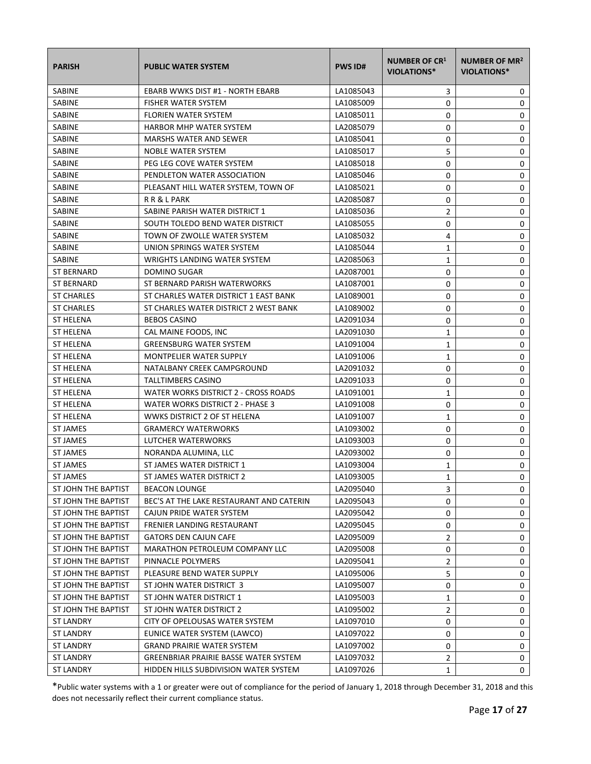| <b>PARISH</b>       | <b>PUBLIC WATER SYSTEM</b>                   | <b>PWS ID#</b> | <b>NUMBER OF CR1</b><br><b>VIOLATIONS*</b> | NUMBER OF MR <sup>2</sup><br><b>VIOLATIONS*</b> |
|---------------------|----------------------------------------------|----------------|--------------------------------------------|-------------------------------------------------|
| SABINE              | EBARB WWKS DIST #1 - NORTH EBARB             | LA1085043      | 3                                          | 0                                               |
| <b>SABINE</b>       | <b>FISHER WATER SYSTEM</b>                   | LA1085009      | 0                                          | 0                                               |
| <b>SABINE</b>       | <b>FLORIEN WATER SYSTEM</b>                  | LA1085011      | 0                                          | 0                                               |
| <b>SABINE</b>       | <b>HARBOR MHP WATER SYSTEM</b>               | LA2085079      | 0                                          | 0                                               |
| SABINE              | <b>MARSHS WATER AND SEWER</b>                | LA1085041      | 0                                          | 0                                               |
| SABINE              | NOBLE WATER SYSTEM                           | LA1085017      | 5                                          | 0                                               |
| <b>SABINE</b>       | PEG LEG COVE WATER SYSTEM                    | LA1085018      | 0                                          | 0                                               |
| SABINE              | PENDLETON WATER ASSOCIATION                  | LA1085046      | 0                                          | 0                                               |
| SABINE              | PLEASANT HILL WATER SYSTEM, TOWN OF          | LA1085021      | 0                                          | 0                                               |
| SABINE              | RR & L PARK                                  | LA2085087      | 0                                          | 0                                               |
| SABINE              | SABINE PARISH WATER DISTRICT 1               | LA1085036      | $\overline{2}$                             | 0                                               |
| SABINE              | SOUTH TOLEDO BEND WATER DISTRICT             | LA1085055      | 0                                          | 0                                               |
| <b>SABINE</b>       | TOWN OF ZWOLLE WATER SYSTEM                  | LA1085032      | 4                                          | 0                                               |
| <b>SABINE</b>       | UNION SPRINGS WATER SYSTEM                   | LA1085044      | 1                                          | 0                                               |
| <b>SABINE</b>       | WRIGHTS LANDING WATER SYSTEM                 | LA2085063      | 1                                          | 0                                               |
| <b>ST BERNARD</b>   | <b>DOMINO SUGAR</b>                          | LA2087001      | 0                                          | 0                                               |
| ST BERNARD          | ST BERNARD PARISH WATERWORKS                 | LA1087001      | 0                                          | 0                                               |
| <b>ST CHARLES</b>   | ST CHARLES WATER DISTRICT 1 EAST BANK        | LA1089001      | 0                                          | 0                                               |
| <b>ST CHARLES</b>   | ST CHARLES WATER DISTRICT 2 WEST BANK        | LA1089002      | 0                                          | 0                                               |
| <b>ST HELENA</b>    | <b>BEBOS CASINO</b>                          | LA2091034      | 0                                          | 0                                               |
| ST HELENA           | CAL MAINE FOODS, INC                         | LA2091030      | 1                                          | 0                                               |
| <b>ST HELENA</b>    | <b>GREENSBURG WATER SYSTEM</b>               | LA1091004      | $\mathbf{1}$                               | 0                                               |
| ST HELENA           | <b>MONTPELIER WATER SUPPLY</b>               | LA1091006      | $\mathbf{1}$                               | 0                                               |
| ST HELENA           | NATALBANY CREEK CAMPGROUND                   | LA2091032      | 0                                          | 0                                               |
| ST HELENA           | TALLTIMBERS CASINO                           | LA2091033      | 0                                          | 0                                               |
| <b>ST HELENA</b>    | WATER WORKS DISTRICT 2 - CROSS ROADS         | LA1091001      | $\mathbf{1}$                               | 0                                               |
| ST HELENA           | WATER WORKS DISTRICT 2 - PHASE 3             | LA1091008      | 0                                          | 0                                               |
| <b>ST HELENA</b>    | WWKS DISTRICT 2 OF ST HELENA                 | LA1091007      | 1                                          | 0                                               |
| <b>ST JAMES</b>     | <b>GRAMERCY WATERWORKS</b>                   | LA1093002      | 0                                          | 0                                               |
| <b>ST JAMES</b>     | LUTCHER WATERWORKS                           | LA1093003      | 0                                          | 0                                               |
| <b>ST JAMES</b>     | NORANDA ALUMINA, LLC                         | LA2093002      | 0                                          | 0                                               |
| <b>ST JAMES</b>     | ST JAMES WATER DISTRICT 1                    | LA1093004      | 1                                          | 0                                               |
| <b>ST JAMES</b>     | ST JAMES WATER DISTRICT 2                    | LA1093005      | $\mathbf{1}$                               | 0                                               |
| ST JOHN THE BAPTIST | <b>BEACON LOUNGE</b>                         | LA2095040      | 3                                          | 0                                               |
| ST JOHN THE BAPTIST | BEC'S AT THE LAKE RESTAURANT AND CATERIN     | LA2095043      | 0                                          | 0                                               |
| ST JOHN THE BAPTIST | CAJUN PRIDE WATER SYSTEM                     | LA2095042      | 0                                          | 0                                               |
| ST JOHN THE BAPTIST | FRENIER LANDING RESTAURANT                   | LA2095045      | 0                                          | 0                                               |
| ST JOHN THE BAPTIST | <b>GATORS DEN CAJUN CAFE</b>                 | LA2095009      | 2                                          | 0                                               |
| ST JOHN THE BAPTIST | <b>MARATHON PETROLEUM COMPANY LLC</b>        | LA2095008      | 0                                          | 0                                               |
| ST JOHN THE BAPTIST | PINNACLE POLYMERS                            | LA2095041      | $\overline{2}$                             | 0                                               |
| ST JOHN THE BAPTIST | PLEASURE BEND WATER SUPPLY                   | LA1095006      | 5                                          | 0                                               |
| ST JOHN THE BAPTIST | ST JOHN WATER DISTRICT 3                     | LA1095007      | 0                                          | 0                                               |
| ST JOHN THE BAPTIST | ST JOHN WATER DISTRICT 1                     | LA1095003      | $\mathbf{1}$                               | 0                                               |
| ST JOHN THE BAPTIST | ST JOHN WATER DISTRICT 2                     | LA1095002      | $\overline{2}$                             | 0                                               |
| ST LANDRY           | CITY OF OPELOUSAS WATER SYSTEM               | LA1097010      | 0                                          | 0                                               |
| ST LANDRY           | EUNICE WATER SYSTEM (LAWCO)                  | LA1097022      | 0                                          | 0                                               |
| ST LANDRY           | <b>GRAND PRAIRIE WATER SYSTEM</b>            | LA1097002      | 0                                          | 0                                               |
| ST LANDRY           | <b>GREENBRIAR PRAIRIE BASSE WATER SYSTEM</b> | LA1097032      | 2                                          | 0                                               |
| ST LANDRY           | HIDDEN HILLS SUBDIVISION WATER SYSTEM        | LA1097026      | $\mathbf{1}$                               | 0                                               |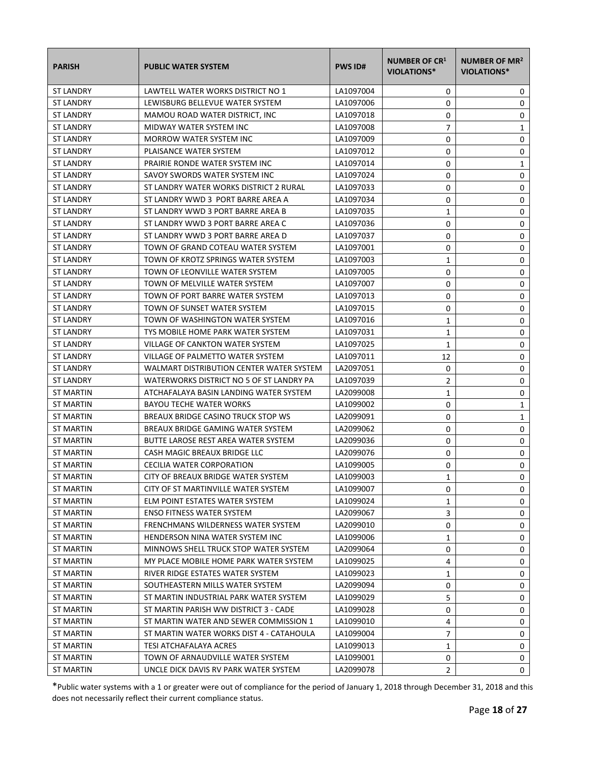| <b>PARISH</b>    | <b>PUBLIC WATER SYSTEM</b>               | <b>PWS ID#</b> | <b>NUMBER OF CR1</b><br><b>VIOLATIONS*</b> | NUMBER OF MR <sup>2</sup><br><b>VIOLATIONS*</b> |
|------------------|------------------------------------------|----------------|--------------------------------------------|-------------------------------------------------|
| <b>ST LANDRY</b> | LAWTELL WATER WORKS DISTRICT NO 1        | LA1097004      | 0                                          | 0                                               |
| <b>ST LANDRY</b> | LEWISBURG BELLEVUE WATER SYSTEM          | LA1097006      | 0                                          | 0                                               |
| <b>ST LANDRY</b> | MAMOU ROAD WATER DISTRICT. INC           | LA1097018      | 0                                          | 0                                               |
| <b>ST LANDRY</b> | MIDWAY WATER SYSTEM INC                  | LA1097008      | $\overline{7}$                             | 1                                               |
| <b>ST LANDRY</b> | <b>MORROW WATER SYSTEM INC</b>           | LA1097009      | 0                                          | 0                                               |
| <b>ST LANDRY</b> | PLAISANCE WATER SYSTEM                   | LA1097012      | 0                                          | 0                                               |
| <b>ST LANDRY</b> | PRAIRIE RONDE WATER SYSTEM INC           | LA1097014      | 0                                          | 1                                               |
| <b>ST LANDRY</b> | SAVOY SWORDS WATER SYSTEM INC            | LA1097024      | 0                                          | 0                                               |
| <b>ST LANDRY</b> | ST LANDRY WATER WORKS DISTRICT 2 RURAL   | LA1097033      | 0                                          | 0                                               |
| <b>ST LANDRY</b> | ST LANDRY WWD 3 PORT BARRE AREA A        | LA1097034      | 0                                          | 0                                               |
| <b>ST LANDRY</b> | ST LANDRY WWD 3 PORT BARRE AREA B        | LA1097035      | 1                                          | 0                                               |
| <b>ST LANDRY</b> | ST LANDRY WWD 3 PORT BARRE AREA C        | LA1097036      | 0                                          | 0                                               |
| <b>ST LANDRY</b> | ST LANDRY WWD 3 PORT BARRE AREA D        | LA1097037      | 0                                          | 0                                               |
| <b>ST LANDRY</b> | TOWN OF GRAND COTEAU WATER SYSTEM        | LA1097001      | 0                                          | 0                                               |
| <b>ST LANDRY</b> | TOWN OF KROTZ SPRINGS WATER SYSTEM       | LA1097003      | 1                                          | 0                                               |
| <b>ST LANDRY</b> | TOWN OF LEONVILLE WATER SYSTEM           | LA1097005      | 0                                          | 0                                               |
| <b>ST LANDRY</b> | TOWN OF MELVILLE WATER SYSTEM            | LA1097007      | 0                                          | 0                                               |
| <b>ST LANDRY</b> | TOWN OF PORT BARRE WATER SYSTEM          | LA1097013      | 0                                          | 0                                               |
| <b>ST LANDRY</b> | TOWN OF SUNSET WATER SYSTEM              | LA1097015      | 0                                          | 0                                               |
| <b>ST LANDRY</b> | TOWN OF WASHINGTON WATER SYSTEM          | LA1097016      | 1                                          | 0                                               |
| <b>ST LANDRY</b> | TYS MOBILE HOME PARK WATER SYSTEM        | LA1097031      | 1                                          | 0                                               |
| <b>ST LANDRY</b> | VILLAGE OF CANKTON WATER SYSTEM          | LA1097025      | $\mathbf{1}$                               | 0                                               |
| <b>ST LANDRY</b> | VILLAGE OF PALMETTO WATER SYSTEM         | LA1097011      | 12                                         | 0                                               |
| <b>ST LANDRY</b> | WALMART DISTRIBUTION CENTER WATER SYSTEM | LA2097051      | 0                                          | 0                                               |
| <b>ST LANDRY</b> | WATERWORKS DISTRICT NO 5 OF ST LANDRY PA | LA1097039      | 2                                          | 0                                               |
| ST MARTIN        | ATCHAFALAYA BASIN LANDING WATER SYSTEM   | LA2099008      | 1                                          | 0                                               |
| <b>ST MARTIN</b> | <b>BAYOU TECHE WATER WORKS</b>           | LA1099002      | 0                                          | 1                                               |
| ST MARTIN        | BREAUX BRIDGE CASINO TRUCK STOP WS       | LA2099091      | 0                                          | 1                                               |
| <b>ST MARTIN</b> | BREAUX BRIDGE GAMING WATER SYSTEM        | LA2099062      | 0                                          | 0                                               |
| <b>ST MARTIN</b> | BUTTE LAROSE REST AREA WATER SYSTEM      | LA2099036      | 0                                          | 0                                               |
| ST MARTIN        | CASH MAGIC BREAUX BRIDGE LLC             | LA2099076      | 0                                          | 0                                               |
| ST MARTIN        | CECILIA WATER CORPORATION                | LA1099005      | 0                                          | 0                                               |
| <b>ST MARTIN</b> | CITY OF BREAUX BRIDGE WATER SYSTEM       | LA1099003      | $\mathbf{1}$                               | 0                                               |
| <b>ST MARTIN</b> | CITY OF ST MARTINVILLE WATER SYSTEM      | LA1099007      | 0                                          | 0                                               |
| ST MARTIN        | ELM POINT ESTATES WATER SYSTEM           | LA1099024      | 1                                          | 0                                               |
| ST MARTIN        | <b>ENSO FITNESS WATER SYSTEM</b>         | LA2099067      | 3                                          | 0                                               |
| <b>ST MARTIN</b> | FRENCHMANS WILDERNESS WATER SYSTEM       | LA2099010      | 0                                          | 0                                               |
| ST MARTIN        | HENDERSON NINA WATER SYSTEM INC          | LA1099006      | 1                                          | 0                                               |
| ST MARTIN        | MINNOWS SHELL TRUCK STOP WATER SYSTEM    | LA2099064      | 0                                          | 0                                               |
| ST MARTIN        | MY PLACE MOBILE HOME PARK WATER SYSTEM   | LA1099025      | 4                                          | 0                                               |
| ST MARTIN        | RIVER RIDGE ESTATES WATER SYSTEM         | LA1099023      | 1                                          | 0                                               |
| ST MARTIN        | SOUTHEASTERN MILLS WATER SYSTEM          | LA2099094      | 0                                          | 0                                               |
| <b>ST MARTIN</b> | ST MARTIN INDUSTRIAL PARK WATER SYSTEM   | LA1099029      | 5                                          | 0                                               |
| ST MARTIN        | ST MARTIN PARISH WW DISTRICT 3 - CADE    | LA1099028      | 0                                          | 0                                               |
| ST MARTIN        | ST MARTIN WATER AND SEWER COMMISSION 1   | LA1099010      | 4                                          | 0                                               |
| ST MARTIN        | ST MARTIN WATER WORKS DIST 4 - CATAHOULA | LA1099004      | 7                                          | 0                                               |
| ST MARTIN        | TESI ATCHAFALAYA ACRES                   | LA1099013      | 1                                          | 0                                               |
| ST MARTIN        | TOWN OF ARNAUDVILLE WATER SYSTEM         | LA1099001      | 0                                          | 0                                               |
| ST MARTIN        | UNCLE DICK DAVIS RV PARK WATER SYSTEM    | LA2099078      | $\overline{2}$                             | 0                                               |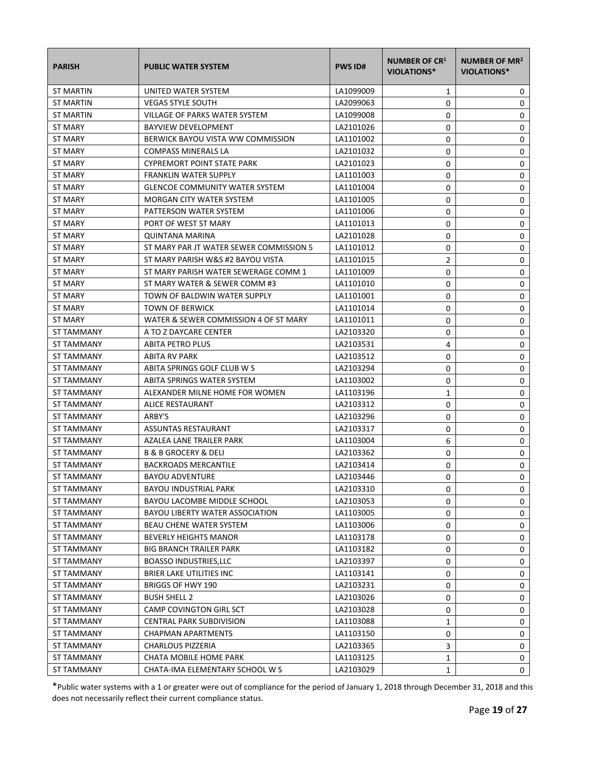| <b>PARISH</b>     | <b>PUBLIC WATER SYSTEM</b>              | <b>PWS ID#</b> | <b>NUMBER OF CR1</b><br><b>VIOLATIONS*</b> | NUMBER OF MR <sup>2</sup><br><b>VIOLATIONS*</b> |
|-------------------|-----------------------------------------|----------------|--------------------------------------------|-------------------------------------------------|
| ST MARTIN         | UNITED WATER SYSTEM                     | LA1099009      | 1                                          | 0                                               |
| ST MARTIN         | <b>VEGAS STYLE SOUTH</b>                | LA2099063      | 0                                          | 0                                               |
| <b>ST MARTIN</b>  | VILLAGE OF PARKS WATER SYSTEM           | LA1099008      | 0                                          | 0                                               |
| ST MARY           | <b>BAYVIEW DEVELOPMENT</b>              | LA2101026      | 0                                          | 0                                               |
| <b>ST MARY</b>    | BERWICK BAYOU VISTA WW COMMISSION       | LA1101002      | 0                                          | 0                                               |
| ST MARY           | <b>COMPASS MINERALS LA</b>              | LA2101032      | 0                                          | 0                                               |
| ST MARY           | CYPREMORT POINT STATE PARK              | LA2101023      | 0                                          | 0                                               |
| ST MARY           | <b>FRANKLIN WATER SUPPLY</b>            | LA1101003      | 0                                          | 0                                               |
| <b>ST MARY</b>    | <b>GLENCOE COMMUNITY WATER SYSTEM</b>   | LA1101004      | 0                                          | 0                                               |
| ST MARY           | MORGAN CITY WATER SYSTEM                | LA1101005      | 0                                          | 0                                               |
| <b>ST MARY</b>    | PATTERSON WATER SYSTEM                  | LA1101006      | 0                                          | 0                                               |
| ST MARY           | PORT OF WEST ST MARY                    | LA1101013      | 0                                          | 0                                               |
| ST MARY           | QUINTANA MARINA                         | LA2101028      | 0                                          | 0                                               |
| ST MARY           | ST MARY PAR JT WATER SEWER COMMISSION 5 | LA1101012      | 0                                          | 0                                               |
| <b>ST MARY</b>    | ST MARY PARISH W&S #2 BAYOU VISTA       | LA1101015      | 2                                          | 0                                               |
| <b>ST MARY</b>    | ST MARY PARISH WATER SEWERAGE COMM 1    | LA1101009      | 0                                          | 0                                               |
| ST MARY           | ST MARY WATER & SEWER COMM #3           | LA1101010      | 0                                          | 0                                               |
| <b>ST MARY</b>    | TOWN OF BALDWIN WATER SUPPLY            | LA1101001      | 0                                          | 0                                               |
| ST MARY           | <b>TOWN OF BERWICK</b>                  | LA1101014      | 0                                          | 0                                               |
| ST MARY           | WATER & SEWER COMMISSION 4 OF ST MARY   | LA1101011      | 0                                          | 0                                               |
| ST TAMMANY        | A TO Z DAYCARE CENTER                   | LA2103320      | 0                                          | 0                                               |
| ST TAMMANY        | <b>ABITA PETRO PLUS</b>                 | LA2103531      | 4                                          | 0                                               |
| ST TAMMANY        | ABITA RV PARK                           | LA2103512      | 0                                          | 0                                               |
| ST TAMMANY        | ABITA SPRINGS GOLF CLUB W S             | LA2103294      | 0                                          | 0                                               |
| ST TAMMANY        | ABITA SPRINGS WATER SYSTEM              | LA1103002      | 0                                          | 0                                               |
| ST TAMMANY        | ALEXANDER MILNE HOME FOR WOMEN          | LA1103196      | $\mathbf{1}$                               | 0                                               |
| ST TAMMANY        | ALICE RESTAURANT                        | LA2103312      | 0                                          | 0                                               |
| ST TAMMANY        | ARBY'S                                  | LA2103296      | 0                                          | 0                                               |
| ST TAMMANY        | ASSUNTAS RESTAURANT                     | LA2103317      | 0                                          | 0                                               |
| ST TAMMANY        | AZALEA LANE TRAILER PARK                | LA1103004      | 6                                          | 0                                               |
| <b>ST TAMMANY</b> | <b>B &amp; B GROCERY &amp; DELI</b>     | LA2103362      | 0                                          | 0                                               |
| ST TAMMANY        | <b>BACKROADS MERCANTILE</b>             | LA2103414      | 0                                          | 0                                               |
| ST TAMMANY        | <b>BAYOU ADVENTURE</b>                  | LA2103446      | 0                                          | 0                                               |
| ST TAMMANY        | <b>BAYOU INDUSTRIAL PARK</b>            | LA2103310      | 0                                          | 0                                               |
| ST TAMMANY        | BAYOU LACOMBE MIDDLE SCHOOL             | LA2103053      | 0                                          | 0                                               |
| ST TAMMANY        | BAYOU LIBERTY WATER ASSOCIATION         | LA1103005      | 0                                          | 0                                               |
| ST TAMMANY        | BEAU CHENE WATER SYSTEM                 | LA1103006      | 0                                          | 0                                               |
| ST TAMMANY        | <b>BEVERLY HEIGHTS MANOR</b>            | LA1103178      | 0                                          | 0                                               |
| ST TAMMANY        | <b>BIG BRANCH TRAILER PARK</b>          | LA1103182      | 0                                          | 0                                               |
| ST TAMMANY        | <b>BOASSO INDUSTRIES, LLC</b>           | LA2103397      | 0                                          | 0                                               |
| ST TAMMANY        | <b>BRIER LAKE UTILITIES INC</b>         | LA1103141      | 0                                          | 0                                               |
| ST TAMMANY        | BRIGGS OF HWY 190                       | LA2103231      | 0                                          | 0                                               |
| ST TAMMANY        | <b>BUSH SHELL 2</b>                     | LA2103026      | 0                                          | 0                                               |
| ST TAMMANY        | CAMP COVINGTON GIRL SCT                 | LA2103028      | 0                                          | 0                                               |
| ST TAMMANY        | CENTRAL PARK SUBDIVISION                | LA1103088      | 1                                          | 0                                               |
| ST TAMMANY        | CHAPMAN APARTMENTS                      | LA1103150      | 0                                          | 0                                               |
| ST TAMMANY        | CHARLOUS PIZZERIA                       | LA2103365      | 3                                          | 0                                               |
| ST TAMMANY        | CHATA MOBILE HOME PARK                  | LA1103125      | 1                                          | 0                                               |
| ST TAMMANY        | CHATA-IMA ELEMENTARY SCHOOL W S         | LA2103029      | $\mathbf{1}$                               | 0                                               |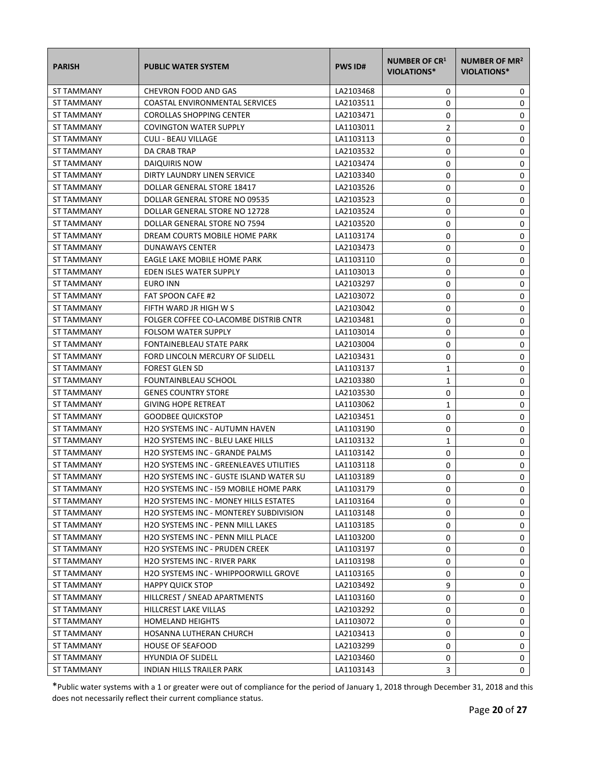| <b>PARISH</b>     | <b>PUBLIC WATER SYSTEM</b>                     | <b>PWS ID#</b> | <b>NUMBER OF CR1</b><br><b>VIOLATIONS*</b> | NUMBER OF MR <sup>2</sup><br>VIOLATIONS* |
|-------------------|------------------------------------------------|----------------|--------------------------------------------|------------------------------------------|
| ST TAMMANY        | CHEVRON FOOD AND GAS                           | LA2103468      | 0                                          | 0                                        |
| ST TAMMANY        | <b>COASTAL ENVIRONMENTAL SERVICES</b>          | LA2103511      | 0                                          | 0                                        |
| <b>ST TAMMANY</b> | <b>COROLLAS SHOPPING CENTER</b>                | LA2103471      | 0                                          | 0                                        |
| ST TAMMANY        | <b>COVINGTON WATER SUPPLY</b>                  | LA1103011      | 2                                          | 0                                        |
| ST TAMMANY        | <b>CULI - BEAU VILLAGE</b>                     | LA1103113      | 0                                          | 0                                        |
| ST TAMMANY        | DA CRAB TRAP                                   | LA2103532      | 0                                          | 0                                        |
| ST TAMMANY        | DAIQUIRIS NOW                                  | LA2103474      | 0                                          | 0                                        |
| ST TAMMANY        | DIRTY LAUNDRY LINEN SERVICE                    | LA2103340      | 0                                          | 0                                        |
| ST TAMMANY        | DOLLAR GENERAL STORE 18417                     | LA2103526      | 0                                          | 0                                        |
| ST TAMMANY        | DOLLAR GENERAL STORE NO 09535                  | LA2103523      | 0                                          | 0                                        |
| ST TAMMANY        | DOLLAR GENERAL STORE NO 12728                  | LA2103524      | 0                                          | 0                                        |
| ST TAMMANY        | DOLLAR GENERAL STORE NO 7594                   | LA2103520      | 0                                          | 0                                        |
| ST TAMMANY        | DREAM COURTS MOBILE HOME PARK                  | LA1103174      | 0                                          | 0                                        |
| ST TAMMANY        | <b>DUNAWAYS CENTER</b>                         | LA2103473      | 0                                          | 0                                        |
| ST TAMMANY        | EAGLE LAKE MOBILE HOME PARK                    | LA1103110      | 0                                          | 0                                        |
| ST TAMMANY        | EDEN ISLES WATER SUPPLY                        | LA1103013      | 0                                          | 0                                        |
| ST TAMMANY        | EURO INN                                       | LA2103297      | 0                                          | 0                                        |
| ST TAMMANY        | <b>FAT SPOON CAFE #2</b>                       | LA2103072      | 0                                          | 0                                        |
| ST TAMMANY        | FIFTH WARD JR HIGH W S                         | LA2103042      | 0                                          | 0                                        |
| ST TAMMANY        | FOLGER COFFEE CO-LACOMBE DISTRIB CNTR          | LA2103481      | 0                                          | 0                                        |
| ST TAMMANY        | <b>FOLSOM WATER SUPPLY</b>                     | LA1103014      | 0                                          | 0                                        |
| ST TAMMANY        | FONTAINEBLEAU STATE PARK                       | LA2103004      | 0                                          | 0                                        |
| ST TAMMANY        | FORD LINCOLN MERCURY OF SLIDELL                | LA2103431      | 0                                          | 0                                        |
| ST TAMMANY        | <b>FOREST GLEN SD</b>                          | LA1103137      | $\mathbf{1}$                               | 0                                        |
| ST TAMMANY        | FOUNTAINBLEAU SCHOOL                           | LA2103380      | $\mathbf{1}$                               | 0                                        |
| ST TAMMANY        | <b>GENES COUNTRY STORE</b>                     | LA2103530      | 0                                          | 0                                        |
| ST TAMMANY        | <b>GIVING HOPE RETREAT</b>                     | LA1103062      | 1                                          | 0                                        |
| ST TAMMANY        | <b>GOODBEE QUICKSTOP</b>                       | LA2103451      | 0                                          | 0                                        |
| ST TAMMANY        | H2O SYSTEMS INC - AUTUMN HAVEN                 | LA1103190      | 0                                          | 0                                        |
| ST TAMMANY        | H2O SYSTEMS INC - BLEU LAKE HILLS              | LA1103132      | 1                                          | 0                                        |
| ST TAMMANY        | <b>H2O SYSTEMS INC - GRANDE PALMS</b>          | LA1103142      | 0                                          | 0                                        |
| ST TAMMANY        | H2O SYSTEMS INC - GREENLEAVES UTILITIES        | LA1103118      | 0                                          | 0                                        |
| ST TAMMANY        | <b>H2O SYSTEMS INC - GUSTE ISLAND WATER SU</b> | LA1103189      | 0                                          | 0                                        |
| ST TAMMANY        | H2O SYSTEMS INC - I59 MOBILE HOME PARK         | LA1103179      | 0                                          | 0                                        |
| ST TAMMANY        | <b>H2O SYSTEMS INC - MONEY HILLS ESTATES</b>   | LA1103164      | 0                                          | 0                                        |
| ST TAMMANY        | <b>H2O SYSTEMS INC - MONTEREY SUBDIVISION</b>  | LA1103148      | 0                                          | 0                                        |
| ST TAMMANY        | H2O SYSTEMS INC - PENN MILL LAKES              | LA1103185      | 0                                          | 0                                        |
| <b>ST TAMMANY</b> | H2O SYSTEMS INC - PENN MILL PLACE              | LA1103200      | 0                                          | 0                                        |
| ST TAMMANY        | H2O SYSTEMS INC - PRUDEN CREEK                 | LA1103197      | 0                                          | 0                                        |
| ST TAMMANY        | <b>H2O SYSTEMS INC - RIVER PARK</b>            | LA1103198      | 0                                          | 0                                        |
| ST TAMMANY        | <b>H2O SYSTEMS INC - WHIPPOORWILL GROVE</b>    | LA1103165      | 0                                          | 0                                        |
| ST TAMMANY        | <b>HAPPY QUICK STOP</b>                        | LA2103492      | 9                                          | 0                                        |
| ST TAMMANY        | HILLCREST / SNEAD APARTMENTS                   | LA1103160      | 0                                          | 0                                        |
| ST TAMMANY        | HILLCREST LAKE VILLAS                          | LA2103292      | 0                                          | 0                                        |
| ST TAMMANY        | <b>HOMELAND HEIGHTS</b>                        | LA1103072      | 0                                          | 0                                        |
| ST TAMMANY        | HOSANNA LUTHERAN CHURCH                        | LA2103413      | 0                                          | 0                                        |
| ST TAMMANY        | <b>HOUSE OF SEAFOOD</b>                        | LA2103299      | 0                                          | 0                                        |
| ST TAMMANY        | <b>HYUNDIA OF SLIDELL</b>                      | LA2103460      | 0                                          | 0                                        |
| ST TAMMANY        | INDIAN HILLS TRAILER PARK                      | LA1103143      | 3                                          | 0                                        |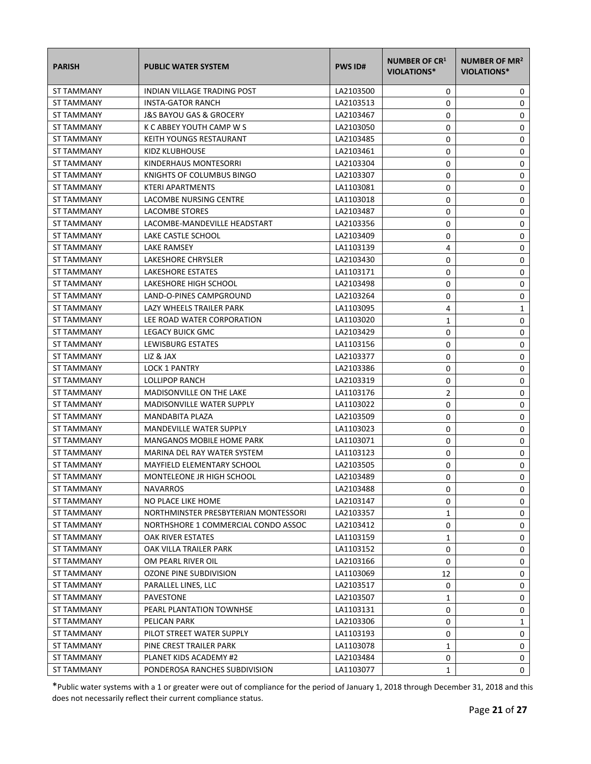| <b>PARISH</b>     | <b>PUBLIC WATER SYSTEM</b>           | <b>PWS ID#</b> | <b>NUMBER OF CR1</b><br><b>VIOLATIONS*</b> | NUMBER OF MR <sup>2</sup><br><b>VIOLATIONS*</b> |
|-------------------|--------------------------------------|----------------|--------------------------------------------|-------------------------------------------------|
| ST TAMMANY        | INDIAN VILLAGE TRADING POST          | LA2103500      | 0                                          | 0                                               |
| ST TAMMANY        | <b>INSTA-GATOR RANCH</b>             | LA2103513      | 0                                          | 0                                               |
| <b>ST TAMMANY</b> | J&S BAYOU GAS & GROCERY              | LA2103467      | 0                                          | 0                                               |
| ST TAMMANY        | K C ABBEY YOUTH CAMP W S             | LA2103050      | 0                                          | 0                                               |
| ST TAMMANY        | KEITH YOUNGS RESTAURANT              | LA2103485      | 0                                          | 0                                               |
| ST TAMMANY        | KIDZ KLUBHOUSE                       | LA2103461      | 0                                          | 0                                               |
| ST TAMMANY        | KINDERHAUS MONTESORRI                | LA2103304      | 0                                          | 0                                               |
| ST TAMMANY        | KNIGHTS OF COLUMBUS BINGO            | LA2103307      | 0                                          | 0                                               |
| ST TAMMANY        | <b>KTERI APARTMENTS</b>              | LA1103081      | 0                                          | 0                                               |
| ST TAMMANY        | LACOMBE NURSING CENTRE               | LA1103018      | 0                                          | 0                                               |
| ST TAMMANY        | LACOMBE STORES                       | LA2103487      | 0                                          | 0                                               |
| ST TAMMANY        | LACOMBE-MANDEVILLE HEADSTART         | LA2103356      | 0                                          | 0                                               |
| ST TAMMANY        | LAKE CASTLE SCHOOL                   | LA2103409      | 0                                          | 0                                               |
| <b>ST TAMMANY</b> | LAKE RAMSEY                          | LA1103139      | 4                                          | 0                                               |
| ST TAMMANY        | LAKESHORE CHRYSLER                   | LA2103430      | 0                                          | 0                                               |
| ST TAMMANY        | <b>LAKESHORE ESTATES</b>             | LA1103171      | 0                                          | 0                                               |
| ST TAMMANY        | LAKESHORE HIGH SCHOOL                | LA2103498      | 0                                          | 0                                               |
| ST TAMMANY        | LAND-O-PINES CAMPGROUND              | LA2103264      | 0                                          | 0                                               |
| ST TAMMANY        | LAZY WHEELS TRAILER PARK             | LA1103095      | 4                                          | 1                                               |
| ST TAMMANY        | LEE ROAD WATER CORPORATION           | LA1103020      | 1                                          | 0                                               |
| ST TAMMANY        | LEGACY BUICK GMC                     | LA2103429      | 0                                          | 0                                               |
| ST TAMMANY        | LEWISBURG ESTATES                    | LA1103156      | 0                                          | 0                                               |
| ST TAMMANY        | LIZ & JAX                            | LA2103377      | 0                                          | 0                                               |
| ST TAMMANY        | <b>LOCK 1 PANTRY</b>                 | LA2103386      | 0                                          | 0                                               |
| ST TAMMANY        | LOLLIPOP RANCH                       | LA2103319      | 0                                          | 0                                               |
| ST TAMMANY        | <b>MADISONVILLE ON THE LAKE</b>      | LA1103176      | $\overline{2}$                             | 0                                               |
| ST TAMMANY        | <b>MADISONVILLE WATER SUPPLY</b>     | LA1103022      | 0                                          | 0                                               |
| ST TAMMANY        | MANDABITA PLAZA                      | LA2103509      | 0                                          | 0                                               |
| ST TAMMANY        | <b>MANDEVILLE WATER SUPPLY</b>       | LA1103023      | 0                                          | 0                                               |
| ST TAMMANY        | <b>MANGANOS MOBILE HOME PARK</b>     | LA1103071      | 0                                          | 0                                               |
| ST TAMMANY        | MARINA DEL RAY WATER SYSTEM          | LA1103123      | 0                                          | 0                                               |
| ST TAMMANY        | <b>MAYFIELD ELEMENTARY SCHOOL</b>    | LA2103505      | 0                                          | 0                                               |
| ST TAMMANY        | MONTELEONE JR HIGH SCHOOL            | LA2103489      | 0                                          | 0                                               |
| ST TAMMANY        | <b>NAVARROS</b>                      | LA2103488      | 0                                          | 0                                               |
| ST TAMMANY        | NO PLACE LIKE HOME                   | LA2103147      | 0                                          | 0                                               |
| <b>ST TAMMANY</b> | NORTHMINSTER PRESBYTERIAN MONTESSORI | LA2103357      | 1                                          | 0                                               |
| ST TAMMANY        | NORTHSHORE 1 COMMERCIAL CONDO ASSOC  | LA2103412      | 0                                          | 0                                               |
| ST TAMMANY        | <b>OAK RIVER ESTATES</b>             | LA1103159      | 1                                          | 0                                               |
| ST TAMMANY        | OAK VILLA TRAILER PARK               | LA1103152      | 0                                          | 0                                               |
| <b>ST TAMMANY</b> | OM PEARL RIVER OIL                   | LA2103166      | 0                                          | 0                                               |
| ST TAMMANY        | <b>OZONE PINE SUBDIVISION</b>        | LA1103069      | 12                                         | 0                                               |
| ST TAMMANY        | PARALLEL LINES, LLC                  | LA2103517      | 0                                          | 0                                               |
| <b>ST TAMMANY</b> | PAVESTONE                            | LA2103507      | 1                                          | 0                                               |
| ST TAMMANY        | PEARL PLANTATION TOWNHSE             | LA1103131      | 0                                          | 0                                               |
| ST TAMMANY        | PELICAN PARK                         | LA2103306      | 0                                          | 1                                               |
| ST TAMMANY        | PILOT STREET WATER SUPPLY            | LA1103193      | 0                                          | 0                                               |
| ST TAMMANY        | PINE CREST TRAILER PARK              | LA1103078      | 1                                          | 0                                               |
| ST TAMMANY        | PLANET KIDS ACADEMY #2               | LA2103484      | 0                                          | 0                                               |
| ST TAMMANY        | PONDEROSA RANCHES SUBDIVISION        | LA1103077      | 1                                          | 0                                               |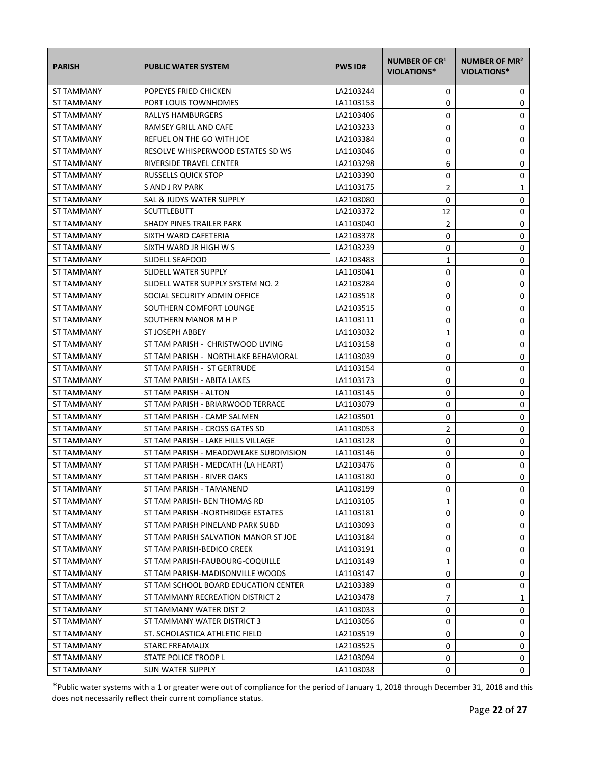| <b>PARISH</b>     | <b>PUBLIC WATER SYSTEM</b>             | <b>PWS ID#</b> | <b>NUMBER OF CR1</b><br><b>VIOLATIONS*</b> | NUMBER OF MR <sup>2</sup><br>VIOLATIONS* |
|-------------------|----------------------------------------|----------------|--------------------------------------------|------------------------------------------|
| ST TAMMANY        | POPEYES FRIED CHICKEN                  | LA2103244      | 0                                          | 0                                        |
| <b>ST TAMMANY</b> | PORT LOUIS TOWNHOMES                   | LA1103153      | 0                                          | 0                                        |
| ST TAMMANY        | <b>RALLYS HAMBURGERS</b>               | LA2103406      | 0                                          | 0                                        |
| ST TAMMANY        | RAMSEY GRILL AND CAFE                  | LA2103233      | 0                                          | 0                                        |
| ST TAMMANY        | REFUEL ON THE GO WITH JOE              | LA2103384      | 0                                          | 0                                        |
| ST TAMMANY        | RESOLVE WHISPERWOOD ESTATES SD WS      | LA1103046      | 0                                          | 0                                        |
| ST TAMMANY        | RIVERSIDE TRAVEL CENTER                | LA2103298      | 6                                          | 0                                        |
| ST TAMMANY        | RUSSELLS QUICK STOP                    | LA2103390      | 0                                          | 0                                        |
| ST TAMMANY        | S AND J RV PARK                        | LA1103175      | 2                                          | 1                                        |
| ST TAMMANY        | SAL & JUDYS WATER SUPPLY               | LA2103080      | 0                                          | 0                                        |
| ST TAMMANY        | <b>SCUTTLEBUTT</b>                     | LA2103372      | 12                                         | 0                                        |
| ST TAMMANY        | SHADY PINES TRAILER PARK               | LA1103040      | $\overline{2}$                             | 0                                        |
| ST TAMMANY        | SIXTH WARD CAFETERIA                   | LA2103378      | 0                                          | 0                                        |
| ST TAMMANY        | SIXTH WARD JR HIGH W S                 | LA2103239      | 0                                          | 0                                        |
| ST TAMMANY        | SLIDELL SEAFOOD                        | LA2103483      | 1                                          | 0                                        |
| ST TAMMANY        | SLIDELL WATER SUPPLY                   | LA1103041      | 0                                          | 0                                        |
| ST TAMMANY        | SLIDELL WATER SUPPLY SYSTEM NO. 2      | LA2103284      | 0                                          | 0                                        |
| ST TAMMANY        | SOCIAL SECURITY ADMIN OFFICE           | LA2103518      | 0                                          | 0                                        |
| ST TAMMANY        | SOUTHERN COMFORT LOUNGE                | LA2103515      | 0                                          | 0                                        |
| <b>ST TAMMANY</b> | SOUTHERN MANOR M H P                   | LA1103111      | 0                                          | 0                                        |
| ST TAMMANY        | ST JOSEPH ABBEY                        | LA1103032      | 1                                          | 0                                        |
| ST TAMMANY        | ST TAM PARISH - CHRISTWOOD LIVING      | LA1103158      | 0                                          | 0                                        |
| ST TAMMANY        | ST TAM PARISH - NORTHLAKE BEHAVIORAL   | LA1103039      | 0                                          | 0                                        |
| ST TAMMANY        | ST TAM PARISH - ST GERTRUDE            | LA1103154      | 0                                          | 0                                        |
| ST TAMMANY        | ST TAM PARISH - ABITA LAKES            | LA1103173      | 0                                          | 0                                        |
| <b>ST TAMMANY</b> | ST TAM PARISH - ALTON                  | LA1103145      | 0                                          | 0                                        |
| ST TAMMANY        | ST TAM PARISH - BRIARWOOD TERRACE      | LA1103079      | 0                                          | 0                                        |
| ST TAMMANY        | ST TAM PARISH - CAMP SALMEN            | LA2103501      | 0                                          | 0                                        |
| ST TAMMANY        | ST TAM PARISH - CROSS GATES SD         | LA1103053      | 2                                          | 0                                        |
| ST TAMMANY        | ST TAM PARISH - LAKE HILLS VILLAGE     | LA1103128      | 0                                          | 0                                        |
| ST TAMMANY        | ST TAM PARISH - MEADOWLAKE SUBDIVISION | LA1103146      | 0                                          | 0                                        |
| ST TAMMANY        | ST TAM PARISH - MEDCATH (LA HEART)     | LA2103476      | 0                                          | 0                                        |
| ST TAMMANY        | ST TAM PARISH - RIVER OAKS             | LA1103180      | 0                                          | 0                                        |
| ST TAMMANY        | ST TAM PARISH - TAMANEND               | LA1103199      | 0                                          | 0                                        |
| ST TAMMANY        | ST TAM PARISH- BEN THOMAS RD           | LA1103105      | 1                                          | 0                                        |
| ST TAMMANY        | ST TAM PARISH -NORTHRIDGE ESTATES      | LA1103181      | 0                                          | 0                                        |
| ST TAMMANY        | ST TAM PARISH PINELAND PARK SUBD       | LA1103093      | 0                                          | 0                                        |
| <b>ST TAMMANY</b> | ST TAM PARISH SALVATION MANOR ST JOE   | LA1103184      | 0                                          | 0                                        |
| ST TAMMANY        | ST TAM PARISH-BEDICO CREEK             | LA1103191      | 0                                          | 0                                        |
| ST TAMMANY        | ST TAM PARISH-FAUBOURG-COQUILLE        | LA1103149      | 1                                          | 0                                        |
| <b>ST TAMMANY</b> | ST TAM PARISH-MADISONVILLE WOODS       | LA1103147      | 0                                          | 0                                        |
| <b>ST TAMMANY</b> | ST TAM SCHOOL BOARD EDUCATION CENTER   | LA2103389      | 0                                          | 0                                        |
| ST TAMMANY        | ST TAMMANY RECREATION DISTRICT 2       | LA2103478      | $\overline{7}$                             | 1                                        |
| ST TAMMANY        | ST TAMMANY WATER DIST 2                | LA1103033      | 0                                          | 0                                        |
| ST TAMMANY        | ST TAMMANY WATER DISTRICT 3            | LA1103056      | 0                                          | 0                                        |
| ST TAMMANY        | ST. SCHOLASTICA ATHLETIC FIELD         | LA2103519      | 0                                          | 0                                        |
| ST TAMMANY        | STARC FREAMAUX                         | LA2103525      | 0                                          | 0                                        |
| ST TAMMANY        | STATE POLICE TROOP L                   | LA2103094      | 0                                          | 0                                        |
| ST TAMMANY        | <b>SUN WATER SUPPLY</b>                | LA1103038      | 0                                          | 0                                        |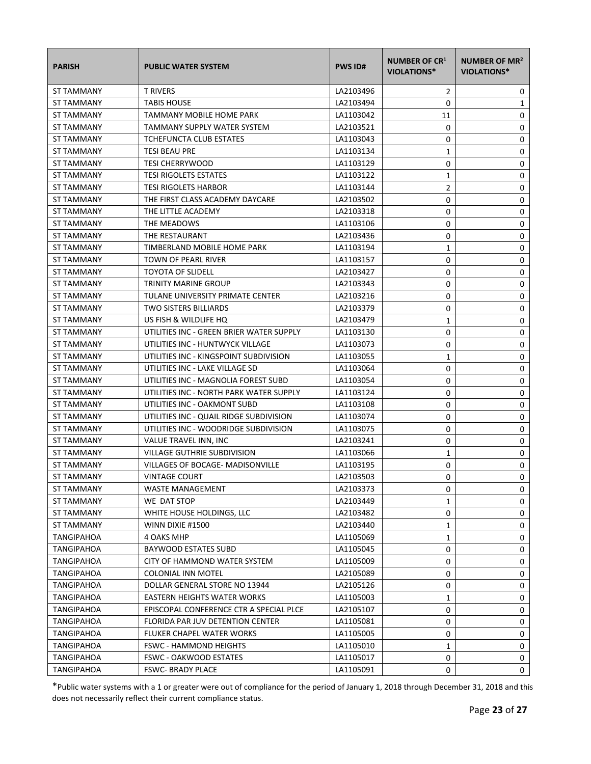| <b>PARISH</b>     | <b>PUBLIC WATER SYSTEM</b>               | <b>PWS ID#</b> | <b>NUMBER OF CR1</b><br><b>VIOLATIONS*</b> | NUMBER OF MR <sup>2</sup><br>VIOLATIONS* |
|-------------------|------------------------------------------|----------------|--------------------------------------------|------------------------------------------|
| <b>ST TAMMANY</b> | <b>T RIVERS</b>                          | LA2103496      | 2                                          | 0                                        |
| <b>ST TAMMANY</b> | <b>TABIS HOUSE</b>                       | LA2103494      | 0                                          | 1                                        |
| <b>ST TAMMANY</b> | <b>TAMMANY MOBILE HOME PARK</b>          | LA1103042      | 11                                         | 0                                        |
| ST TAMMANY        | <b>TAMMANY SUPPLY WATER SYSTEM</b>       | LA2103521      | 0                                          | 0                                        |
| ST TAMMANY        | TCHEFUNCTA CLUB ESTATES                  | LA1103043      | 0                                          | 0                                        |
| <b>ST TAMMANY</b> | <b>TESI BEAU PRE</b>                     | LA1103134      | 1                                          | 0                                        |
| ST TAMMANY        | <b>TESI CHERRYWOOD</b>                   | LA1103129      | 0                                          | 0                                        |
| ST TAMMANY        | <b>TESI RIGOLETS ESTATES</b>             | LA1103122      | 1                                          | 0                                        |
| <b>ST TAMMANY</b> | <b>TESI RIGOLETS HARBOR</b>              | LA1103144      | $\overline{2}$                             | 0                                        |
| ST TAMMANY        | THE FIRST CLASS ACADEMY DAYCARE          | LA2103502      | 0                                          | 0                                        |
| ST TAMMANY        | THE LITTLE ACADEMY                       | LA2103318      | 0                                          | 0                                        |
| ST TAMMANY        | THE MEADOWS                              | LA1103106      | 0                                          | 0                                        |
| ST TAMMANY        | THE RESTAURANT                           | LA2103436      | 0                                          | 0                                        |
| ST TAMMANY        | TIMBERLAND MOBILE HOME PARK              | LA1103194      | 1                                          | 0                                        |
| ST TAMMANY        | TOWN OF PEARL RIVER                      | LA1103157      | 0                                          | 0                                        |
| <b>ST TAMMANY</b> | <b>TOYOTA OF SLIDELL</b>                 | LA2103427      | 0                                          | 0                                        |
| ST TAMMANY        | <b>TRINITY MARINE GROUP</b>              | LA2103343      | 0                                          | 0                                        |
| ST TAMMANY        | TULANE UNIVERSITY PRIMATE CENTER         | LA2103216      | 0                                          | 0                                        |
| ST TAMMANY        | <b>TWO SISTERS BILLIARDS</b>             | LA2103379      | 0                                          | 0                                        |
| <b>ST TAMMANY</b> | US FISH & WILDLIFE HQ                    | LA2103479      | 1                                          | 0                                        |
| ST TAMMANY        | UTILITIES INC - GREEN BRIER WATER SUPPLY | LA1103130      | 0                                          | 0                                        |
| ST TAMMANY        | UTILITIES INC - HUNTWYCK VILLAGE         | LA1103073      | 0                                          | 0                                        |
| ST TAMMANY        | UTILITIES INC - KINGSPOINT SUBDIVISION   | LA1103055      | 1                                          | 0                                        |
| ST TAMMANY        | UTILITIES INC - LAKE VILLAGE SD          | LA1103064      | 0                                          | 0                                        |
| ST TAMMANY        | UTILITIES INC - MAGNOLIA FOREST SUBD     | LA1103054      | 0                                          | 0                                        |
| ST TAMMANY        | UTILITIES INC - NORTH PARK WATER SUPPLY  | LA1103124      | 0                                          | 0                                        |
| ST TAMMANY        | UTILITIES INC - OAKMONT SUBD             | LA1103108      | 0                                          | 0                                        |
| ST TAMMANY        | UTILITIES INC - QUAIL RIDGE SUBDIVISION  | LA1103074      | 0                                          | 0                                        |
| <b>ST TAMMANY</b> | UTILITIES INC - WOODRIDGE SUBDIVISION    | LA1103075      | 0                                          | 0                                        |
| ST TAMMANY        | VALUE TRAVEL INN, INC                    | LA2103241      | 0                                          | 0                                        |
| ST TAMMANY        | <b>VILLAGE GUTHRIE SUBDIVISION</b>       | LA1103066      | $\mathbf{1}$                               | $\mathbf 0$                              |
| ST TAMMANY        | VILLAGES OF BOCAGE- MADISONVILLE         | LA1103195      | 0                                          | 0                                        |
| ST TAMMANY        | <b>VINTAGE COURT</b>                     | LA2103503      | 0                                          | 0                                        |
| ST TAMMANY        | <b>WASTE MANAGEMENT</b>                  | LA2103373      | 0                                          | 0                                        |
| ST TAMMANY        | WE DAT STOP                              | LA2103449      | 1                                          | 0                                        |
| <b>ST TAMMANY</b> | WHITE HOUSE HOLDINGS, LLC                | LA2103482      | 0                                          | 0                                        |
| ST TAMMANY        | WINN DIXIE #1500                         | LA2103440      | 1                                          | 0                                        |
| <b>TANGIPAHOA</b> | <b>4 OAKS MHP</b>                        | LA1105069      | 1                                          | 0                                        |
| <b>TANGIPAHOA</b> | <b>BAYWOOD ESTATES SUBD</b>              | LA1105045      | 0                                          | 0                                        |
| TANGIPAHOA        | CITY OF HAMMOND WATER SYSTEM             | LA1105009      | 0                                          | 0                                        |
| TANGIPAHOA        | COLONIAL INN MOTEL                       | LA2105089      | 0                                          | 0                                        |
| TANGIPAHOA        | DOLLAR GENERAL STORE NO 13944            | LA2105126      | 0                                          | 0                                        |
| TANGIPAHOA        | EASTERN HEIGHTS WATER WORKS              | LA1105003      | 1                                          | 0                                        |
| TANGIPAHOA        | EPISCOPAL CONFERENCE CTR A SPECIAL PLCE  | LA2105107      | 0                                          | 0                                        |
| TANGIPAHOA        | FLORIDA PAR JUV DETENTION CENTER         | LA1105081      | 0                                          | 0                                        |
| TANGIPAHOA        | FLUKER CHAPEL WATER WORKS                | LA1105005      | 0                                          | 0                                        |
| TANGIPAHOA        | <b>FSWC - HAMMOND HEIGHTS</b>            | LA1105010      | 1                                          | 0                                        |
| TANGIPAHOA        | FSWC - OAKWOOD ESTATES                   | LA1105017      | 0                                          | 0                                        |
| <b>TANGIPAHOA</b> | <b>FSWC- BRADY PLACE</b>                 | LA1105091      | 0                                          | 0                                        |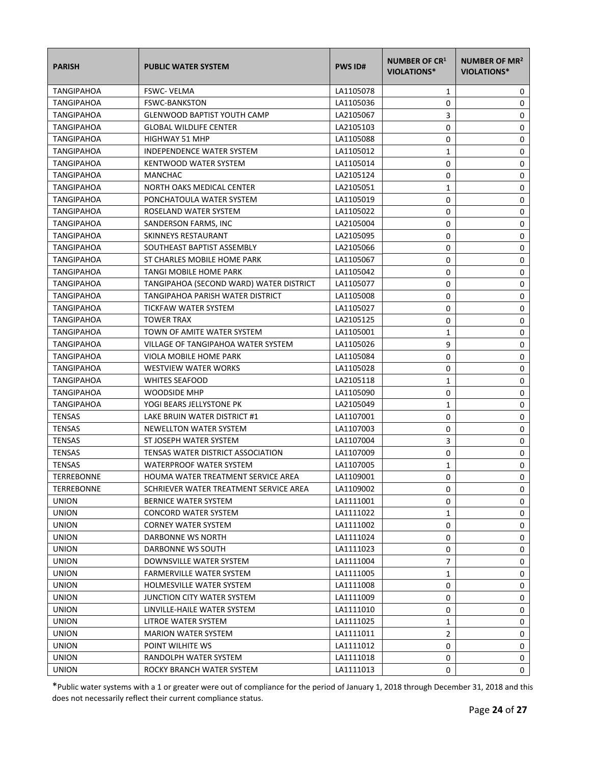| <b>PARISH</b>     | <b>PUBLIC WATER SYSTEM</b>              | <b>PWS ID#</b> | <b>NUMBER OF CR1</b><br><b>VIOLATIONS*</b> | NUMBER OF MR <sup>2</sup><br>VIOLATIONS* |
|-------------------|-----------------------------------------|----------------|--------------------------------------------|------------------------------------------|
| TANGIPAHOA        | <b>FSWC- VELMA</b>                      | LA1105078      | 1                                          | 0                                        |
| <b>TANGIPAHOA</b> | <b>FSWC-BANKSTON</b>                    | LA1105036      | 0                                          | 0                                        |
| <b>TANGIPAHOA</b> | <b>GLENWOOD BAPTIST YOUTH CAMP</b>      | LA2105067      | 3                                          | 0                                        |
| TANGIPAHOA        | <b>GLOBAL WILDLIFE CENTER</b>           | LA2105103      | 0                                          | 0                                        |
| TANGIPAHOA        | <b>HIGHWAY 51 MHP</b>                   | LA1105088      | 0                                          | 0                                        |
| TANGIPAHOA        | <b>INDEPENDENCE WATER SYSTEM</b>        | LA1105012      | $\mathbf{1}$                               | 0                                        |
| TANGIPAHOA        | KENTWOOD WATER SYSTEM                   | LA1105014      | 0                                          | 0                                        |
| TANGIPAHOA        | <b>MANCHAC</b>                          | LA2105124      | 0                                          | 0                                        |
| <b>TANGIPAHOA</b> | NORTH OAKS MEDICAL CENTER               | LA2105051      | 1                                          | 0                                        |
| TANGIPAHOA        | PONCHATOULA WATER SYSTEM                | LA1105019      | 0                                          | 0                                        |
| TANGIPAHOA        | ROSELAND WATER SYSTEM                   | LA1105022      | 0                                          | 0                                        |
| TANGIPAHOA        | SANDERSON FARMS, INC                    | LA2105004      | 0                                          | 0                                        |
| TANGIPAHOA        | SKINNEYS RESTAURANT                     | LA2105095      | 0                                          | 0                                        |
| <b>TANGIPAHOA</b> | SOUTHEAST BAPTIST ASSEMBLY              | LA2105066      | 0                                          | 0                                        |
| <b>TANGIPAHOA</b> | ST CHARLES MOBILE HOME PARK             | LA1105067      | 0                                          | 0                                        |
| TANGIPAHOA        | <b>TANGI MOBILE HOME PARK</b>           | LA1105042      | 0                                          | 0                                        |
| <b>TANGIPAHOA</b> | TANGIPAHOA (SECOND WARD) WATER DISTRICT | LA1105077      | 0                                          | 0                                        |
| TANGIPAHOA        | TANGIPAHOA PARISH WATER DISTRICT        | LA1105008      | 0                                          | 0                                        |
| <b>TANGIPAHOA</b> | TICKFAW WATER SYSTEM                    | LA1105027      | 0                                          | 0                                        |
| TANGIPAHOA        | <b>TOWER TRAX</b>                       | LA2105125      | 0                                          | 0                                        |
| TANGIPAHOA        | TOWN OF AMITE WATER SYSTEM              | LA1105001      | $\mathbf{1}$                               | 0                                        |
| TANGIPAHOA        | VILLAGE OF TANGIPAHOA WATER SYSTEM      | LA1105026      | 9                                          | 0                                        |
| TANGIPAHOA        | VIOLA MOBILE HOME PARK                  | LA1105084      | 0                                          | 0                                        |
| TANGIPAHOA        | <b>WESTVIEW WATER WORKS</b>             | LA1105028      | 0                                          | 0                                        |
| TANGIPAHOA        | <b>WHITES SEAFOOD</b>                   | LA2105118      | 1                                          | 0                                        |
| <b>TANGIPAHOA</b> | <b>WOODSIDE MHP</b>                     | LA1105090      | 0                                          | 0                                        |
| <b>TANGIPAHOA</b> | YOGI BEARS JELLYSTONE PK                | LA2105049      | 1                                          | 0                                        |
| <b>TENSAS</b>     | LAKE BRUIN WATER DISTRICT #1            | LA1107001      | 0                                          | 0                                        |
| <b>TENSAS</b>     | NEWELLTON WATER SYSTEM                  | LA1107003      | 0                                          | 0                                        |
| <b>TENSAS</b>     | ST JOSEPH WATER SYSTEM                  | LA1107004      | 3                                          | 0                                        |
| <b>TENSAS</b>     | TENSAS WATER DISTRICT ASSOCIATION       | LA1107009      | 0                                          | 0                                        |
| <b>TENSAS</b>     | <b>WATERPROOF WATER SYSTEM</b>          | LA1107005      | $\mathbf{1}$                               | 0                                        |
| <b>TERREBONNE</b> | HOUMA WATER TREATMENT SERVICE AREA      | LA1109001      | $\Omega$                                   | 0                                        |
| <b>TERREBONNE</b> | SCHRIEVER WATER TREATMENT SERVICE AREA  | LA1109002      | 0                                          | 0                                        |
| <b>UNION</b>      | <b>BERNICE WATER SYSTEM</b>             | LA1111001      | 0                                          | 0                                        |
| <b>UNION</b>      | CONCORD WATER SYSTEM                    | LA1111022      | $\mathbf{1}$                               | 0                                        |
| <b>UNION</b>      | <b>CORNEY WATER SYSTEM</b>              | LA1111002      | 0                                          | 0                                        |
| <b>UNION</b>      | DARBONNE WS NORTH                       | LA1111024      | 0                                          | 0                                        |
| <b>UNION</b>      | DARBONNE WS SOUTH                       | LA1111023      | 0                                          | 0                                        |
| <b>UNION</b>      | DOWNSVILLE WATER SYSTEM                 | LA1111004      | $\overline{7}$                             | 0                                        |
| <b>UNION</b>      | <b>FARMERVILLE WATER SYSTEM</b>         | LA1111005      | 1                                          | 0                                        |
| <b>UNION</b>      | HOLMESVILLE WATER SYSTEM                | LA1111008      | 0                                          | 0                                        |
| <b>UNION</b>      | JUNCTION CITY WATER SYSTEM              | LA1111009      | 0                                          | 0                                        |
| <b>UNION</b>      | LINVILLE-HAILE WATER SYSTEM             | LA1111010      | 0                                          | 0                                        |
| <b>UNION</b>      | LITROE WATER SYSTEM                     | LA1111025      | 1                                          | 0                                        |
| <b>UNION</b>      | <b>MARION WATER SYSTEM</b>              | LA1111011      | $\overline{2}$                             | 0                                        |
| <b>UNION</b>      | POINT WILHITE WS                        | LA1111012      | 0                                          | 0                                        |
| <b>UNION</b>      | RANDOLPH WATER SYSTEM                   | LA1111018      | 0                                          | 0                                        |
| <b>UNION</b>      | ROCKY BRANCH WATER SYSTEM               | LA1111013      | 0                                          | 0                                        |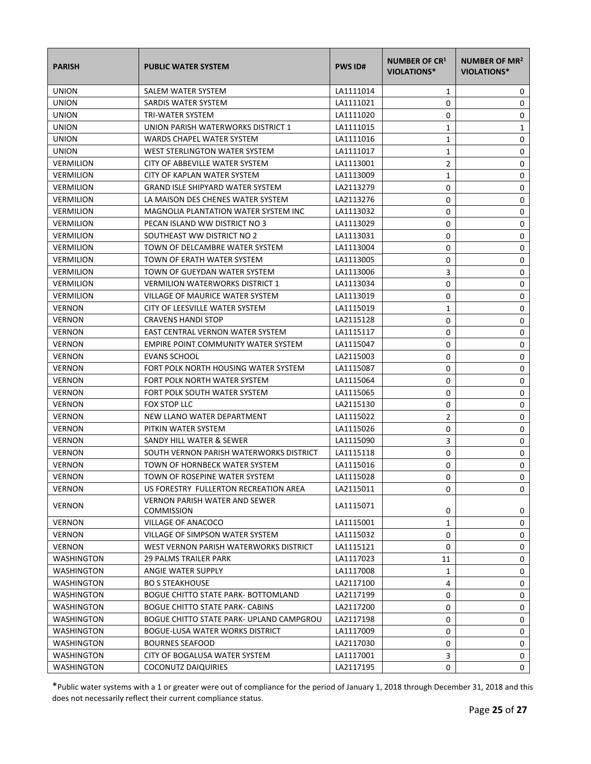| <b>PARISH</b>     | <b>PUBLIC WATER SYSTEM</b>                                | <b>PWS ID#</b> | <b>NUMBER OF CR1</b><br><b>VIOLATIONS*</b> | NUMBER OF MR <sup>2</sup><br><b>VIOLATIONS*</b> |
|-------------------|-----------------------------------------------------------|----------------|--------------------------------------------|-------------------------------------------------|
| <b>UNION</b>      | SALEM WATER SYSTEM                                        | LA1111014      | 1                                          | 0                                               |
| <b>UNION</b>      | SARDIS WATER SYSTEM                                       | LA1111021      | 0                                          | 0                                               |
| <b>UNION</b>      | TRI-WATER SYSTEM                                          | LA1111020      | 0                                          | 0                                               |
| <b>UNION</b>      | UNION PARISH WATERWORKS DISTRICT 1                        | LA1111015      | 1                                          | 1                                               |
| <b>UNION</b>      | WARDS CHAPEL WATER SYSTEM                                 | LA1111016      | 1                                          | 0                                               |
| <b>UNION</b>      | WEST STERLINGTON WATER SYSTEM                             | LA1111017      | 1                                          | 0                                               |
| <b>VERMILION</b>  | CITY OF ABBEVILLE WATER SYSTEM                            | LA1113001      | 2                                          | 0                                               |
| <b>VERMILION</b>  | CITY OF KAPLAN WATER SYSTEM                               | LA1113009      | 1                                          | 0                                               |
| <b>VERMILION</b>  | <b>GRAND ISLE SHIPYARD WATER SYSTEM</b>                   | LA2113279      | 0                                          | 0                                               |
| <b>VERMILION</b>  | LA MAISON DES CHENES WATER SYSTEM                         | LA2113276      | 0                                          | 0                                               |
| <b>VERMILION</b>  | MAGNOLIA PLANTATION WATER SYSTEM INC                      | LA1113032      | 0                                          | 0                                               |
| <b>VERMILION</b>  | PECAN ISLAND WW DISTRICT NO 3                             | LA1113029      | 0                                          | 0                                               |
| <b>VERMILION</b>  | SOUTHEAST WW DISTRICT NO 2                                | LA1113031      | 0                                          | 0                                               |
| <b>VERMILION</b>  | TOWN OF DELCAMBRE WATER SYSTEM                            | LA1113004      | 0                                          | 0                                               |
| <b>VERMILION</b>  | TOWN OF ERATH WATER SYSTEM                                | LA1113005      | 0                                          | 0                                               |
| <b>VERMILION</b>  | TOWN OF GUEYDAN WATER SYSTEM                              | LA1113006      | 3                                          | 0                                               |
| <b>VERMILION</b>  | <b>VERMILION WATERWORKS DISTRICT 1</b>                    | LA1113034      | 0                                          | 0                                               |
| <b>VERMILION</b>  | VILLAGE OF MAURICE WATER SYSTEM                           | LA1113019      | 0                                          | 0                                               |
| <b>VERNON</b>     | CITY OF LEESVILLE WATER SYSTEM                            | LA1115019      | 1                                          | 0                                               |
| <b>VERNON</b>     | <b>CRAVENS HANDI STOP</b>                                 | LA2115128      | 0                                          | 0                                               |
| <b>VERNON</b>     | EAST CENTRAL VERNON WATER SYSTEM                          | LA1115117      | 0                                          | 0                                               |
| <b>VERNON</b>     | EMPIRE POINT COMMUNITY WATER SYSTEM                       | LA1115047      | 0                                          | 0                                               |
| <b>VERNON</b>     | <b>EVANS SCHOOL</b>                                       | LA2115003      | 0                                          | 0                                               |
| <b>VERNON</b>     | FORT POLK NORTH HOUSING WATER SYSTEM                      | LA1115087      | 0                                          | 0                                               |
| <b>VERNON</b>     | FORT POLK NORTH WATER SYSTEM                              | LA1115064      | 0                                          | 0                                               |
| <b>VERNON</b>     | FORT POLK SOUTH WATER SYSTEM                              | LA1115065      | 0                                          | 0                                               |
| <b>VERNON</b>     | FOX STOP LLC                                              | LA2115130      | 0                                          | 0                                               |
| <b>VERNON</b>     | NEW LLANO WATER DEPARTMENT                                | LA1115022      | 2                                          | 0                                               |
| <b>VERNON</b>     | PITKIN WATER SYSTEM                                       | LA1115026      | 0                                          | 0                                               |
| <b>VERNON</b>     | SANDY HILL WATER & SEWER                                  | LA1115090      | 3                                          | 0                                               |
| <b>VERNON</b>     | SOUTH VERNON PARISH WATERWORKS DISTRICT                   | LA1115118      | 0                                          | 0                                               |
| <b>VERNON</b>     | TOWN OF HORNBECK WATER SYSTEM                             | LA1115016      | 0                                          | 0                                               |
| <b>VERNON</b>     | TOWN OF ROSEPINE WATER SYSTEM                             | LA1115028      | 0                                          | 0                                               |
| <b>VERNON</b>     | US FORESTRY FULLERTON RECREATION AREA                     | LA2115011      | 0                                          | 0                                               |
| <b>VERNON</b>     | <b>VERNON PARISH WATER AND SEWER</b><br><b>COMMISSION</b> | LA1115071      | 0                                          | 0                                               |
| <b>VERNON</b>     | VILLAGE OF ANACOCO                                        | LA1115001      | $\mathbf{1}$                               | 0                                               |
| <b>VERNON</b>     | VILLAGE OF SIMPSON WATER SYSTEM                           | LA1115032      | 0                                          | 0                                               |
| <b>VERNON</b>     | WEST VERNON PARISH WATERWORKS DISTRICT                    | LA1115121      | 0                                          | 0                                               |
| <b>WASHINGTON</b> | 29 PALMS TRAILER PARK                                     | LA1117023      | 11                                         | 0                                               |
| <b>WASHINGTON</b> | ANGIE WATER SUPPLY                                        | LA1117008      | 1                                          | 0                                               |
| WASHINGTON        | <b>BO S STEAKHOUSE</b>                                    | LA2117100      | 4                                          | 0                                               |
| <b>WASHINGTON</b> | <b>BOGUE CHITTO STATE PARK- BOTTOMLAND</b>                | LA2117199      | 0                                          | 0                                               |
| <b>WASHINGTON</b> | <b>BOGUE CHITTO STATE PARK- CABINS</b>                    | LA2117200      | 0                                          | 0                                               |
| <b>WASHINGTON</b> | <b>BOGUE CHITTO STATE PARK- UPLAND CAMPGROU</b>           | LA2117198      | 0                                          | 0                                               |
| WASHINGTON        | BOGUE-LUSA WATER WORKS DISTRICT                           | LA1117009      | 0                                          | 0                                               |
| WASHINGTON        | <b>BOURNES SEAFOOD</b>                                    | LA2117030      | 0                                          | 0                                               |
| WASHINGTON        | CITY OF BOGALUSA WATER SYSTEM                             | LA1117001      | 3                                          | 0                                               |
| <b>WASHINGTON</b> | <b>COCONUTZ DAIQUIRIES</b>                                | LA2117195      | 0                                          | 0                                               |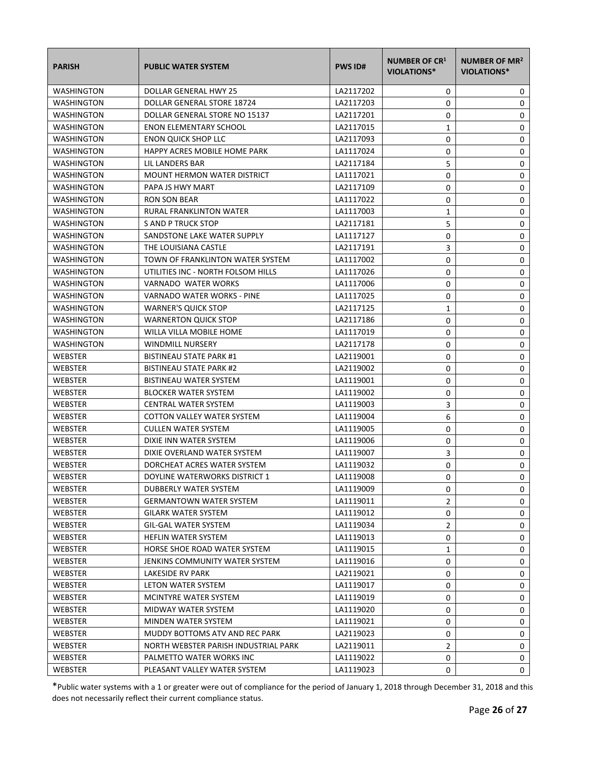| <b>PARISH</b>     | <b>PUBLIC WATER SYSTEM</b>           | <b>PWS ID#</b> | <b>NUMBER OF CR1</b><br><b>VIOLATIONS*</b> | NUMBER OF MR <sup>2</sup><br>VIOLATIONS* |
|-------------------|--------------------------------------|----------------|--------------------------------------------|------------------------------------------|
| WASHINGTON        | DOLLAR GENERAL HWY 25                | LA2117202      | 0                                          | 0                                        |
| <b>WASHINGTON</b> | DOLLAR GENERAL STORE 18724           | LA2117203      | 0                                          | 0                                        |
| <b>WASHINGTON</b> | DOLLAR GENERAL STORE NO 15137        | LA2117201      | 0                                          | 0                                        |
| WASHINGTON        | <b>ENON ELEMENTARY SCHOOL</b>        | LA2117015      | 1                                          | 0                                        |
| WASHINGTON        | <b>ENON QUICK SHOP LLC</b>           | LA2117093      | 0                                          | 0                                        |
| <b>WASHINGTON</b> | HAPPY ACRES MOBILE HOME PARK         | LA1117024      | 0                                          | 0                                        |
| <b>WASHINGTON</b> | LIL LANDERS BAR                      | LA2117184      | 5                                          | 0                                        |
| WASHINGTON        | <b>MOUNT HERMON WATER DISTRICT</b>   | LA1117021      | 0                                          | 0                                        |
| WASHINGTON        | PAPA JS HWY MART                     | LA2117109      | 0                                          | 0                                        |
| WASHINGTON        | RON SON BEAR                         | LA1117022      | 0                                          | 0                                        |
| WASHINGTON        | RURAL FRANKLINTON WATER              | LA1117003      | 1                                          | 0                                        |
| WASHINGTON        | S AND P TRUCK STOP                   | LA2117181      | 5                                          | 0                                        |
| WASHINGTON        | SANDSTONE LAKE WATER SUPPLY          | LA1117127      | 0                                          | 0                                        |
| <b>WASHINGTON</b> | THE LOUISIANA CASTLE                 | LA2117191      | 3                                          | 0                                        |
| <b>WASHINGTON</b> | TOWN OF FRANKLINTON WATER SYSTEM     | LA1117002      | 0                                          | 0                                        |
| <b>WASHINGTON</b> | UTILITIES INC - NORTH FOLSOM HILLS   | LA1117026      | 0                                          | 0                                        |
| <b>WASHINGTON</b> | VARNADO WATER WORKS                  | LA1117006      | 0                                          | 0                                        |
| <b>WASHINGTON</b> | VARNADO WATER WORKS - PINE           | LA1117025      | 0                                          | 0                                        |
| <b>WASHINGTON</b> | <b>WARNER'S QUICK STOP</b>           | LA2117125      | 1                                          | 0                                        |
| WASHINGTON        | <b>WARNERTON QUICK STOP</b>          | LA2117186      | 0                                          | 0                                        |
| <b>WASHINGTON</b> | WILLA VILLA MOBILE HOME              | LA1117019      | 0                                          | 0                                        |
| <b>WASHINGTON</b> | <b>WINDMILL NURSERY</b>              | LA2117178      | 0                                          | 0                                        |
| WEBSTER           | <b>BISTINEAU STATE PARK #1</b>       | LA2119001      | 0                                          | 0                                        |
| WEBSTER           | <b>BISTINEAU STATE PARK #2</b>       | LA2119002      | 0                                          | 0                                        |
| <b>WEBSTER</b>    | BISTINEAU WATER SYSTEM               | LA1119001      | 0                                          | 0                                        |
| <b>WEBSTER</b>    | <b>BLOCKER WATER SYSTEM</b>          | LA1119002      | 0                                          | 0                                        |
| <b>WEBSTER</b>    | <b>CENTRAL WATER SYSTEM</b>          | LA1119003      | 3                                          | 0                                        |
| <b>WEBSTER</b>    | <b>COTTON VALLEY WATER SYSTEM</b>    | LA1119004      | 6                                          | 0                                        |
| WEBSTER           | <b>CULLEN WATER SYSTEM</b>           | LA1119005      | 0                                          | 0                                        |
| <b>WEBSTER</b>    | DIXIE INN WATER SYSTEM               | LA1119006      | 0                                          | 0                                        |
| WEBSTER           | DIXIE OVERLAND WATER SYSTEM          | LA1119007      | 3                                          | $\pmb{0}$                                |
| WEBSTER           | DORCHEAT ACRES WATER SYSTEM          | LA1119032      | 0                                          | 0                                        |
| <b>WEBSTER</b>    | DOYLINE WATERWORKS DISTRICT 1        | LA1119008      | 0                                          | 0                                        |
| WEBSTER           | DUBBERLY WATER SYSTEM                | LA1119009      | 0                                          | 0                                        |
| WEBSTER           | <b>GERMANTOWN WATER SYSTEM</b>       | LA1119011      | 2                                          | 0                                        |
| WEBSTER           | <b>GILARK WATER SYSTEM</b>           | LA1119012      | 0                                          | 0                                        |
| WEBSTER           | <b>GIL-GAL WATER SYSTEM</b>          | LA1119034      | $\overline{2}$                             | 0                                        |
| WEBSTER           | HEFLIN WATER SYSTEM                  | LA1119013      | 0                                          | 0                                        |
| WEBSTER           | HORSE SHOE ROAD WATER SYSTEM         | LA1119015      | 1                                          | 0                                        |
| WEBSTER           | JENKINS COMMUNITY WATER SYSTEM       | LA1119016      | 0                                          | 0                                        |
| WEBSTER           | LAKESIDE RV PARK                     | LA2119021      | 0                                          | 0                                        |
| WEBSTER           | LETON WATER SYSTEM                   | LA1119017      | 0                                          | 0                                        |
| WEBSTER           | MCINTYRE WATER SYSTEM                | LA1119019      | 0                                          | 0                                        |
| WEBSTER           | MIDWAY WATER SYSTEM                  | LA1119020      | 0                                          | 0                                        |
| WEBSTER           | MINDEN WATER SYSTEM                  | LA1119021      | 0                                          | 0                                        |
| WEBSTER           | MUDDY BOTTOMS ATV AND REC PARK       | LA2119023      | 0                                          | 0                                        |
| WEBSTER           | NORTH WEBSTER PARISH INDUSTRIAL PARK | LA2119011      | $\overline{2}$                             | 0                                        |
| WEBSTER           | PALMETTO WATER WORKS INC             | LA1119022      | 0                                          | 0                                        |
| <b>WEBSTER</b>    | PLEASANT VALLEY WATER SYSTEM         | LA1119023      | 0                                          | 0                                        |